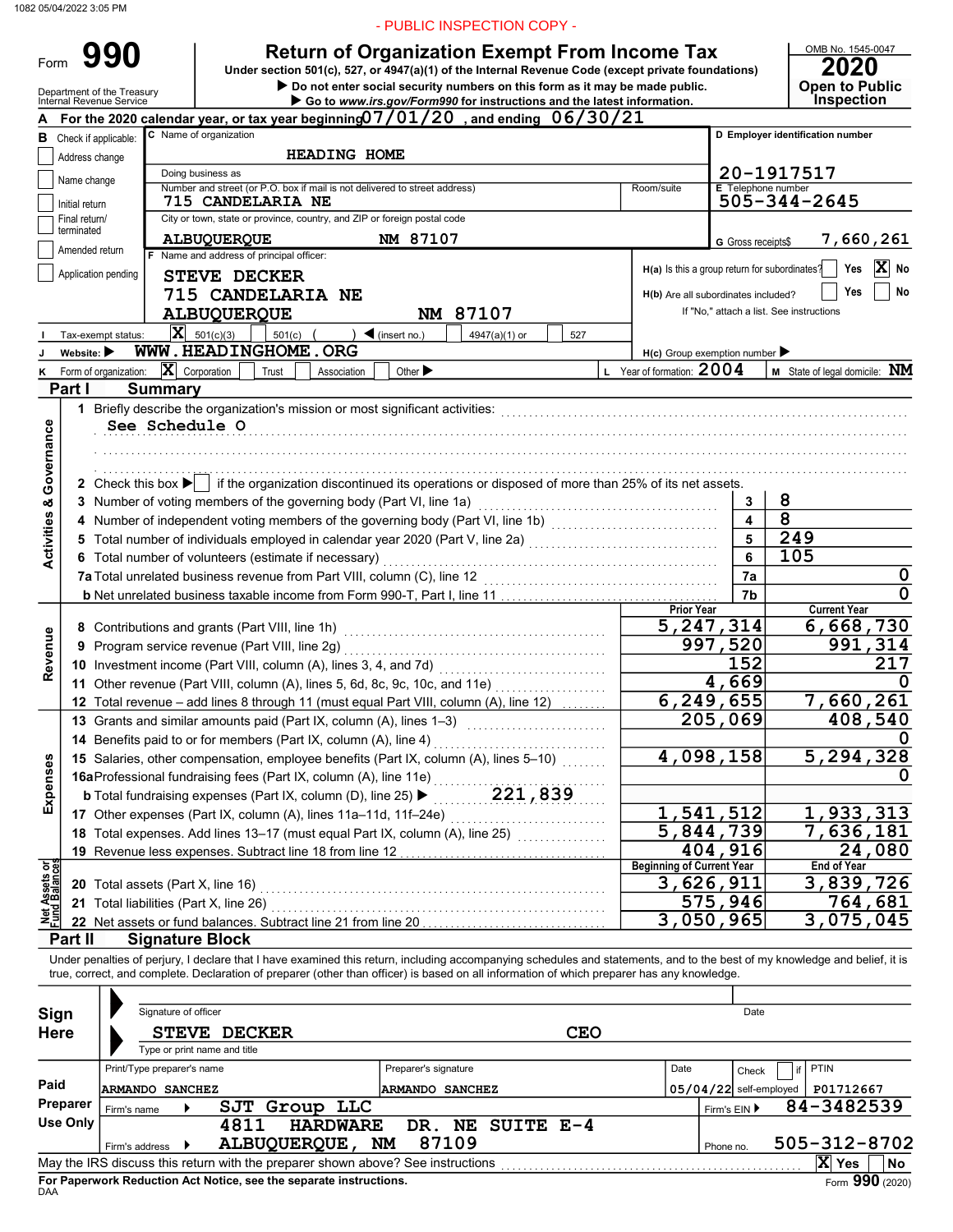|                                             | 2 05/04/2022 3:05 PM           |                                                        |                                                 |                                                                |                                                                                 |                                   |                                                                                                                                                                       |            |                                               |                              |                                                                                                                                                                            |
|---------------------------------------------|--------------------------------|--------------------------------------------------------|-------------------------------------------------|----------------------------------------------------------------|---------------------------------------------------------------------------------|-----------------------------------|-----------------------------------------------------------------------------------------------------------------------------------------------------------------------|------------|-----------------------------------------------|------------------------------|----------------------------------------------------------------------------------------------------------------------------------------------------------------------------|
|                                             |                                |                                                        |                                                 |                                                                |                                                                                 |                                   | - PUBLIC INSPECTION COPY -                                                                                                                                            |            |                                               |                              |                                                                                                                                                                            |
|                                             |                                | 990                                                    |                                                 |                                                                |                                                                                 |                                   | <b>Return of Organization Exempt From Income Tax</b>                                                                                                                  |            |                                               |                              | OMB No. 1545-0047                                                                                                                                                          |
| Form                                        |                                |                                                        |                                                 |                                                                |                                                                                 |                                   | Under section 501(c), 527, or 4947(a)(1) of the Internal Revenue Code (except private foundations)                                                                    |            |                                               |                              | 2020                                                                                                                                                                       |
|                                             |                                | Department of the Treasury<br>Internal Revenue Service |                                                 |                                                                |                                                                                 |                                   | Do not enter social security numbers on this form as it may be made public.                                                                                           |            |                                               |                              | <b>Open to Public</b>                                                                                                                                                      |
|                                             |                                |                                                        |                                                 |                                                                |                                                                                 |                                   | Go to www.irs.gov/Form990 for instructions and the latest information.                                                                                                |            |                                               |                              | <b>Inspection</b>                                                                                                                                                          |
|                                             |                                |                                                        | C Name of organization                          |                                                                |                                                                                 |                                   | For the 2020 calendar year, or tax year beginning $07/01/20$ , and ending $06/30/21$                                                                                  |            |                                               |                              | D Employer identification number                                                                                                                                           |
| в                                           | Address change                 | Check if applicable:                                   |                                                 |                                                                | <b>HEADING HOME</b>                                                             |                                   |                                                                                                                                                                       |            |                                               |                              |                                                                                                                                                                            |
|                                             |                                |                                                        | Doing business as                               |                                                                |                                                                                 |                                   |                                                                                                                                                                       |            |                                               |                              | 20-1917517                                                                                                                                                                 |
|                                             | Name change                    |                                                        |                                                 |                                                                | Number and street (or P.O. box if mail is not delivered to street address)      |                                   |                                                                                                                                                                       |            | Room/suite                                    | E Telephone number           |                                                                                                                                                                            |
|                                             | Initial return                 |                                                        |                                                 | <b>715 CANDELARIA NE</b>                                       |                                                                                 |                                   |                                                                                                                                                                       |            |                                               |                              | $505 - 344 - 2645$                                                                                                                                                         |
|                                             | Final return/<br>terminated    |                                                        |                                                 |                                                                | City or town, state or province, country, and ZIP or foreign postal code        |                                   |                                                                                                                                                                       |            |                                               |                              |                                                                                                                                                                            |
|                                             | Amended return                 |                                                        |                                                 | <b>ALBUQUERQUE</b><br>F Name and address of principal officer: |                                                                                 | NM 87107                          |                                                                                                                                                                       |            |                                               | G Gross receipts\$           | 7,660,261                                                                                                                                                                  |
|                                             |                                | Application pending                                    |                                                 | <b>STEVE DECKER</b>                                            |                                                                                 |                                   |                                                                                                                                                                       |            | H(a) Is this a group return for subordinates? |                              | $\vert \mathbf{x} \vert$<br>Yes<br>No                                                                                                                                      |
|                                             |                                |                                                        |                                                 | 715 CANDELARIA NE                                              |                                                                                 |                                   |                                                                                                                                                                       |            | H(b) Are all subordinates included?           |                              | No<br>Yes                                                                                                                                                                  |
|                                             |                                |                                                        |                                                 | ALBUQUERQUE                                                    |                                                                                 |                                   | NM 87107                                                                                                                                                              |            |                                               |                              | If "No," attach a list. See instructions                                                                                                                                   |
|                                             |                                | Tax-exempt status:                                     |                                                 | $\mathbf{X}$ 501(c)(3)                                         | $501(c)$ (                                                                      | $\blacktriangleleft$ (insert no.) | 4947(a)(1) or                                                                                                                                                         | 527        |                                               |                              |                                                                                                                                                                            |
|                                             | Website: $\blacktriangleright$ |                                                        |                                                 | WWW.HEADINGHOME.ORG                                            |                                                                                 |                                   |                                                                                                                                                                       |            | $H(c)$ Group exemption number                 |                              |                                                                                                                                                                            |
|                                             |                                | Form of organization:                                  | $ \mathbf{X} $ Corporation                      | Trust                                                          | Association                                                                     | Other $\blacktriangleright$       |                                                                                                                                                                       |            | L Year of formation: $2004$                   |                              | M State of legal domicile: NM                                                                                                                                              |
|                                             | Part I                         |                                                        | <b>Summary</b>                                  |                                                                |                                                                                 |                                   |                                                                                                                                                                       |            |                                               |                              |                                                                                                                                                                            |
|                                             |                                |                                                        |                                                 |                                                                |                                                                                 |                                   |                                                                                                                                                                       |            |                                               |                              |                                                                                                                                                                            |
| Governance                                  |                                |                                                        | See Schedule O                                  |                                                                |                                                                                 |                                   |                                                                                                                                                                       |            |                                               |                              |                                                                                                                                                                            |
|                                             |                                |                                                        |                                                 |                                                                |                                                                                 |                                   |                                                                                                                                                                       |            |                                               |                              |                                                                                                                                                                            |
|                                             |                                |                                                        |                                                 |                                                                |                                                                                 |                                   |                                                                                                                                                                       |            |                                               |                              |                                                                                                                                                                            |
|                                             |                                |                                                        |                                                 |                                                                |                                                                                 |                                   | 2 Check this box $\blacktriangleright$ if the organization discontinued its operations or disposed of more than 25% of its net assets.                                |            |                                               |                              | 8                                                                                                                                                                          |
|                                             |                                |                                                        |                                                 |                                                                | 3 Number of voting members of the governing body (Part VI, line 1a)             |                                   |                                                                                                                                                                       |            |                                               | 3<br>$\overline{\mathbf{4}}$ | $\overline{8}$                                                                                                                                                             |
| <b>Activities &amp;</b>                     |                                |                                                        |                                                 |                                                                |                                                                                 |                                   | 5 Total number of individuals employed in calendar year 2020 (Part V, line 2a) [11] [12] Total number of individuals employed in calendar year 2020 (Part V, line 2a) |            |                                               | 5                            | 249                                                                                                                                                                        |
|                                             |                                |                                                        |                                                 |                                                                | 6 Total number of volunteers (estimate if necessary)                            |                                   |                                                                                                                                                                       |            |                                               | 6                            | 105                                                                                                                                                                        |
|                                             |                                |                                                        |                                                 |                                                                |                                                                                 |                                   |                                                                                                                                                                       |            |                                               | 7a                           | 0                                                                                                                                                                          |
|                                             |                                |                                                        |                                                 |                                                                |                                                                                 |                                   |                                                                                                                                                                       |            |                                               | 7b                           | 0                                                                                                                                                                          |
|                                             |                                |                                                        |                                                 |                                                                |                                                                                 |                                   |                                                                                                                                                                       |            | <b>Prior Year</b>                             |                              | <b>Current Year</b>                                                                                                                                                        |
|                                             |                                |                                                        | 8 Contributions and grants (Part VIII, line 1h) |                                                                |                                                                                 |                                   |                                                                                                                                                                       |            |                                               | 5,247,314                    | 6,668,730<br>991,314                                                                                                                                                       |
| Revenue                                     |                                |                                                        |                                                 |                                                                |                                                                                 |                                   |                                                                                                                                                                       |            |                                               | 997,520<br>152               | 217                                                                                                                                                                        |
|                                             |                                |                                                        |                                                 |                                                                | 11 Other revenue (Part VIII, column (A), lines 5, 6d, 8c, 9c, 10c, and 11e)     |                                   |                                                                                                                                                                       |            |                                               | 669<br>4.                    | ი                                                                                                                                                                          |
|                                             |                                |                                                        |                                                 |                                                                |                                                                                 |                                   | 12 Total revenue - add lines 8 through 11 (must equal Part VIII, column (A), line 12)                                                                                 |            |                                               | 6,249,655                    | 7,660,261                                                                                                                                                                  |
|                                             |                                |                                                        |                                                 |                                                                | 13 Grants and similar amounts paid (Part IX, column (A), lines 1-3)             |                                   |                                                                                                                                                                       |            |                                               | 205,069                      | 408,540                                                                                                                                                                    |
|                                             |                                |                                                        |                                                 |                                                                | 14 Benefits paid to or for members (Part IX, column (A), line 4)                |                                   |                                                                                                                                                                       |            |                                               |                              |                                                                                                                                                                            |
|                                             |                                |                                                        |                                                 |                                                                |                                                                                 |                                   | 15 Salaries, other compensation, employee benefits (Part IX, column (A), lines 5-10)                                                                                  |            | 4,098,158                                     |                              | 5,294,328                                                                                                                                                                  |
| Expenses                                    |                                |                                                        |                                                 |                                                                |                                                                                 |                                   |                                                                                                                                                                       |            |                                               |                              |                                                                                                                                                                            |
|                                             |                                |                                                        |                                                 |                                                                |                                                                                 |                                   | <b>b</b> Total fundraising expenses (Part IX, column (D), line 25) <b>6 221, 839</b>                                                                                  |            |                                               |                              |                                                                                                                                                                            |
|                                             |                                |                                                        |                                                 |                                                                |                                                                                 |                                   | 17 Other expenses (Part IX, column (A), lines 11a-11d, 11f-24e)                                                                                                       |            | 1,541,512                                     |                              | 1,933,313                                                                                                                                                                  |
|                                             |                                |                                                        |                                                 |                                                                |                                                                                 |                                   | 18 Total expenses. Add lines 13-17 (must equal Part IX, column (A), line 25)                                                                                          |            |                                               | 5,844,739                    | 7,636,181                                                                                                                                                                  |
|                                             |                                |                                                        |                                                 |                                                                |                                                                                 |                                   | 19 Revenue less expenses. Subtract line 18 from line 12 [11] [21] Revenue Less expenses. Subtract line 18 from line 12                                                |            | <b>Beginning of Current Year</b>              | 404,916                      | 24,080<br>End of Year                                                                                                                                                      |
| <b>Vet Assets or</b><br><u>und Balances</u> |                                |                                                        | 20 Total assets (Part X, line 16)               |                                                                |                                                                                 |                                   |                                                                                                                                                                       |            | 3,626,911                                     |                              | <u>3,839,726</u>                                                                                                                                                           |
|                                             |                                |                                                        |                                                 | 21 Total liabilities (Part X, line 26)                         |                                                                                 |                                   |                                                                                                                                                                       |            |                                               | $\overline{575}$ , 946       | 764,681                                                                                                                                                                    |
| 그리                                          |                                |                                                        |                                                 |                                                                |                                                                                 |                                   | 22 Net assets or fund balances. Subtract line 21 from line 20                                                                                                         |            | $\overline{3,050,965}$                        |                              | 3,075,045                                                                                                                                                                  |
|                                             | Part II                        |                                                        | <b>Signature Block</b>                          |                                                                |                                                                                 |                                   |                                                                                                                                                                       |            |                                               |                              |                                                                                                                                                                            |
|                                             |                                |                                                        |                                                 |                                                                |                                                                                 |                                   |                                                                                                                                                                       |            |                                               |                              | Under penalties of perjury, I declare that I have examined this return, including accompanying schedules and statements, and to the best of my knowledge and belief, it is |
|                                             |                                |                                                        |                                                 |                                                                |                                                                                 |                                   | true, correct, and complete. Declaration of preparer (other than officer) is based on all information of which preparer has any knowledge.                            |            |                                               |                              |                                                                                                                                                                            |
|                                             |                                |                                                        | Signature of officer                            |                                                                |                                                                                 |                                   |                                                                                                                                                                       |            |                                               | Date                         |                                                                                                                                                                            |
| Sign                                        |                                |                                                        |                                                 |                                                                |                                                                                 |                                   |                                                                                                                                                                       | <b>CEO</b> |                                               |                              |                                                                                                                                                                            |
| <b>Here</b>                                 |                                |                                                        | Type or print name and title                    | <b>STEVE DECKER</b>                                            |                                                                                 |                                   |                                                                                                                                                                       |            |                                               |                              |                                                                                                                                                                            |
|                                             |                                |                                                        | Print/Type preparer's name                      |                                                                |                                                                                 | Preparer's signature              |                                                                                                                                                                       |            | Date                                          | Check                        | PTIN<br>if                                                                                                                                                                 |
| Paid                                        |                                |                                                        | ARMANDO SANCHEZ                                 |                                                                |                                                                                 | <b>ARMANDO SANCHEZ</b>            |                                                                                                                                                                       |            |                                               | $05/04/22$ self-employed     | P01712667                                                                                                                                                                  |
|                                             | <b>Preparer</b>                | Firm's name                                            |                                                 |                                                                | SJT Group LLC                                                                   |                                   |                                                                                                                                                                       |            |                                               | Firm's EIN ▶                 | 84-3482539                                                                                                                                                                 |
|                                             | <b>Use Only</b>                |                                                        |                                                 | 4811                                                           | <b>HARDWARE</b>                                                                 |                                   | DR. NE SUITE E-4                                                                                                                                                      |            |                                               |                              |                                                                                                                                                                            |
|                                             |                                | Firm's address                                         |                                                 |                                                                | ALBUQUERQUE, NM                                                                 |                                   | 87109                                                                                                                                                                 |            |                                               | Phone no.                    | 505-312-8702                                                                                                                                                               |
|                                             |                                |                                                        |                                                 |                                                                | May the IRS discuss this return with the preparer shown above? See instructions |                                   |                                                                                                                                                                       |            |                                               |                              | X Yes<br>No                                                                                                                                                                |

| Sign        | Signature of officer           |                                                                                 |                         | Date         |                            |                       |  |  |
|-------------|--------------------------------|---------------------------------------------------------------------------------|-------------------------|--------------|----------------------------|-----------------------|--|--|
| <b>Here</b> | <b>STEVE DECKER</b>            |                                                                                 |                         |              |                            |                       |  |  |
|             | Type or print name and title   |                                                                                 |                         |              |                            |                       |  |  |
|             | Print/Type preparer's name     |                                                                                 | Preparer's signature    | Date         | Check                      | <b>PTIN</b>           |  |  |
| Paid        | ARMANDO SANCHEZ                |                                                                                 | ARMANDO SANCHEZ         |              | $05/04/22$ self-employed   | P01712667             |  |  |
| Preparer    | Firm's name                    | SJT Group LLC                                                                   |                         |              | 84-3482539<br>Firm's EIN ▶ |                       |  |  |
| Use Only    |                                | 4811<br><b>HARDWARE</b>                                                         | NE.<br>SUITE E-4<br>DR. |              |                            |                       |  |  |
|             | ALBUQUERQUE,<br>Firm's address |                                                                                 | Phone no.               | 505-312-8702 |                            |                       |  |  |
|             |                                | May the IRS discuss this return with the preparer shown above? See instructions |                         |              |                            | X<br>No<br><b>Yes</b> |  |  |
| <b>DAA</b>  |                                | For Paperwork Reduction Act Notice, see the separate instructions.              |                         |              |                            | Form 990 (2020)       |  |  |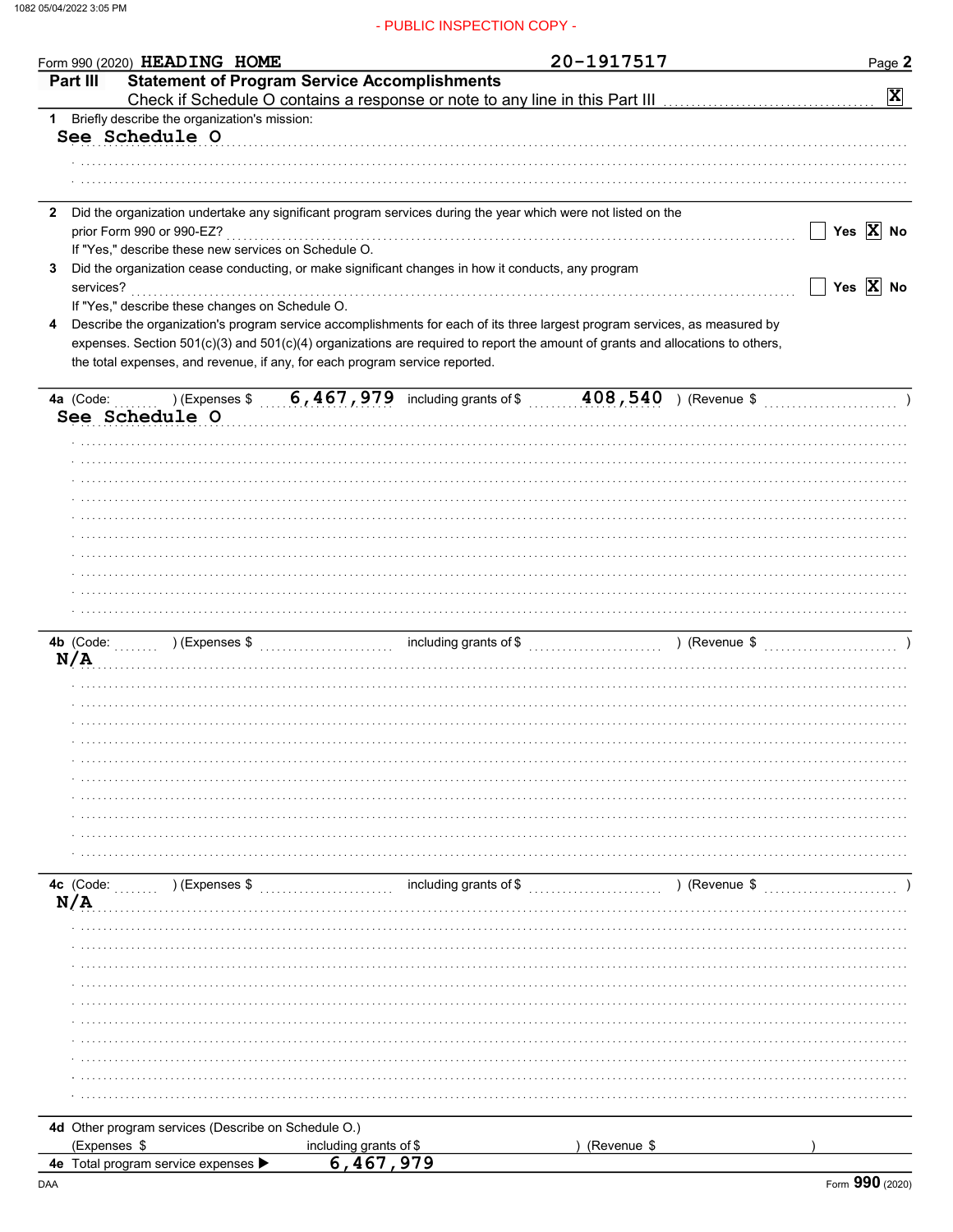|              |              | Form 990 (2020) HEADING HOME                         |                                                                                                                                                                       | 20-1917517  |               | Page 2                |
|--------------|--------------|------------------------------------------------------|-----------------------------------------------------------------------------------------------------------------------------------------------------------------------|-------------|---------------|-----------------------|
| Part III     |              |                                                      | <b>Statement of Program Service Accomplishments</b><br>Check if Schedule O contains a response or note to any line in this Part III [111] [11] [11] [11] [11] [11] [1 |             |               | $\mathbf{x}$          |
|              |              | 1 Briefly describe the organization's mission:       |                                                                                                                                                                       |             |               |                       |
|              |              | See Schedule O                                       |                                                                                                                                                                       |             |               |                       |
|              |              |                                                      |                                                                                                                                                                       |             |               |                       |
|              |              |                                                      |                                                                                                                                                                       |             |               |                       |
|              |              |                                                      |                                                                                                                                                                       |             |               |                       |
| $\mathbf{2}$ |              |                                                      | Did the organization undertake any significant program services during the year which were not listed on the                                                          |             |               |                       |
|              |              | prior Form 990 or 990-EZ?                            |                                                                                                                                                                       |             |               | Yes $X$ No            |
|              |              | If "Yes," describe these new services on Schedule O. |                                                                                                                                                                       |             |               |                       |
| 3            |              |                                                      | Did the organization cease conducting, or make significant changes in how it conducts, any program                                                                    |             |               |                       |
|              | services?    |                                                      |                                                                                                                                                                       |             |               | Yes $\overline{X}$ No |
|              |              | If "Yes," describe these changes on Schedule O.      |                                                                                                                                                                       |             |               |                       |
| 4            |              |                                                      | Describe the organization's program service accomplishments for each of its three largest program services, as measured by                                            |             |               |                       |
|              |              |                                                      | expenses. Section $501(c)(3)$ and $501(c)(4)$ organizations are required to report the amount of grants and allocations to others,                                    |             |               |                       |
|              |              |                                                      | the total expenses, and revenue, if any, for each program service reported.                                                                                           |             |               |                       |
|              |              |                                                      | 6,467,979 including grants of \$408,540 ) (Revenue \$                                                                                                                 |             |               |                       |
| 4a (Code:    |              | ) (Expenses \$<br>See Schedule O                     |                                                                                                                                                                       |             |               |                       |
|              |              |                                                      |                                                                                                                                                                       |             |               |                       |
|              |              |                                                      |                                                                                                                                                                       |             |               |                       |
|              |              |                                                      |                                                                                                                                                                       |             |               |                       |
|              |              |                                                      |                                                                                                                                                                       |             |               |                       |
|              |              |                                                      |                                                                                                                                                                       |             |               |                       |
|              |              |                                                      |                                                                                                                                                                       |             |               |                       |
|              |              |                                                      |                                                                                                                                                                       |             |               |                       |
|              |              |                                                      |                                                                                                                                                                       |             |               |                       |
|              |              |                                                      |                                                                                                                                                                       |             |               |                       |
|              |              |                                                      |                                                                                                                                                                       |             |               |                       |
|              |              |                                                      |                                                                                                                                                                       |             |               |                       |
| 4b (Code:    |              | $(\text{Expenses }$ \$                               | including grants of \$                                                                                                                                                |             | ) (Revenue \$ |                       |
| N/A          |              |                                                      |                                                                                                                                                                       |             |               |                       |
|              |              |                                                      |                                                                                                                                                                       |             |               |                       |
|              |              |                                                      |                                                                                                                                                                       |             |               |                       |
|              |              |                                                      |                                                                                                                                                                       |             |               |                       |
|              |              |                                                      |                                                                                                                                                                       |             |               |                       |
|              |              |                                                      |                                                                                                                                                                       |             |               |                       |
|              |              |                                                      |                                                                                                                                                                       |             |               |                       |
|              |              |                                                      |                                                                                                                                                                       |             |               |                       |
|              |              |                                                      |                                                                                                                                                                       |             |               |                       |
|              |              |                                                      |                                                                                                                                                                       |             |               |                       |
|              |              |                                                      |                                                                                                                                                                       |             |               |                       |
| 4c (Code:    |              | ) (Expenses \$                                       | including grants of \$                                                                                                                                                |             | ) (Revenue \$ |                       |
| N/A          |              |                                                      |                                                                                                                                                                       |             |               |                       |
|              |              |                                                      |                                                                                                                                                                       |             |               |                       |
|              |              |                                                      |                                                                                                                                                                       |             |               |                       |
|              |              |                                                      |                                                                                                                                                                       |             |               |                       |
|              |              |                                                      |                                                                                                                                                                       |             |               |                       |
|              |              |                                                      |                                                                                                                                                                       |             |               |                       |
|              |              |                                                      |                                                                                                                                                                       |             |               |                       |
|              |              |                                                      |                                                                                                                                                                       |             |               |                       |
|              |              |                                                      |                                                                                                                                                                       |             |               |                       |
|              |              |                                                      |                                                                                                                                                                       |             |               |                       |
|              |              |                                                      |                                                                                                                                                                       |             |               |                       |
|              |              | 4d Other program services (Describe on Schedule O.)  |                                                                                                                                                                       |             |               |                       |
|              | (Expenses \$ |                                                      | including grants of \$                                                                                                                                                | (Revenue \$ |               |                       |
|              |              | 4e Total program service expenses                    | 6,467,979                                                                                                                                                             |             |               |                       |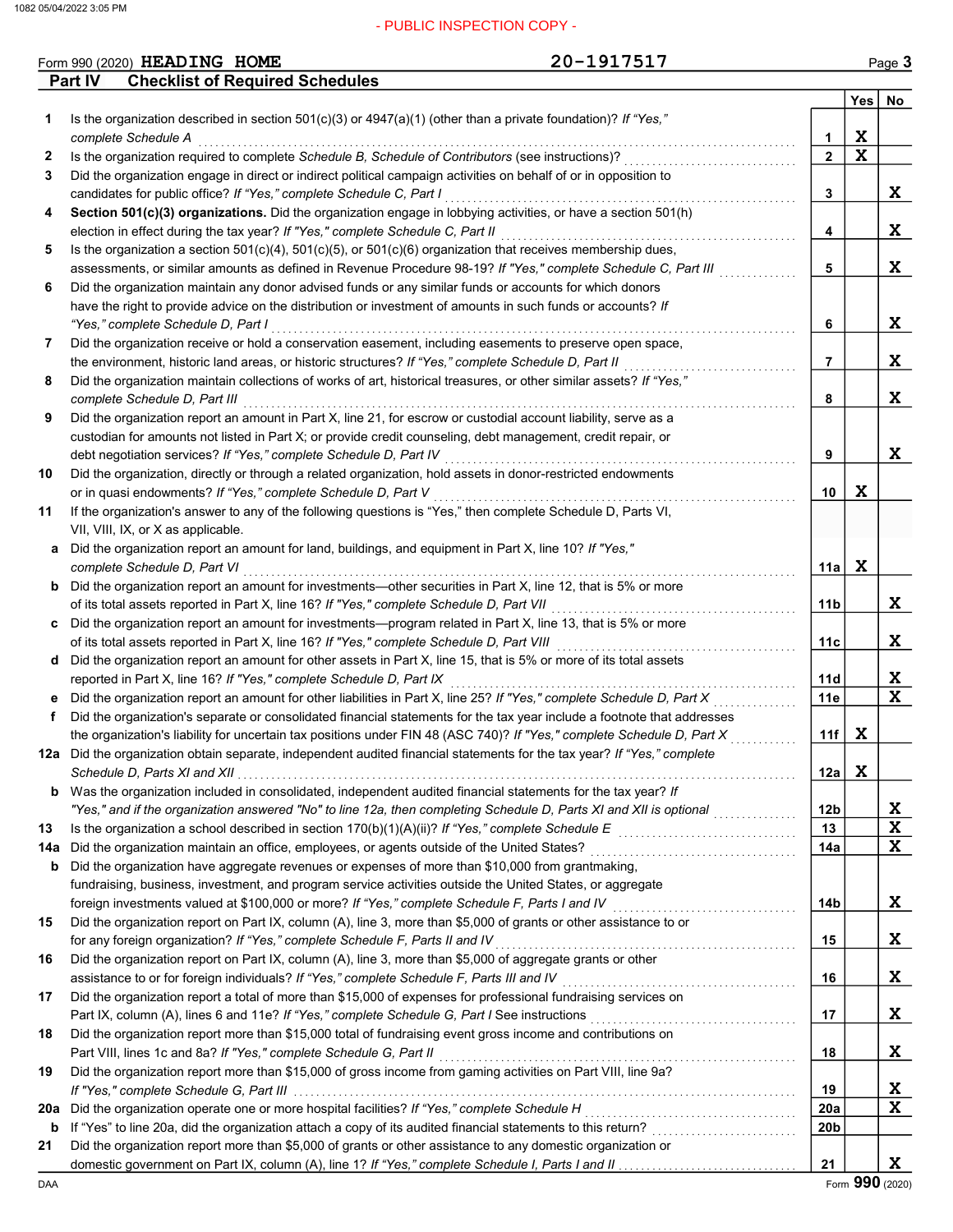|     |         | 20-1917517<br>Form 990 (2020) HEADING HOME                                                                                                                                                                                             |                 |       | Page 3       |
|-----|---------|----------------------------------------------------------------------------------------------------------------------------------------------------------------------------------------------------------------------------------------|-----------------|-------|--------------|
|     | Part IV | <b>Checklist of Required Schedules</b>                                                                                                                                                                                                 |                 |       |              |
|     |         |                                                                                                                                                                                                                                        |                 | Yes l | No           |
| 1   |         | Is the organization described in section $501(c)(3)$ or $4947(a)(1)$ (other than a private foundation)? If "Yes,"                                                                                                                      |                 |       |              |
|     |         | complete Schedule A                                                                                                                                                                                                                    | 1               | X     |              |
| 2   |         | Is the organization required to complete Schedule B, Schedule of Contributors (see instructions)?                                                                                                                                      | $\mathbf{2}$    | X     |              |
| 3   |         | Did the organization engage in direct or indirect political campaign activities on behalf of or in opposition to                                                                                                                       |                 |       |              |
|     |         | candidates for public office? If "Yes," complete Schedule C, Part I                                                                                                                                                                    | 3               |       | X            |
| 4   |         | Section 501(c)(3) organizations. Did the organization engage in lobbying activities, or have a section 501(h)                                                                                                                          |                 |       |              |
|     |         | election in effect during the tax year? If "Yes," complete Schedule C, Part II                                                                                                                                                         | 4               |       | X            |
| 5   |         | Is the organization a section $501(c)(4)$ , $501(c)(5)$ , or $501(c)(6)$ organization that receives membership dues,<br>assessments, or similar amounts as defined in Revenue Procedure 98-19? If "Yes," complete Schedule C, Part III | 5               |       | X            |
| 6   |         | Did the organization maintain any donor advised funds or any similar funds or accounts for which donors                                                                                                                                |                 |       |              |
|     |         | have the right to provide advice on the distribution or investment of amounts in such funds or accounts? If                                                                                                                            |                 |       |              |
|     |         | "Yes," complete Schedule D, Part I                                                                                                                                                                                                     | 6               |       | X            |
| 7   |         | Did the organization receive or hold a conservation easement, including easements to preserve open space,                                                                                                                              |                 |       |              |
|     |         | the environment, historic land areas, or historic structures? If "Yes," complete Schedule D, Part II                                                                                                                                   | 7               |       | X            |
| 8   |         | Did the organization maintain collections of works of art, historical treasures, or other similar assets? If "Yes,"                                                                                                                    |                 |       |              |
|     |         | complete Schedule D, Part III                                                                                                                                                                                                          | 8               |       | X            |
| 9   |         | Did the organization report an amount in Part X, line 21, for escrow or custodial account liability, serve as a                                                                                                                        |                 |       |              |
|     |         | custodian for amounts not listed in Part X; or provide credit counseling, debt management, credit repair, or                                                                                                                           |                 |       |              |
|     |         | debt negotiation services? If "Yes," complete Schedule D, Part IV                                                                                                                                                                      | 9               |       | X            |
| 10  |         | Did the organization, directly or through a related organization, hold assets in donor-restricted endowments                                                                                                                           |                 |       |              |
|     |         | or in quasi endowments? If "Yes," complete Schedule D, Part V                                                                                                                                                                          | 10              | X     |              |
| 11  |         | If the organization's answer to any of the following questions is "Yes," then complete Schedule D, Parts VI,                                                                                                                           |                 |       |              |
|     |         | VII, VIII, IX, or X as applicable.                                                                                                                                                                                                     |                 |       |              |
| a   |         | Did the organization report an amount for land, buildings, and equipment in Part X, line 10? If "Yes,"                                                                                                                                 |                 |       |              |
|     |         | complete Schedule D, Part VI                                                                                                                                                                                                           | 11a             | X     |              |
| b   |         | Did the organization report an amount for investments-other securities in Part X, line 12, that is 5% or more                                                                                                                          |                 |       |              |
|     |         | of its total assets reported in Part X, line 16? If "Yes," complete Schedule D, Part VII                                                                                                                                               | 11b             |       | X            |
| c   |         | Did the organization report an amount for investments—program related in Part X, line 13, that is 5% or more<br>of its total assets reported in Part X, line 16? If "Yes," complete Schedule D, Part VIII [[[[[[[[[[[[[[[[[[[          | 11c             |       | X            |
| d   |         | Did the organization report an amount for other assets in Part X, line 15, that is 5% or more of its total assets                                                                                                                      |                 |       |              |
|     |         | reported in Part X, line 16? If "Yes," complete Schedule D, Part IX                                                                                                                                                                    | 11d             |       | X            |
|     |         | Did the organization report an amount for other liabilities in Part X, line 25? If "Yes," complete Schedule D, Part X                                                                                                                  | 11e             |       | $\mathbf{x}$ |
| f   |         | Did the organization's separate or consolidated financial statements for the tax year include a footnote that addresses                                                                                                                |                 |       |              |
|     |         | the organization's liability for uncertain tax positions under FIN 48 (ASC 740)? If "Yes," complete Schedule D, Part X                                                                                                                 | 11f             | X     |              |
|     |         | 12a Did the organization obtain separate, independent audited financial statements for the tax year? If "Yes," complete                                                                                                                |                 |       |              |
|     |         | Schedule D, Parts XI and XII electron contracts and contracts and contracts and contracts and contracts and contracts and contracts are set of the schedule of the schedule of the schedule of the schedule of the schedule of         | 12a             | X     |              |
|     |         | <b>b</b> Was the organization included in consolidated, independent audited financial statements for the tax year? If                                                                                                                  |                 |       |              |
|     |         | "Yes," and if the organization answered "No" to line 12a, then completing Schedule D, Parts XI and XII is optional                                                                                                                     | 12 <sub>b</sub> |       | X            |
| 13  |         |                                                                                                                                                                                                                                        | 13              |       | $\mathbf x$  |
| 14a |         |                                                                                                                                                                                                                                        | 14a             |       | X            |
| b   |         | Did the organization have aggregate revenues or expenses of more than \$10,000 from grantmaking,                                                                                                                                       |                 |       |              |
|     |         | fundraising, business, investment, and program service activities outside the United States, or aggregate                                                                                                                              |                 |       |              |
|     |         | foreign investments valued at \$100,000 or more? If "Yes," complete Schedule F, Parts I and IV [[[[[[[[[[[[[[[                                                                                                                         | 14b             |       | X            |
| 15  |         | Did the organization report on Part IX, column (A), line 3, more than \$5,000 of grants or other assistance to or                                                                                                                      |                 |       |              |
|     |         | for any foreign organization? If "Yes," complete Schedule F, Parts II and IV                                                                                                                                                           | 15              |       | X            |
| 16  |         | Did the organization report on Part IX, column (A), line 3, more than \$5,000 of aggregate grants or other                                                                                                                             |                 |       |              |
|     |         | assistance to or for foreign individuals? If "Yes," complete Schedule F, Parts III and IV                                                                                                                                              | 16              |       | X            |
| 17  |         | Did the organization report a total of more than \$15,000 of expenses for professional fundraising services on                                                                                                                         | 17              |       | X            |
| 18  |         | Did the organization report more than \$15,000 total of fundraising event gross income and contributions on                                                                                                                            |                 |       |              |
|     |         | Part VIII, lines 1c and 8a? If "Yes," complete Schedule G, Part II                                                                                                                                                                     | 18              |       | X            |
| 19  |         | Did the organization report more than \$15,000 of gross income from gaming activities on Part VIII, line 9a?                                                                                                                           |                 |       |              |
|     |         |                                                                                                                                                                                                                                        | 19              |       | X            |
| 20a |         |                                                                                                                                                                                                                                        | 20a             |       | X            |
| b   |         |                                                                                                                                                                                                                                        | 20 <sub>b</sub> |       |              |
| 21  |         | Did the organization report more than \$5,000 of grants or other assistance to any domestic organization or                                                                                                                            |                 |       |              |
|     |         |                                                                                                                                                                                                                                        | 21              |       | X            |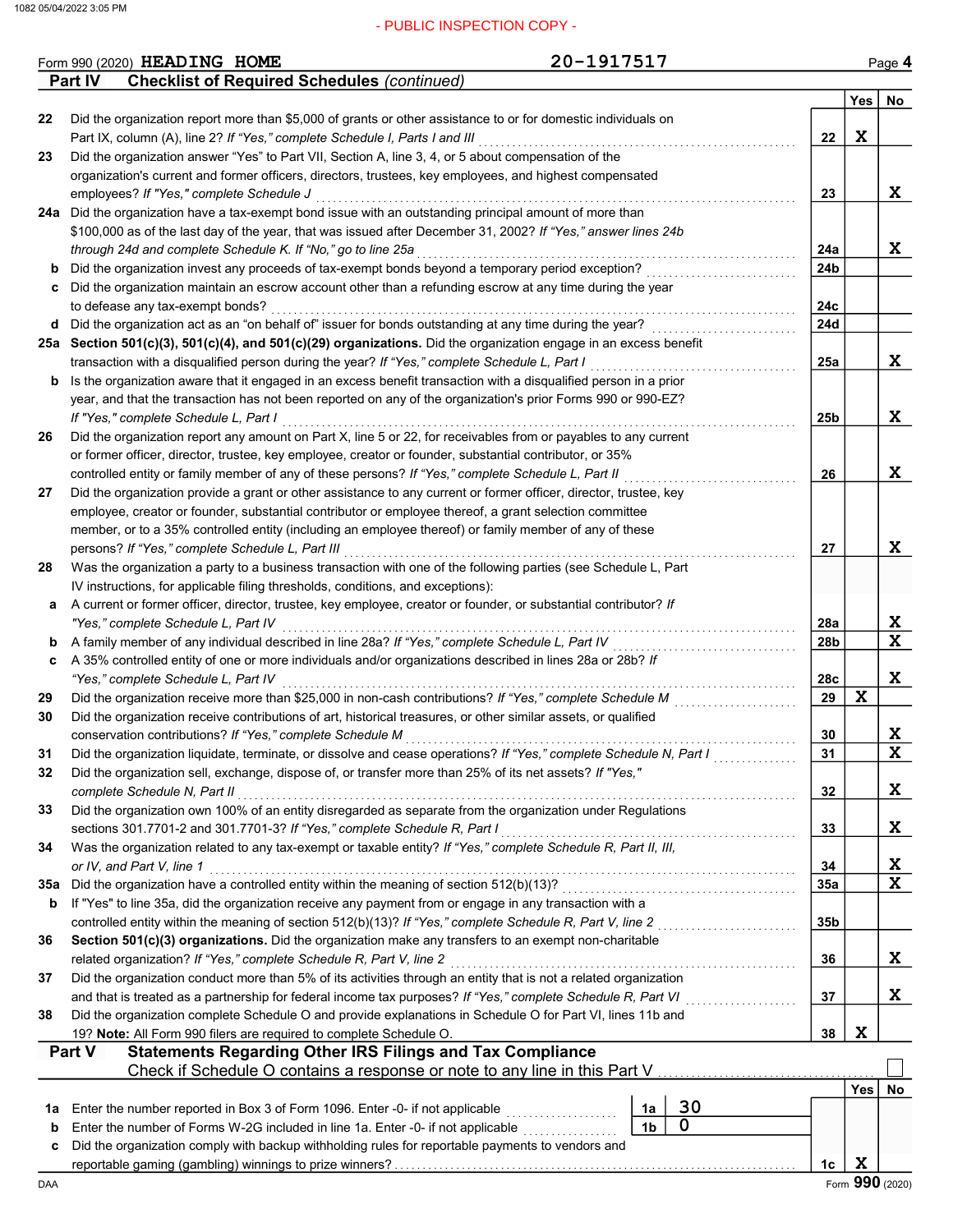|          |               | Form 990 (2020) HEADING HOME                                 |                                                                                                                                                                                                                         | 20-1917517 |                |             |                 |                  | Page 4          |
|----------|---------------|--------------------------------------------------------------|-------------------------------------------------------------------------------------------------------------------------------------------------------------------------------------------------------------------------|------------|----------------|-------------|-----------------|------------------|-----------------|
|          | Part IV       |                                                              | <b>Checklist of Required Schedules (continued)</b>                                                                                                                                                                      |            |                |             |                 |                  |                 |
|          |               |                                                              |                                                                                                                                                                                                                         |            |                |             |                 | Yes              | No              |
| 22       |               |                                                              | Did the organization report more than \$5,000 of grants or other assistance to or for domestic individuals on                                                                                                           |            |                |             |                 |                  |                 |
|          |               |                                                              | Part IX, column (A), line 2? If "Yes," complete Schedule I, Parts I and III                                                                                                                                             |            |                |             | 22              | X                |                 |
| 23       |               |                                                              | Did the organization answer "Yes" to Part VII, Section A, line 3, 4, or 5 about compensation of the                                                                                                                     |            |                |             |                 |                  |                 |
|          |               |                                                              | organization's current and former officers, directors, trustees, key employees, and highest compensated                                                                                                                 |            |                |             |                 |                  | X               |
|          |               | employees? If "Yes," complete Schedule J                     | 24a Did the organization have a tax-exempt bond issue with an outstanding principal amount of more than                                                                                                                 |            |                |             | 23              |                  |                 |
|          |               |                                                              | \$100,000 as of the last day of the year, that was issued after December 31, 2002? If "Yes," answer lines 24b                                                                                                           |            |                |             |                 |                  |                 |
|          |               | through 24d and complete Schedule K. If "No," go to line 25a |                                                                                                                                                                                                                         |            |                |             | 24a             |                  | X               |
| b        |               |                                                              | Did the organization invest any proceeds of tax-exempt bonds beyond a temporary period exception?                                                                                                                       |            |                |             | 24 <sub>b</sub> |                  |                 |
| c        |               |                                                              | Did the organization maintain an escrow account other than a refunding escrow at any time during the year                                                                                                               |            |                |             |                 |                  |                 |
|          |               | to defease any tax-exempt bonds?                             |                                                                                                                                                                                                                         |            |                |             | 24c             |                  |                 |
|          |               |                                                              | d Did the organization act as an "on behalf of" issuer for bonds outstanding at any time during the year?                                                                                                               |            |                |             | 24d             |                  |                 |
|          |               |                                                              | 25a Section 501(c)(3), 501(c)(4), and 501(c)(29) organizations. Did the organization engage in an excess benefit                                                                                                        |            |                |             |                 |                  |                 |
|          |               |                                                              | transaction with a disqualified person during the year? If "Yes," complete Schedule L, Part I                                                                                                                           |            |                |             | 25a             |                  | X               |
| b        |               |                                                              | Is the organization aware that it engaged in an excess benefit transaction with a disqualified person in a prior                                                                                                        |            |                |             |                 |                  |                 |
|          |               |                                                              | year, and that the transaction has not been reported on any of the organization's prior Forms 990 or 990-EZ?                                                                                                            |            |                |             |                 |                  |                 |
|          |               | If "Yes," complete Schedule L, Part I                        |                                                                                                                                                                                                                         |            |                |             | 25b             |                  | X               |
| 26       |               |                                                              | Did the organization report any amount on Part X, line 5 or 22, for receivables from or payables to any current                                                                                                         |            |                |             |                 |                  |                 |
|          |               |                                                              | or former officer, director, trustee, key employee, creator or founder, substantial contributor, or 35%                                                                                                                 |            |                |             |                 |                  |                 |
|          |               |                                                              | controlled entity or family member of any of these persons? If "Yes," complete Schedule L, Part II<br>Did the organization provide a grant or other assistance to any current or former officer, director, trustee, key |            |                |             | 26              |                  | X               |
| 27       |               |                                                              | employee, creator or founder, substantial contributor or employee thereof, a grant selection committee                                                                                                                  |            |                |             |                 |                  |                 |
|          |               |                                                              | member, or to a 35% controlled entity (including an employee thereof) or family member of any of these                                                                                                                  |            |                |             |                 |                  |                 |
|          |               | persons? If "Yes," complete Schedule L, Part III             |                                                                                                                                                                                                                         |            |                |             | 27              |                  | X               |
| 28       |               |                                                              | Was the organization a party to a business transaction with one of the following parties (see Schedule L, Part                                                                                                          |            |                |             |                 |                  |                 |
|          |               |                                                              | IV instructions, for applicable filing thresholds, conditions, and exceptions):                                                                                                                                         |            |                |             |                 |                  |                 |
| а        |               |                                                              | A current or former officer, director, trustee, key employee, creator or founder, or substantial contributor? If                                                                                                        |            |                |             |                 |                  |                 |
|          |               | "Yes," complete Schedule L, Part IV                          |                                                                                                                                                                                                                         |            |                |             | 28a             |                  | X               |
| b        |               |                                                              | A family member of any individual described in line 28a? If "Yes," complete Schedule L, Part IV                                                                                                                         |            |                |             | 28b             |                  | X               |
| c        |               |                                                              | A 35% controlled entity of one or more individuals and/or organizations described in lines 28a or 28b? If                                                                                                               |            |                |             |                 |                  |                 |
|          |               | "Yes," complete Schedule L, Part IV                          |                                                                                                                                                                                                                         |            |                |             | 28c             |                  | X               |
| 29       |               |                                                              | Did the organization receive more than \$25,000 in non-cash contributions? If "Yes," complete Schedule M                                                                                                                |            |                |             | 29              | X                |                 |
| 30       |               |                                                              | Did the organization receive contributions of art, historical treasures, or other similar assets, or qualified                                                                                                          |            |                |             |                 |                  |                 |
|          |               | conservation contributions? If "Yes," complete Schedule M    |                                                                                                                                                                                                                         |            |                |             | 30              |                  | X               |
| 31       |               |                                                              | Did the organization liquidate, terminate, or dissolve and cease operations? If "Yes," complete Schedule N, Part I                                                                                                      |            |                |             | 31              |                  | X               |
| 32       |               |                                                              | Did the organization sell, exchange, dispose of, or transfer more than 25% of its net assets? If "Yes,"                                                                                                                 |            |                |             |                 |                  |                 |
|          |               | complete Schedule N, Part II                                 |                                                                                                                                                                                                                         |            |                |             | 32              |                  | X               |
| 33       |               |                                                              | Did the organization own 100% of an entity disregarded as separate from the organization under Regulations                                                                                                              |            |                |             |                 |                  |                 |
|          |               |                                                              | sections 301.7701-2 and 301.7701-3? If "Yes," complete Schedule R, Part I                                                                                                                                               |            |                |             | 33              |                  | X               |
| 34       |               |                                                              | Was the organization related to any tax-exempt or taxable entity? If "Yes," complete Schedule R, Part II, III,                                                                                                          |            |                |             |                 |                  |                 |
|          |               | or IV, and Part V, line 1                                    | Did the organization have a controlled entity within the meaning of section 512(b)(13)?                                                                                                                                 |            |                |             | 34              |                  | X<br>X          |
| 35a<br>b |               |                                                              | If "Yes" to line 35a, did the organization receive any payment from or engage in any transaction with a                                                                                                                 |            |                |             | 35a             |                  |                 |
|          |               |                                                              | controlled entity within the meaning of section 512(b)(13)? If "Yes," complete Schedule R, Part V, line 2                                                                                                               |            |                |             | 35b             |                  |                 |
| 36       |               |                                                              | Section 501(c)(3) organizations. Did the organization make any transfers to an exempt non-charitable                                                                                                                    |            |                |             |                 |                  |                 |
|          |               |                                                              | related organization? If "Yes," complete Schedule R, Part V, line 2                                                                                                                                                     |            |                |             | 36              |                  | X               |
| 37       |               |                                                              | Did the organization conduct more than 5% of its activities through an entity that is not a related organization                                                                                                        |            |                |             |                 |                  |                 |
|          |               |                                                              | and that is treated as a partnership for federal income tax purposes? If "Yes," complete Schedule R, Part VI                                                                                                            |            |                | .           | 37              |                  | X               |
| 38       |               |                                                              | Did the organization complete Schedule O and provide explanations in Schedule O for Part VI, lines 11b and                                                                                                              |            |                |             |                 |                  |                 |
|          |               |                                                              | 19? Note: All Form 990 filers are required to complete Schedule O.                                                                                                                                                      |            |                |             | 38              | X                |                 |
|          | <b>Part V</b> |                                                              | <b>Statements Regarding Other IRS Filings and Tax Compliance</b>                                                                                                                                                        |            |                |             |                 |                  |                 |
|          |               |                                                              | Check if Schedule O contains a response or note to any line in this Part V                                                                                                                                              |            |                |             |                 |                  |                 |
|          |               |                                                              |                                                                                                                                                                                                                         |            |                |             |                 | Yes <sub>1</sub> | No              |
| 1а       |               |                                                              | Enter the number reported in Box 3 of Form 1096. Enter -0- if not applicable                                                                                                                                            |            | 1a             | 30          |                 |                  |                 |
| b        |               |                                                              | Enter the number of Forms W-2G included in line 1a. Enter -0- if not applicable                                                                                                                                         |            | 1 <sub>b</sub> | $\mathbf 0$ |                 |                  |                 |
| c        |               |                                                              | Did the organization comply with backup withholding rules for reportable payments to vendors and                                                                                                                        |            |                |             |                 |                  |                 |
|          |               |                                                              |                                                                                                                                                                                                                         |            |                |             | 1c              | X                | Form 990 (2020) |
| DAA      |               |                                                              |                                                                                                                                                                                                                         |            |                |             |                 |                  |                 |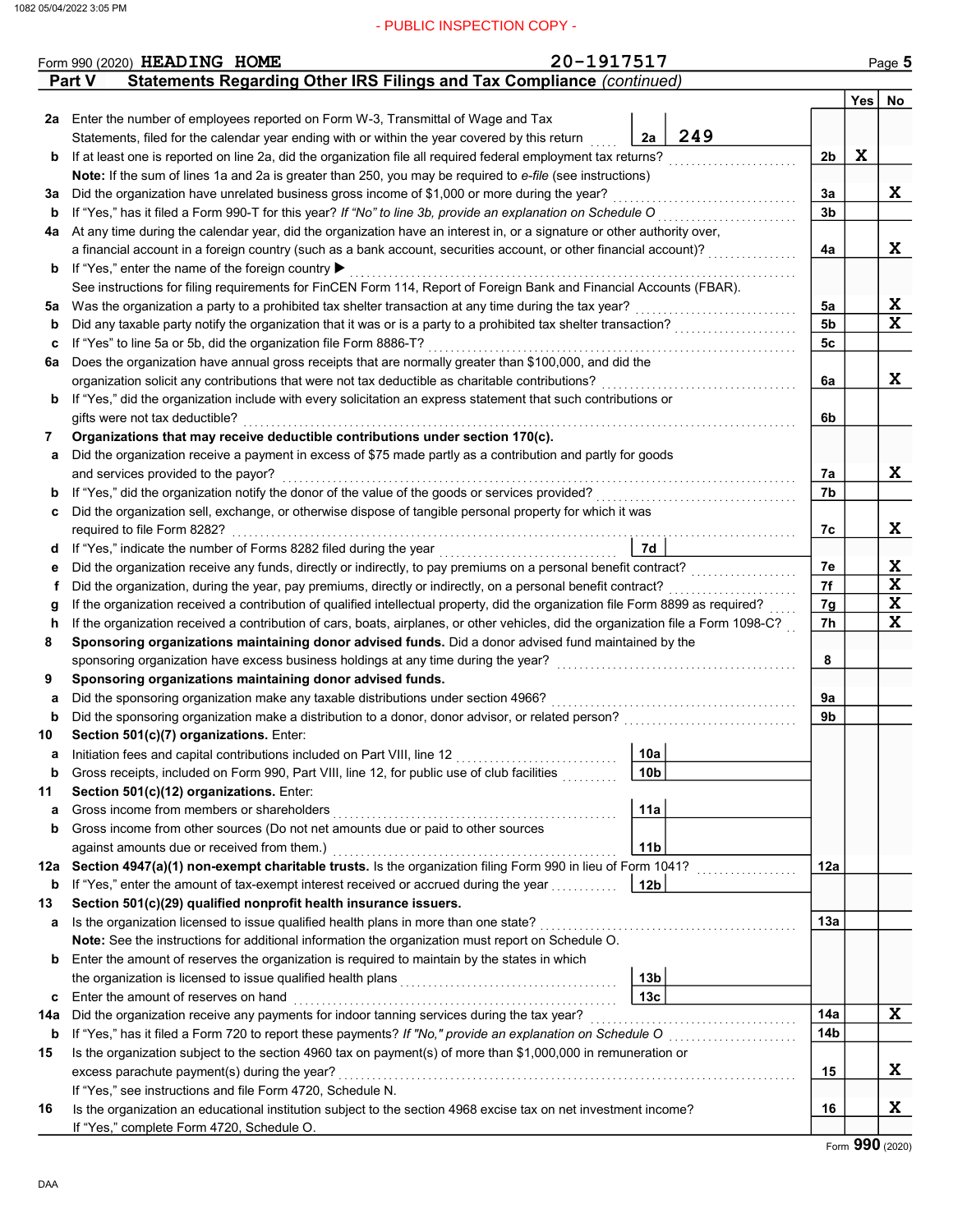|     | 20-1917517<br>Form 990 (2020) HEADING HOME                                                                                                                                                                 |                |     | Page 5      |  |  |  |  |  |  |  |  |  |  |
|-----|------------------------------------------------------------------------------------------------------------------------------------------------------------------------------------------------------------|----------------|-----|-------------|--|--|--|--|--|--|--|--|--|--|
|     | Statements Regarding Other IRS Filings and Tax Compliance (continued)<br><b>Part V</b>                                                                                                                     |                |     |             |  |  |  |  |  |  |  |  |  |  |
|     |                                                                                                                                                                                                            |                | Yes | No          |  |  |  |  |  |  |  |  |  |  |
|     | 2a Enter the number of employees reported on Form W-3, Transmittal of Wage and Tax                                                                                                                         |                |     |             |  |  |  |  |  |  |  |  |  |  |
|     | 249<br>Statements, filed for the calendar year ending with or within the year covered by this return<br>2a                                                                                                 |                |     |             |  |  |  |  |  |  |  |  |  |  |
| b   | If at least one is reported on line 2a, did the organization file all required federal employment tax returns?                                                                                             | 2 <sub>b</sub> | X   |             |  |  |  |  |  |  |  |  |  |  |
|     | Note: If the sum of lines 1a and 2a is greater than 250, you may be required to e-file (see instructions)                                                                                                  |                |     |             |  |  |  |  |  |  |  |  |  |  |
| За  | Did the organization have unrelated business gross income of \$1,000 or more during the year?                                                                                                              | Зa             |     | X           |  |  |  |  |  |  |  |  |  |  |
| b   | If "Yes," has it filed a Form 990-T for this year? If "No" to line 3b, provide an explanation on Schedule O                                                                                                | 3b             |     |             |  |  |  |  |  |  |  |  |  |  |
| 4a  | At any time during the calendar year, did the organization have an interest in, or a signature or other authority over,                                                                                    |                |     |             |  |  |  |  |  |  |  |  |  |  |
|     | a financial account in a foreign country (such as a bank account, securities account, or other financial account)?                                                                                         | 4a             |     | X           |  |  |  |  |  |  |  |  |  |  |
| b   | If "Yes," enter the name of the foreign country ▶                                                                                                                                                          |                |     |             |  |  |  |  |  |  |  |  |  |  |
|     | See instructions for filing requirements for FinCEN Form 114, Report of Foreign Bank and Financial Accounts (FBAR).                                                                                        |                |     |             |  |  |  |  |  |  |  |  |  |  |
| 5a  | Was the organization a party to a prohibited tax shelter transaction at any time during the tax year?                                                                                                      | 5a             |     | X<br>X      |  |  |  |  |  |  |  |  |  |  |
| b   | Did any taxable party notify the organization that it was or is a party to a prohibited tax shelter transaction?                                                                                           | 5 <sub>b</sub> |     |             |  |  |  |  |  |  |  |  |  |  |
| c   | If "Yes" to line 5a or 5b, did the organization file Form 8886-T?                                                                                                                                          | 5c             |     |             |  |  |  |  |  |  |  |  |  |  |
| 6a  | Does the organization have annual gross receipts that are normally greater than \$100,000, and did the<br>organization solicit any contributions that were not tax deductible as charitable contributions? |                |     | X           |  |  |  |  |  |  |  |  |  |  |
| b   | If "Yes," did the organization include with every solicitation an express statement that such contributions or                                                                                             | 6a             |     |             |  |  |  |  |  |  |  |  |  |  |
|     | gifts were not tax deductible?                                                                                                                                                                             | 6b             |     |             |  |  |  |  |  |  |  |  |  |  |
| 7   | Organizations that may receive deductible contributions under section 170(c).                                                                                                                              |                |     |             |  |  |  |  |  |  |  |  |  |  |
| а   | Did the organization receive a payment in excess of \$75 made partly as a contribution and partly for goods                                                                                                |                |     |             |  |  |  |  |  |  |  |  |  |  |
|     | and services provided to the payor?                                                                                                                                                                        | 7a             |     | X           |  |  |  |  |  |  |  |  |  |  |
| b   | If "Yes," did the organization notify the donor of the value of the goods or services provided?                                                                                                            | 7b             |     |             |  |  |  |  |  |  |  |  |  |  |
| c   | Did the organization sell, exchange, or otherwise dispose of tangible personal property for which it was                                                                                                   |                |     |             |  |  |  |  |  |  |  |  |  |  |
|     | required to file Form 8282?                                                                                                                                                                                | 7c             |     | X           |  |  |  |  |  |  |  |  |  |  |
| d   | 7d<br>If "Yes," indicate the number of Forms 8282 filed during the year                                                                                                                                    |                |     |             |  |  |  |  |  |  |  |  |  |  |
| е   | Did the organization receive any funds, directly or indirectly, to pay premiums on a personal benefit contract?                                                                                            | 7e             |     | X           |  |  |  |  |  |  |  |  |  |  |
| Ť   | Did the organization, during the year, pay premiums, directly or indirectly, on a personal benefit contract?                                                                                               | 7f             |     | X           |  |  |  |  |  |  |  |  |  |  |
| g   | If the organization received a contribution of qualified intellectual property, did the organization file Form 8899 as required?                                                                           | 7g             |     | X           |  |  |  |  |  |  |  |  |  |  |
| h   | If the organization received a contribution of cars, boats, airplanes, or other vehicles, did the organization file a Form 1098-C?                                                                         | 7h             |     | $\mathbf x$ |  |  |  |  |  |  |  |  |  |  |
| 8   | Sponsoring organizations maintaining donor advised funds. Did a donor advised fund maintained by the                                                                                                       |                |     |             |  |  |  |  |  |  |  |  |  |  |
|     | sponsoring organization have excess business holdings at any time during the year?                                                                                                                         | 8              |     |             |  |  |  |  |  |  |  |  |  |  |
| 9   | Sponsoring organizations maintaining donor advised funds.                                                                                                                                                  |                |     |             |  |  |  |  |  |  |  |  |  |  |
| а   | Did the sponsoring organization make any taxable distributions under section 4966?                                                                                                                         | 9a             |     |             |  |  |  |  |  |  |  |  |  |  |
| b   | Did the sponsoring organization make a distribution to a donor, donor advisor, or related person?                                                                                                          | 9b             |     |             |  |  |  |  |  |  |  |  |  |  |
| 10  | Section 501(c)(7) organizations. Enter:                                                                                                                                                                    |                |     |             |  |  |  |  |  |  |  |  |  |  |
| а   | Initiation fees and capital contributions included on Part VIII, line 12<br>10a                                                                                                                            |                |     |             |  |  |  |  |  |  |  |  |  |  |
| b   | 10 <sub>b</sub><br>Gross receipts, included on Form 990, Part VIII, line 12, for public use of club facilities                                                                                             |                |     |             |  |  |  |  |  |  |  |  |  |  |
| 11  | Section 501(c)(12) organizations. Enter:                                                                                                                                                                   |                |     |             |  |  |  |  |  |  |  |  |  |  |
| а   | 11a<br>Gross income from members or shareholders                                                                                                                                                           |                |     |             |  |  |  |  |  |  |  |  |  |  |
| b   | Gross income from other sources (Do not net amounts due or paid to other sources                                                                                                                           |                |     |             |  |  |  |  |  |  |  |  |  |  |
|     | against amounts due or received from them.)<br>11b                                                                                                                                                         |                |     |             |  |  |  |  |  |  |  |  |  |  |
| 12a | Section 4947(a)(1) non-exempt charitable trusts. Is the organization filing Form 990 in lieu of Form 1041?                                                                                                 | 12a            |     |             |  |  |  |  |  |  |  |  |  |  |
| b   | If "Yes," enter the amount of tax-exempt interest received or accrued during the year<br>12 <sub>b</sub>                                                                                                   |                |     |             |  |  |  |  |  |  |  |  |  |  |
| 13  | Section 501(c)(29) qualified nonprofit health insurance issuers.<br>Is the organization licensed to issue qualified health plans in more than one state?                                                   | 13а            |     |             |  |  |  |  |  |  |  |  |  |  |
| а   | Note: See the instructions for additional information the organization must report on Schedule O.                                                                                                          |                |     |             |  |  |  |  |  |  |  |  |  |  |
| b   | Enter the amount of reserves the organization is required to maintain by the states in which                                                                                                               |                |     |             |  |  |  |  |  |  |  |  |  |  |
|     | 13 <sub>b</sub>                                                                                                                                                                                            |                |     |             |  |  |  |  |  |  |  |  |  |  |
| c   | 13 <sub>c</sub><br>Enter the amount of reserves on hand                                                                                                                                                    |                |     |             |  |  |  |  |  |  |  |  |  |  |
| 14a | Did the organization receive any payments for indoor tanning services during the tax year?                                                                                                                 | 14a            |     | X           |  |  |  |  |  |  |  |  |  |  |
| b   | If "Yes," has it filed a Form 720 to report these payments? If "No," provide an explanation on Schedule O                                                                                                  | 14b            |     |             |  |  |  |  |  |  |  |  |  |  |
| 15  | Is the organization subject to the section 4960 tax on payment(s) of more than \$1,000,000 in remuneration or                                                                                              |                |     |             |  |  |  |  |  |  |  |  |  |  |
|     | excess parachute payment(s) during the year?                                                                                                                                                               | 15             |     | X           |  |  |  |  |  |  |  |  |  |  |
|     | If "Yes," see instructions and file Form 4720, Schedule N.                                                                                                                                                 |                |     |             |  |  |  |  |  |  |  |  |  |  |
| 16  | Is the organization an educational institution subject to the section 4968 excise tax on net investment income?                                                                                            | 16             |     | X           |  |  |  |  |  |  |  |  |  |  |
|     | If "Yes," complete Form 4720, Schedule O.                                                                                                                                                                  |                |     |             |  |  |  |  |  |  |  |  |  |  |

Form 990 (2020)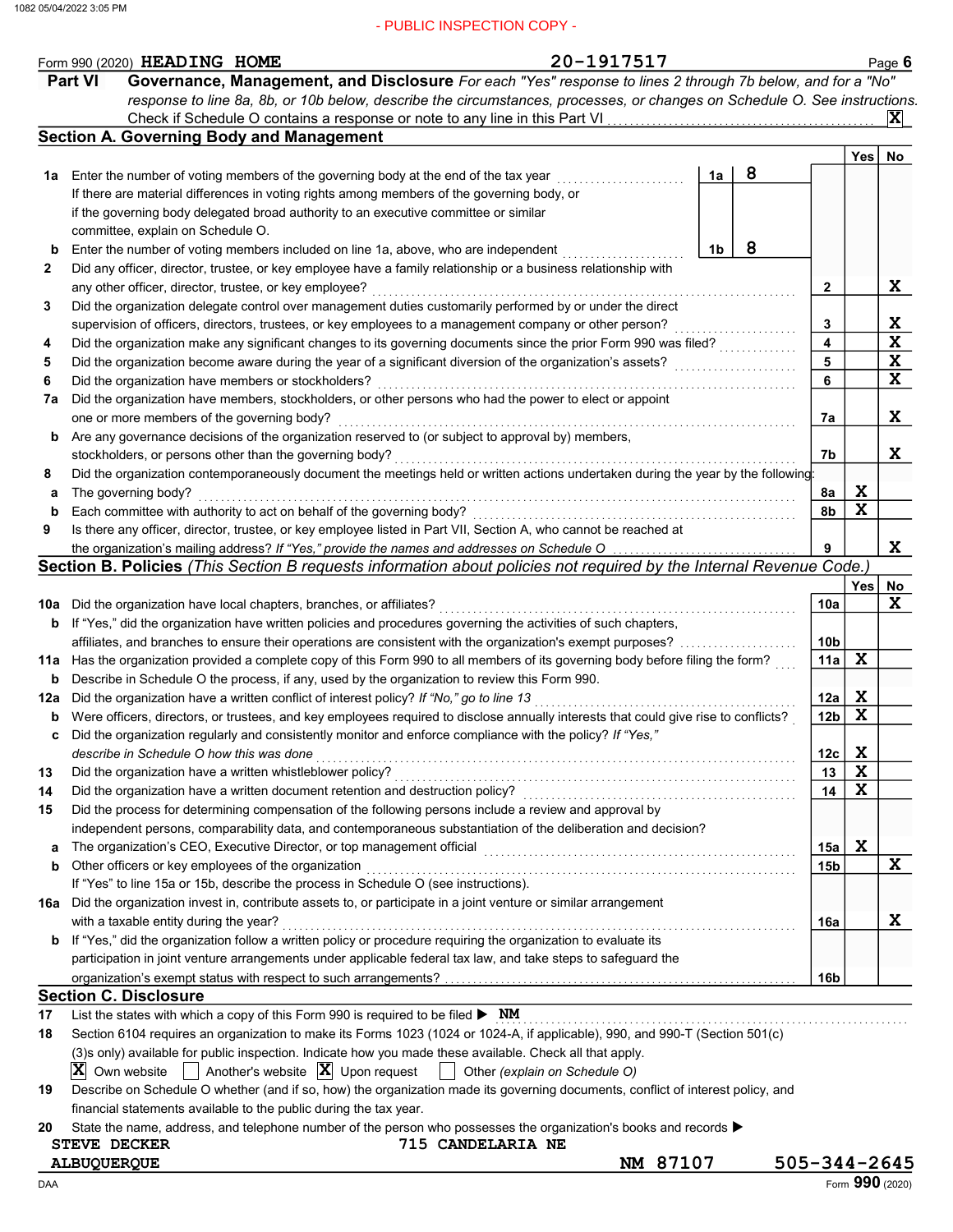|              | Form 990 (2020) HEADING HOME                                                                                                                                                                                    | 20-1917517                    |    |                    |                 |             | Page 6          |
|--------------|-----------------------------------------------------------------------------------------------------------------------------------------------------------------------------------------------------------------|-------------------------------|----|--------------------|-----------------|-------------|-----------------|
|              | Governance, Management, and Disclosure For each "Yes" response to lines 2 through 7b below, and for a "No"<br>Part VI                                                                                           |                               |    |                    |                 |             |                 |
|              | response to line 8a, 8b, or 10b below, describe the circumstances, processes, or changes on Schedule O. See instructions.                                                                                       |                               |    |                    |                 |             |                 |
|              |                                                                                                                                                                                                                 |                               |    |                    |                 |             | $ \mathbf{X} $  |
|              | <b>Section A. Governing Body and Management</b>                                                                                                                                                                 |                               |    |                    |                 |             |                 |
|              |                                                                                                                                                                                                                 |                               |    |                    |                 | Yes         | No              |
| 1а           | Enter the number of voting members of the governing body at the end of the tax year                                                                                                                             |                               | 1a | 8                  |                 |             |                 |
|              | If there are material differences in voting rights among members of the governing body, or                                                                                                                      |                               |    |                    |                 |             |                 |
|              | if the governing body delegated broad authority to an executive committee or similar                                                                                                                            |                               |    |                    |                 |             |                 |
|              | committee, explain on Schedule O.                                                                                                                                                                               |                               |    |                    |                 |             |                 |
| b            | Enter the number of voting members included on line 1a, above, who are independent                                                                                                                              |                               | 1b | 8                  |                 |             |                 |
| $\mathbf{2}$ | Did any officer, director, trustee, or key employee have a family relationship or a business relationship with                                                                                                  |                               |    |                    |                 |             |                 |
|              | any other officer, director, trustee, or key employee?                                                                                                                                                          |                               |    |                    | 2               |             | X               |
| 3            | Did the organization delegate control over management duties customarily performed by or under the direct                                                                                                       |                               |    |                    |                 |             |                 |
|              | supervision of officers, directors, trustees, or key employees to a management company or other person?                                                                                                         |                               |    |                    | 3               |             |                 |
| 4            | Did the organization make any significant changes to its governing documents since the prior Form 990 was filed?                                                                                                |                               |    |                    | 4               |             | $\frac{X}{X}$   |
| 5            | Did the organization become aware during the year of a significant diversion of the organization's assets?                                                                                                      |                               |    |                    | 5               |             |                 |
| 6            | Did the organization have members or stockholders?                                                                                                                                                              |                               |    |                    | 6               |             |                 |
| 7а           | Did the organization have members, stockholders, or other persons who had the power to elect or appoint                                                                                                         |                               |    |                    |                 |             |                 |
|              | one or more members of the governing body?                                                                                                                                                                      |                               |    |                    | 7a              |             | X               |
| b            | Are any governance decisions of the organization reserved to (or subject to approval by) members,                                                                                                               |                               |    |                    |                 |             |                 |
|              | stockholders, or persons other than the governing body?                                                                                                                                                         |                               |    |                    | 7b              |             | X               |
| 8            | Did the organization contemporaneously document the meetings held or written actions undertaken during the year by the following:                                                                               |                               |    |                    |                 |             |                 |
| а            | The governing body?                                                                                                                                                                                             |                               |    |                    | 8а              | X<br>X      |                 |
| b            | Each committee with authority to act on behalf of the governing body?                                                                                                                                           |                               |    |                    | 8b              |             |                 |
| 9            | Is there any officer, director, trustee, or key employee listed in Part VII, Section A, who cannot be reached at<br>the organization's mailing address? If "Yes," provide the names and addresses on Schedule O |                               |    |                    | 9               |             | X               |
|              | Section B. Policies (This Section B requests information about policies not required by the Internal Revenue Code.)                                                                                             |                               |    |                    |                 |             |                 |
|              |                                                                                                                                                                                                                 |                               |    |                    |                 | <b>Yes</b>  | No              |
| 10a          | Did the organization have local chapters, branches, or affiliates?                                                                                                                                              |                               |    |                    | 10a             |             | $\mathbf{x}$    |
| b            | If "Yes," did the organization have written policies and procedures governing the activities of such chapters,                                                                                                  |                               |    |                    |                 |             |                 |
|              | affiliates, and branches to ensure their operations are consistent with the organization's exempt purposes?                                                                                                     |                               |    |                    | 10 <sub>b</sub> |             |                 |
| 11a          | Has the organization provided a complete copy of this Form 990 to all members of its governing body before filing the form?                                                                                     |                               |    |                    | 11a             | X           |                 |
| b            | Describe in Schedule O the process, if any, used by the organization to review this Form 990.                                                                                                                   |                               |    |                    |                 |             |                 |
| 12a          | Did the organization have a written conflict of interest policy? If "No," go to line 13                                                                                                                         |                               |    |                    | 12a             | X           |                 |
| b            | Were officers, directors, or trustees, and key employees required to disclose annually interests that could give rise to conflicts?                                                                             |                               |    |                    | 12 <sub>b</sub> | $\mathbf x$ |                 |
| c            | Did the organization regularly and consistently monitor and enforce compliance with the policy? If "Yes,"                                                                                                       |                               |    |                    |                 |             |                 |
|              | describe in Schedule O how this was done                                                                                                                                                                        |                               |    |                    | 12 <sub>c</sub> | X           |                 |
| 13           | Did the organization have a written whistleblower policy?                                                                                                                                                       |                               |    |                    | 13              | $\mathbf x$ |                 |
| 14           | Did the organization have a written document retention and destruction policy?                                                                                                                                  |                               |    |                    | 14              | $\mathbf X$ |                 |
| 15           | Did the process for determining compensation of the following persons include a review and approval by                                                                                                          |                               |    |                    |                 |             |                 |
|              | independent persons, comparability data, and contemporaneous substantiation of the deliberation and decision?                                                                                                   |                               |    |                    |                 |             |                 |
| a            |                                                                                                                                                                                                                 |                               |    |                    | 15a             | X           |                 |
| b            | Other officers or key employees of the organization                                                                                                                                                             |                               |    |                    | 15 <sub>b</sub> |             | X               |
|              | If "Yes" to line 15a or 15b, describe the process in Schedule O (see instructions).                                                                                                                             |                               |    |                    |                 |             |                 |
| 16a          | Did the organization invest in, contribute assets to, or participate in a joint venture or similar arrangement                                                                                                  |                               |    |                    |                 |             |                 |
|              | with a taxable entity during the year?                                                                                                                                                                          |                               |    |                    | 16a             |             | X               |
| b            | If "Yes," did the organization follow a written policy or procedure requiring the organization to evaluate its                                                                                                  |                               |    |                    |                 |             |                 |
|              | participation in joint venture arrangements under applicable federal tax law, and take steps to safeguard the                                                                                                   |                               |    |                    |                 |             |                 |
|              |                                                                                                                                                                                                                 |                               |    |                    | 16 <sub>b</sub> |             |                 |
|              | <b>Section C. Disclosure</b>                                                                                                                                                                                    |                               |    |                    |                 |             |                 |
| 17           | List the states with which a copy of this Form 990 is required to be filed $\triangleright$ NM                                                                                                                  |                               |    |                    |                 |             |                 |
| 18           | Section 6104 requires an organization to make its Forms 1023 (1024 or 1024-A, if applicable), 990, and 990-T (Section 501(c)                                                                                    |                               |    |                    |                 |             |                 |
|              | (3)s only) available for public inspection. Indicate how you made these available. Check all that apply.                                                                                                        |                               |    |                    |                 |             |                 |
|              | Another's website $ \mathbf{X} $ Upon request<br>Own website<br>IХ                                                                                                                                              | Other (explain on Schedule O) |    |                    |                 |             |                 |
| 19           | Describe on Schedule O whether (and if so, how) the organization made its governing documents, conflict of interest policy, and                                                                                 |                               |    |                    |                 |             |                 |
|              | financial statements available to the public during the tax year.                                                                                                                                               |                               |    |                    |                 |             |                 |
| 20           | State the name, address, and telephone number of the person who possesses the organization's books and records $\blacktriangleright$                                                                            |                               |    |                    |                 |             |                 |
|              | 715 CANDELARIA NE<br><b>STEVE DECKER</b>                                                                                                                                                                        | NM 87107                      |    |                    |                 |             |                 |
|              | ALBUQUERQUE                                                                                                                                                                                                     |                               |    | $505 - 344 - 2645$ |                 |             | Form 990 (2020) |
| DAA          |                                                                                                                                                                                                                 |                               |    |                    |                 |             |                 |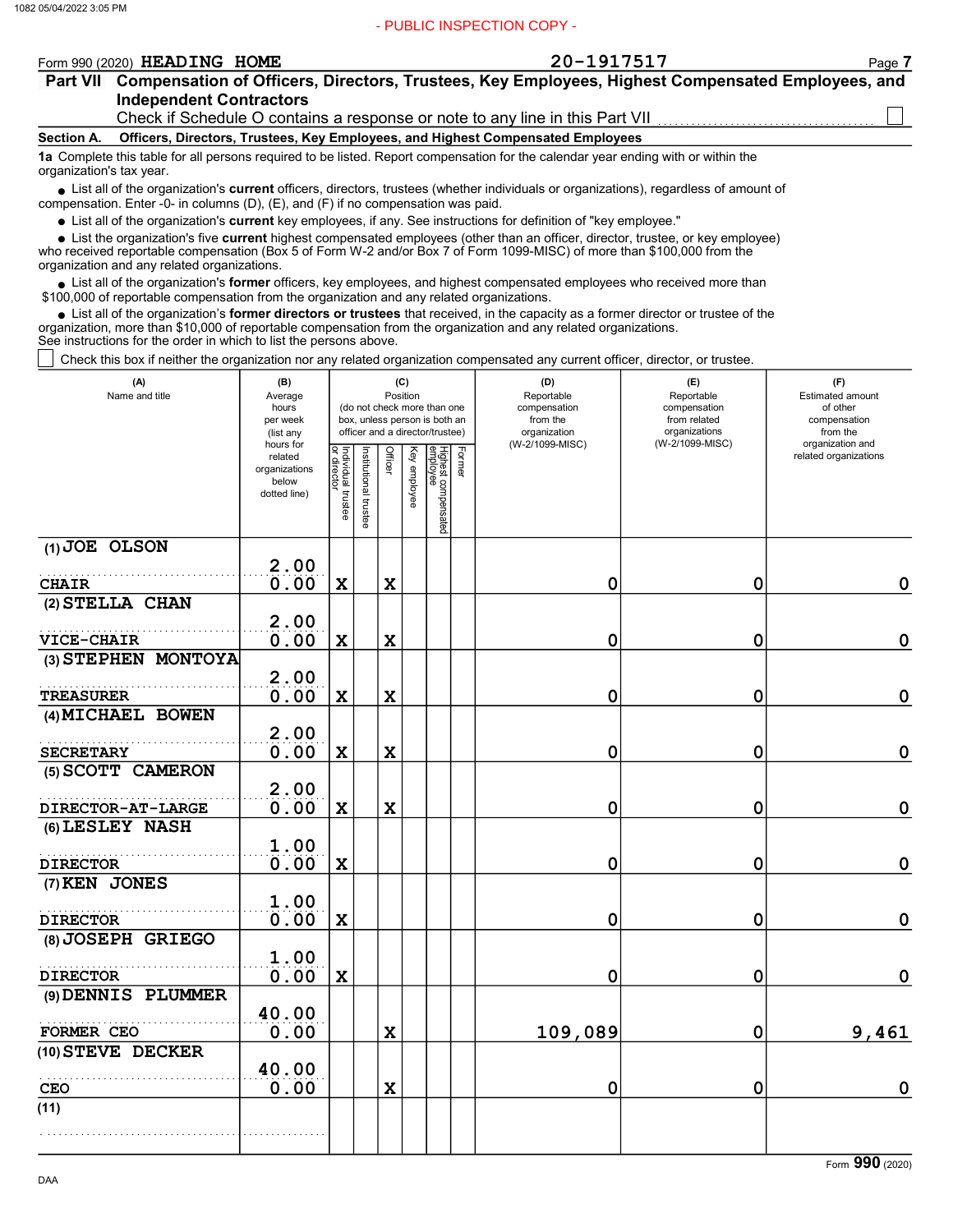| Form 990 (2020) HEADING HOME |  | 20-1917517                                                                                                              | Page |
|------------------------------|--|-------------------------------------------------------------------------------------------------------------------------|------|
|                              |  | . No. (ANI) A concert of a familiar and the Formal Formal contribution A concert for the concert of the contribution of |      |

|            | Part VII Compensation of Officers, Directors, Trustees, Key Employees, Highest Compensated Employees, and |
|------------|-----------------------------------------------------------------------------------------------------------|
|            | <b>Independent Contractors</b>                                                                            |
|            | Check if Schedule O contains a response or note to any line in this Part VII                              |
| Section A. | Officers, Directors, Trustees, Key Employees, and Highest Compensated Employees                           |

1a Complete this table for all persons required to be listed. Report compensation for the calendar year ending with or within the organization's tax year.

• List all of the organization's **current** officers, directors, trustees (whether individuals or organizations), regardless of amount of proposation. Enter  $\Omega$  in columns  $(D)$ ,  $(E)$  and  $(E)$  if no componention was paid compensation. Enter -0- in columns (D), (E), and (F) if no compensation was paid.

• List all of the organization's **current** key employees, if any. See instructions for definition of "key employee."

• List the organization's five **current** highest compensated employees (other than an officer, director, trustee, or key employee)<br>• received reportable compensation (Box 5 of Form W 2 and/or Box 7 of Form 1000 MISC) of m

who received reportable compensation (Box 5 of Form W-2 and/or Box 7 of Form 1099-MISC) of more than \$100,000 from the organization and any related organizations.

 $\bullet$  List all of the organization's **former** officers, key employees, and highest compensated employees who received more than  $\Omega$ ,  $\Omega$ ,  $\Omega$ ,  $\Omega$ \$100,000 of reportable compensation from the organization and any related organizations.

 $\bullet$  List all of the organization's **former directors or trustees** that received, in the capacity as a former director or trustee of the anization more than \$10,000 of reportable compensation from the organization and any organization, more than \$10,000 of reportable compensation from the organization and any related organizations. See instructions for the order in which to list the persons above.

Check this box if neither the organization nor any related organization compensated any current officer, director, or trustee.

| (A)<br>Name and title | (B)<br>Average<br>hours<br>per week<br>(list any<br>hours for | (C)<br>Position<br>(do not check more than one<br>box, unless person is both an<br>officer and a director/trustee) |                      |                |              |                                 |        | (D)<br>Reportable<br>compensation<br>from the<br>organization<br>(W-2/1099-MISC) | (E)<br>Reportable<br>compensation<br>from related<br>organizations<br>(W-2/1099-MISC) | (F)<br>Estimated amount<br>of other<br>compensation<br>from the<br>organization and |
|-----------------------|---------------------------------------------------------------|--------------------------------------------------------------------------------------------------------------------|----------------------|----------------|--------------|---------------------------------|--------|----------------------------------------------------------------------------------|---------------------------------------------------------------------------------------|-------------------------------------------------------------------------------------|
|                       | related<br>organizations<br>below<br>dotted line)             | Individual trustee<br>or director                                                                                  | nstitutional trustee | <b>Officer</b> | Key employee | Highest compensated<br>employee | Former |                                                                                  |                                                                                       | related organizations                                                               |
| $(1)$ JOE OLSON       | 2.00                                                          |                                                                                                                    |                      |                |              |                                 |        |                                                                                  |                                                                                       |                                                                                     |
| <b>CHAIR</b>          | 0.00                                                          | $\mathbf x$                                                                                                        |                      | $\mathbf x$    |              |                                 |        | 0                                                                                | 0                                                                                     | 0                                                                                   |
| (2) STELLA CHAN       | 2.00                                                          |                                                                                                                    |                      |                |              |                                 |        |                                                                                  |                                                                                       |                                                                                     |
| VICE-CHAIR            | 0.00                                                          | $\mathbf x$                                                                                                        |                      | X              |              |                                 |        | 0                                                                                | 0                                                                                     | 0                                                                                   |
| (3) STEPHEN MONTOYA   |                                                               |                                                                                                                    |                      |                |              |                                 |        |                                                                                  |                                                                                       |                                                                                     |
| <b>TREASURER</b>      | 2.00<br>0.00                                                  | $\mathbf x$                                                                                                        |                      | $\mathbf x$    |              |                                 |        | 0                                                                                | 0                                                                                     | 0                                                                                   |
| (4) MICHAEL BOWEN     |                                                               |                                                                                                                    |                      |                |              |                                 |        |                                                                                  |                                                                                       |                                                                                     |
|                       | 2.00                                                          |                                                                                                                    |                      |                |              |                                 |        |                                                                                  |                                                                                       |                                                                                     |
| <b>SECRETARY</b>      | 0.00                                                          | $\mathbf x$                                                                                                        |                      | $\mathbf x$    |              |                                 |        | $\mathbf 0$                                                                      | $\mathbf 0$                                                                           | 0                                                                                   |
| (5) SCOTT CAMERON     | 2.00                                                          |                                                                                                                    |                      |                |              |                                 |        |                                                                                  |                                                                                       |                                                                                     |
| DIRECTOR-AT-LARGE     | 0.00                                                          | X                                                                                                                  |                      | $\mathbf x$    |              |                                 |        | 0                                                                                | 0                                                                                     | 0                                                                                   |
| (6) LESLEY NASH       | 1.00                                                          |                                                                                                                    |                      |                |              |                                 |        |                                                                                  |                                                                                       |                                                                                     |
| <b>DIRECTOR</b>       | 0.00                                                          | $\mathbf x$                                                                                                        |                      |                |              |                                 |        | 0                                                                                | 0                                                                                     | 0                                                                                   |
| (7) KEN JONES         | 1.00                                                          |                                                                                                                    |                      |                |              |                                 |        |                                                                                  |                                                                                       |                                                                                     |
| <b>DIRECTOR</b>       | 0.00                                                          | $\mathbf x$                                                                                                        |                      |                |              |                                 |        | 0                                                                                | 0                                                                                     | $\mathbf 0$                                                                         |
| (8) JOSEPH GRIEGO     | 1.00                                                          |                                                                                                                    |                      |                |              |                                 |        |                                                                                  |                                                                                       |                                                                                     |
| <b>DIRECTOR</b>       | 0.00                                                          | $\mathbf x$                                                                                                        |                      |                |              |                                 |        | $\mathbf 0$                                                                      | 0                                                                                     | 0                                                                                   |
| (9) DENNIS PLUMMER    | 40.00                                                         |                                                                                                                    |                      |                |              |                                 |        |                                                                                  |                                                                                       |                                                                                     |
| FORMER CEO            | 0.00                                                          |                                                                                                                    |                      | $\mathbf x$    |              |                                 |        | 109,089                                                                          | 0                                                                                     | 9,461                                                                               |
| (10) STEVE DECKER     |                                                               |                                                                                                                    |                      |                |              |                                 |        |                                                                                  |                                                                                       |                                                                                     |
|                       | 40.00                                                         |                                                                                                                    |                      |                |              |                                 |        |                                                                                  |                                                                                       |                                                                                     |
| CEO                   | 0.00                                                          |                                                                                                                    |                      | $\mathbf x$    |              |                                 |        | 0                                                                                | 0                                                                                     | $\mathbf 0$                                                                         |
| (11)                  |                                                               |                                                                                                                    |                      |                |              |                                 |        |                                                                                  |                                                                                       |                                                                                     |
|                       |                                                               |                                                                                                                    |                      |                |              |                                 |        |                                                                                  |                                                                                       |                                                                                     |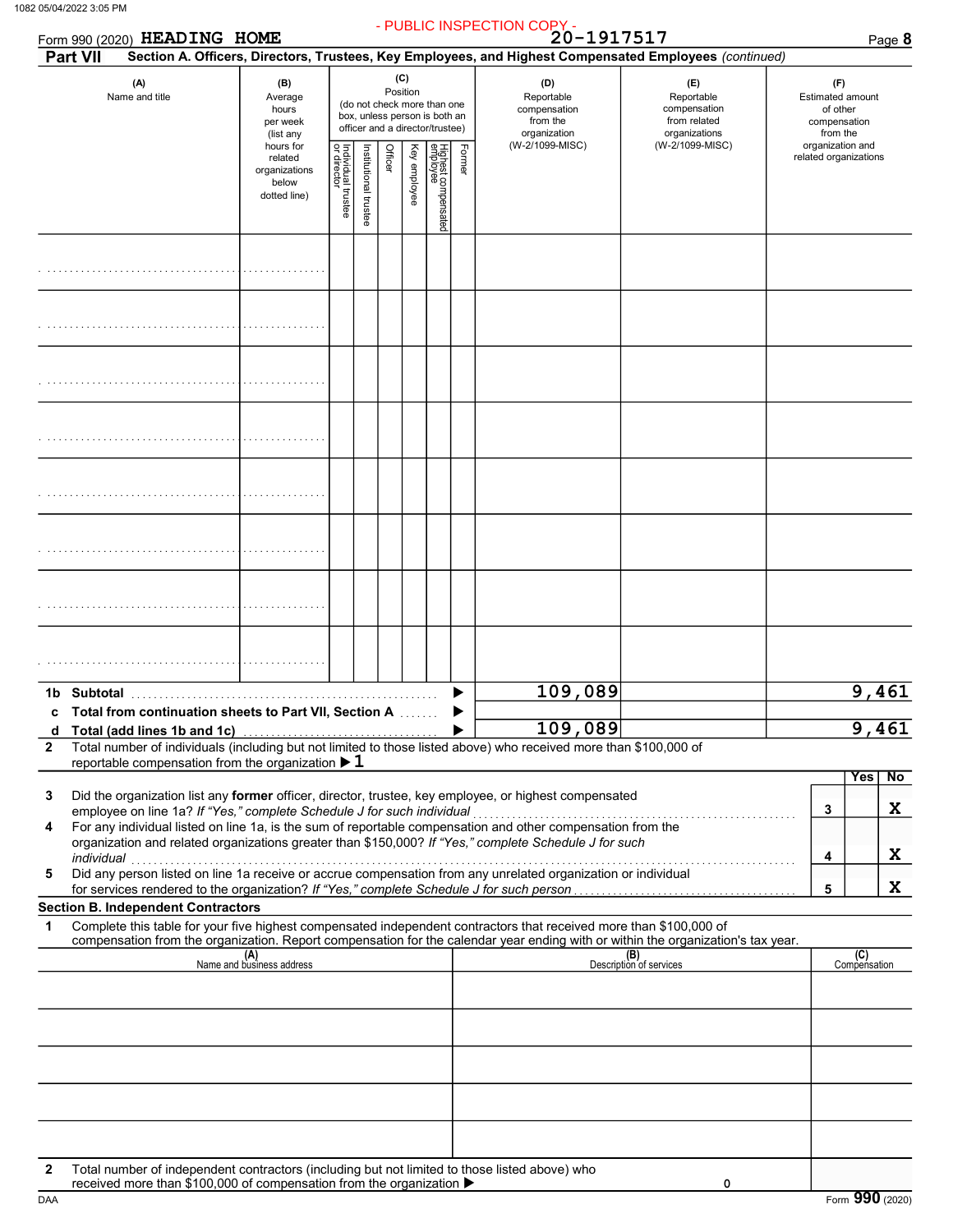| Part VII                                                                                                                                                                                                                  |                                                                |                                                                                                             |                       |         | (C)          |                                 |        |                                                               | Section A. Officers, Directors, Trustees, Key Employees, and Highest Compensated Employees (continued) |                                           |                                                                 |    |  |
|---------------------------------------------------------------------------------------------------------------------------------------------------------------------------------------------------------------------------|----------------------------------------------------------------|-------------------------------------------------------------------------------------------------------------|-----------------------|---------|--------------|---------------------------------|--------|---------------------------------------------------------------|--------------------------------------------------------------------------------------------------------|-------------------------------------------|-----------------------------------------------------------------|----|--|
| (A)<br>Name and title                                                                                                                                                                                                     | (B)<br>Average<br>hours<br>per week<br>(list any               | Position<br>(do not check more than one<br>box, unless person is both an<br>officer and a director/trustee) |                       |         |              |                                 |        | (D)<br>Reportable<br>compensation<br>from the<br>organization | (E)<br>Reportable<br>compensation<br>from related<br>organizations                                     | (F)                                       | <b>Estimated amount</b><br>of other<br>compensation<br>from the |    |  |
|                                                                                                                                                                                                                           | hours for<br>related<br>organizations<br>below<br>dotted line) | Individual trustee<br>or director                                                                           | Institutional trustee | Officer | Key employee | Highest compensated<br>employee | Former | (W-2/1099-MISC)                                               | (W-2/1099-MISC)                                                                                        | organization and<br>related organizations |                                                                 |    |  |
|                                                                                                                                                                                                                           |                                                                |                                                                                                             |                       |         |              |                                 |        |                                                               |                                                                                                        |                                           |                                                                 |    |  |
|                                                                                                                                                                                                                           |                                                                |                                                                                                             |                       |         |              |                                 |        |                                                               |                                                                                                        |                                           |                                                                 |    |  |
|                                                                                                                                                                                                                           |                                                                |                                                                                                             |                       |         |              |                                 |        |                                                               |                                                                                                        |                                           |                                                                 |    |  |
|                                                                                                                                                                                                                           |                                                                |                                                                                                             |                       |         |              |                                 |        |                                                               |                                                                                                        |                                           |                                                                 |    |  |
|                                                                                                                                                                                                                           |                                                                |                                                                                                             |                       |         |              |                                 |        |                                                               |                                                                                                        |                                           |                                                                 |    |  |
|                                                                                                                                                                                                                           |                                                                |                                                                                                             |                       |         |              |                                 |        |                                                               |                                                                                                        |                                           |                                                                 |    |  |
|                                                                                                                                                                                                                           |                                                                |                                                                                                             |                       |         |              |                                 |        |                                                               |                                                                                                        |                                           |                                                                 |    |  |
|                                                                                                                                                                                                                           |                                                                |                                                                                                             |                       |         |              |                                 |        | 109,089                                                       |                                                                                                        |                                           | 9,461                                                           |    |  |
| c Total from continuation sheets to Part VII. Section A<br>d<br>Total number of individuals (including but not limited to those listed above) who received more than \$100,000 of<br>$\mathbf{2}$                         |                                                                |                                                                                                             |                       |         |              |                                 |        | 109,089                                                       |                                                                                                        |                                           | 9,461                                                           |    |  |
| reportable compensation from the organization $\blacktriangleright$ 1                                                                                                                                                     |                                                                |                                                                                                             |                       |         |              |                                 |        |                                                               |                                                                                                        |                                           | Yes                                                             | No |  |
| Did the organization list any former officer, director, trustee, key employee, or highest compensated<br>3<br>employee on line 1a? If "Yes," complete Schedule J for such individual                                      |                                                                |                                                                                                             |                       |         |              |                                 |        |                                                               |                                                                                                        | 3                                         |                                                                 | X  |  |
| For any individual listed on line 1a, is the sum of reportable compensation and other compensation from the<br>4<br>organization and related organizations greater than \$150,000? If "Yes," complete Schedule J for such |                                                                |                                                                                                             |                       |         |              |                                 |        |                                                               |                                                                                                        |                                           |                                                                 |    |  |
| individual<br>Did any person listed on line 1a receive or accrue compensation from any unrelated organization or individual<br>5                                                                                          |                                                                |                                                                                                             |                       |         |              |                                 |        |                                                               |                                                                                                        | 4                                         |                                                                 | X  |  |
| <b>Section B. Independent Contractors</b>                                                                                                                                                                                 |                                                                |                                                                                                             |                       |         |              |                                 |        |                                                               |                                                                                                        | 5                                         |                                                                 | X  |  |
| Complete this table for your five highest compensated independent contractors that received more than \$100,000 of<br>1                                                                                                   |                                                                |                                                                                                             |                       |         |              |                                 |        |                                                               |                                                                                                        |                                           |                                                                 |    |  |
| compensation from the organization. Report compensation for the calendar year ending with or within the organization's tax year.                                                                                          | (A)<br>Name and business address                               |                                                                                                             |                       |         |              |                                 |        |                                                               | (B)<br>Description of services                                                                         |                                           | (C)<br>Compensation                                             |    |  |
|                                                                                                                                                                                                                           |                                                                |                                                                                                             |                       |         |              |                                 |        |                                                               |                                                                                                        |                                           |                                                                 |    |  |
|                                                                                                                                                                                                                           |                                                                |                                                                                                             |                       |         |              |                                 |        |                                                               |                                                                                                        |                                           |                                                                 |    |  |
|                                                                                                                                                                                                                           |                                                                |                                                                                                             |                       |         |              |                                 |        |                                                               |                                                                                                        |                                           |                                                                 |    |  |
|                                                                                                                                                                                                                           |                                                                |                                                                                                             |                       |         |              |                                 |        |                                                               |                                                                                                        |                                           |                                                                 |    |  |
|                                                                                                                                                                                                                           |                                                                |                                                                                                             |                       |         |              |                                 |        |                                                               |                                                                                                        |                                           |                                                                 |    |  |
| Total number of independent contractors (including but not limited to those listed above) who<br>2                                                                                                                        |                                                                |                                                                                                             |                       |         |              |                                 |        |                                                               |                                                                                                        |                                           |                                                                 |    |  |

2 Total number of independent contractors (including but not limited to those listed above) who received more than \$100,000 of compensation from the organization  $\blacktriangleright$ 

0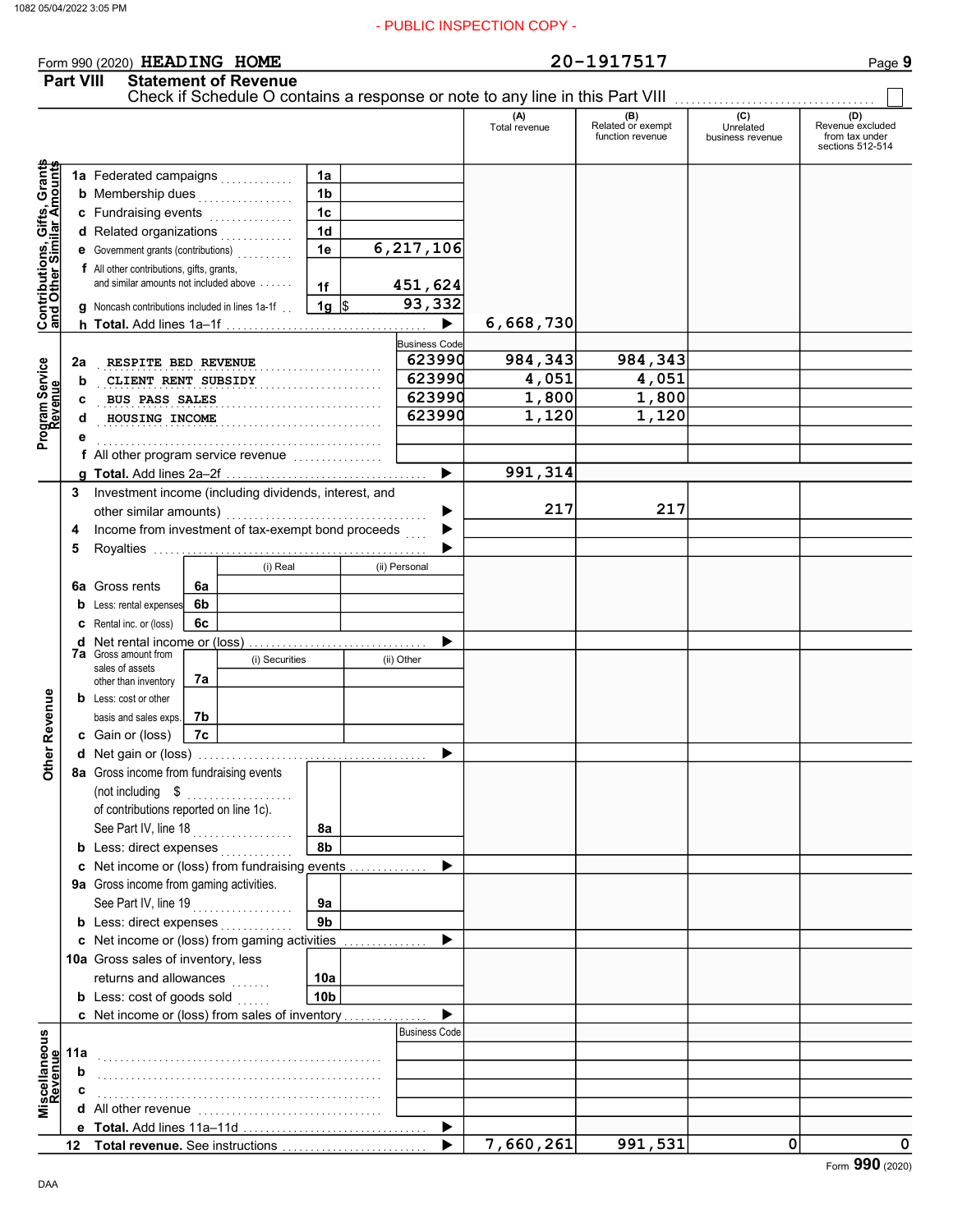Form 990 (2020) **HEADING HOME** Page 9

|                                                                 | <b>Part VIII</b> |                                                                                           |    | <b>Statement of Revenue</b> |                 |   |                                | Check if Schedule O contains a response or note to any line in this Part VIII |                                              |                                      |                                                               |
|-----------------------------------------------------------------|------------------|-------------------------------------------------------------------------------------------|----|-----------------------------|-----------------|---|--------------------------------|-------------------------------------------------------------------------------|----------------------------------------------|--------------------------------------|---------------------------------------------------------------|
|                                                                 |                  |                                                                                           |    |                             |                 |   |                                | (A)<br>Total revenue                                                          | (B)<br>Related or exempt<br>function revenue | (C)<br>Unrelated<br>business revenue | (D)<br>Revenue excluded<br>from tax under<br>sections 512-514 |
| <b>Contributions, Gifts, Grant</b><br>and Other Similar Amounts |                  | 1a Federated campaigns                                                                    |    |                             | 1a              |   |                                |                                                                               |                                              |                                      |                                                               |
|                                                                 |                  | <b>b</b> Membership dues <i></i>                                                          |    |                             | 1 <sub>b</sub>  |   |                                |                                                                               |                                              |                                      |                                                               |
|                                                                 |                  | c Fundraising events <b>Community</b>                                                     |    |                             | 1 <sub>c</sub>  |   |                                |                                                                               |                                              |                                      |                                                               |
|                                                                 |                  | d Related organizations                                                                   |    |                             | 1 <sub>d</sub>  |   |                                |                                                                               |                                              |                                      |                                                               |
|                                                                 |                  | e Government grants (contributions)<br>                                                   |    |                             | 1e              |   | 6, 217, 106                    |                                                                               |                                              |                                      |                                                               |
|                                                                 |                  | f All other contributions, gifts, grants,                                                 |    |                             |                 |   |                                |                                                                               |                                              |                                      |                                                               |
|                                                                 |                  | and similar amounts not included above                                                    |    |                             | 1f              |   | 451,624                        |                                                                               |                                              |                                      |                                                               |
|                                                                 |                  | <b>g</b> Noncash contributions included in lines 1a-1f                                    |    |                             | 1g $ $ \$       |   | 93,332                         |                                                                               |                                              |                                      |                                                               |
|                                                                 |                  |                                                                                           |    |                             |                 |   | $\blacktriangleright$          | 6,668,730                                                                     |                                              |                                      |                                                               |
|                                                                 |                  |                                                                                           |    |                             |                 |   | <b>Business Code</b><br>623990 | 984,343                                                                       | 984,343                                      |                                      |                                                               |
|                                                                 | 2a               | RESPITE BED REVENUE                                                                       |    |                             |                 | . | 623990                         | 4,051                                                                         | 4,051                                        |                                      |                                                               |
|                                                                 | b                | CLIENT RENT SUBSIDY                                                                       |    |                             |                 |   | 623990                         | 1,800                                                                         | 1,800                                        |                                      |                                                               |
| Program Service                                                 | C<br>d           | BUS PASS SALES<br>HOUSING INCOME                                                          |    |                             |                 |   | 623990                         | 1,120                                                                         | 1,120                                        |                                      |                                                               |
|                                                                 |                  |                                                                                           |    |                             |                 |   |                                |                                                                               |                                              |                                      |                                                               |
|                                                                 |                  | f All other program service revenue                                                       |    |                             |                 |   |                                |                                                                               |                                              |                                      |                                                               |
|                                                                 |                  |                                                                                           |    |                             |                 |   | ▶                              | 991,314                                                                       |                                              |                                      |                                                               |
|                                                                 | 3                | Investment income (including dividends, interest, and                                     |    |                             |                 |   |                                |                                                                               |                                              |                                      |                                                               |
|                                                                 |                  | other similar amounts)                                                                    |    |                             |                 |   |                                | 217                                                                           | 217                                          |                                      |                                                               |
|                                                                 | 4                | Income from investment of tax-exempt bond proceeds                                        |    |                             |                 |   |                                |                                                                               |                                              |                                      |                                                               |
|                                                                 | 5                |                                                                                           |    |                             |                 |   |                                |                                                                               |                                              |                                      |                                                               |
|                                                                 |                  |                                                                                           |    | (i) Real                    |                 |   | (ii) Personal                  |                                                                               |                                              |                                      |                                                               |
|                                                                 |                  | <b>6a</b> Gross rents                                                                     | 6a |                             |                 |   |                                |                                                                               |                                              |                                      |                                                               |
|                                                                 |                  | Less: rental expenses                                                                     | 6b |                             |                 |   |                                |                                                                               |                                              |                                      |                                                               |
|                                                                 |                  | Rental inc. or (loss)                                                                     | 6c |                             |                 |   |                                |                                                                               |                                              |                                      |                                                               |
|                                                                 |                  | <b>d</b> Net rental income or (loss)                                                      |    |                             |                 |   |                                |                                                                               |                                              |                                      |                                                               |
|                                                                 |                  | <b>7a</b> Gross amount from<br>sales of assets                                            |    | (i) Securities              |                 |   | (ii) Other                     |                                                                               |                                              |                                      |                                                               |
|                                                                 |                  | other than inventory                                                                      | 7a |                             |                 |   |                                |                                                                               |                                              |                                      |                                                               |
| her Revenue                                                     |                  | <b>b</b> Less: cost or other                                                              |    |                             |                 |   |                                |                                                                               |                                              |                                      |                                                               |
|                                                                 |                  | basis and sales exps.                                                                     | 7b |                             |                 |   |                                |                                                                               |                                              |                                      |                                                               |
|                                                                 |                  | c Gain or (loss)                                                                          | 7c |                             |                 |   |                                |                                                                               |                                              |                                      |                                                               |
|                                                                 |                  |                                                                                           |    |                             |                 |   |                                |                                                                               |                                              |                                      |                                                               |
| ō                                                               |                  | 8a Gross income from fundraising events                                                   |    |                             |                 |   |                                |                                                                               |                                              |                                      |                                                               |
|                                                                 |                  | (not including $$$                                                                        |    | .                           |                 |   |                                |                                                                               |                                              |                                      |                                                               |
|                                                                 |                  | of contributions reported on line 1c).                                                    |    |                             |                 |   |                                |                                                                               |                                              |                                      |                                                               |
|                                                                 |                  | See Part IV, line 18                                                                      |    |                             | 8a<br>8b        |   |                                |                                                                               |                                              |                                      |                                                               |
|                                                                 |                  | <b>b</b> Less: direct expenses $\ldots$<br>c Net income or (loss) from fundraising events |    |                             |                 |   |                                |                                                                               |                                              |                                      |                                                               |
|                                                                 |                  | 9a Gross income from gaming activities.                                                   |    |                             |                 |   |                                |                                                                               |                                              |                                      |                                                               |
|                                                                 |                  | See Part IV, line 19                                                                      |    |                             | 9a              |   |                                |                                                                               |                                              |                                      |                                                               |
|                                                                 |                  | <b>b</b> Less: direct expenses                                                            |    |                             | 9 <sub>b</sub>  |   |                                |                                                                               |                                              |                                      |                                                               |
|                                                                 |                  | <b>c</b> Net income or (loss) from gaming activities                                      |    |                             |                 |   |                                |                                                                               |                                              |                                      |                                                               |
|                                                                 |                  | 10a Gross sales of inventory, less                                                        |    |                             |                 |   |                                |                                                                               |                                              |                                      |                                                               |
|                                                                 |                  | returns and allowances                                                                    |    | $\overline{1}$              | 10a             |   |                                |                                                                               |                                              |                                      |                                                               |
|                                                                 |                  | <b>b</b> Less: cost of goods sold                                                         |    |                             | 10 <sub>b</sub> |   |                                |                                                                               |                                              |                                      |                                                               |
|                                                                 |                  | c Net income or (loss) from sales of inventory                                            |    |                             |                 |   |                                |                                                                               |                                              |                                      |                                                               |
|                                                                 |                  |                                                                                           |    |                             |                 |   | <b>Business Code</b>           |                                                                               |                                              |                                      |                                                               |
|                                                                 | 11a              |                                                                                           |    |                             |                 |   |                                |                                                                               |                                              |                                      |                                                               |
|                                                                 | b                |                                                                                           |    |                             |                 |   |                                |                                                                               |                                              |                                      |                                                               |
| Miscellaneous<br>Revenue                                        |                  |                                                                                           |    |                             |                 |   |                                |                                                                               |                                              |                                      |                                                               |
|                                                                 |                  |                                                                                           |    |                             |                 |   |                                |                                                                               |                                              |                                      |                                                               |
|                                                                 |                  |                                                                                           |    |                             |                 |   | ▶                              |                                                                               |                                              |                                      |                                                               |
|                                                                 |                  |                                                                                           |    |                             |                 |   |                                | 7,660,261                                                                     | 991,531                                      | 0                                    | 0                                                             |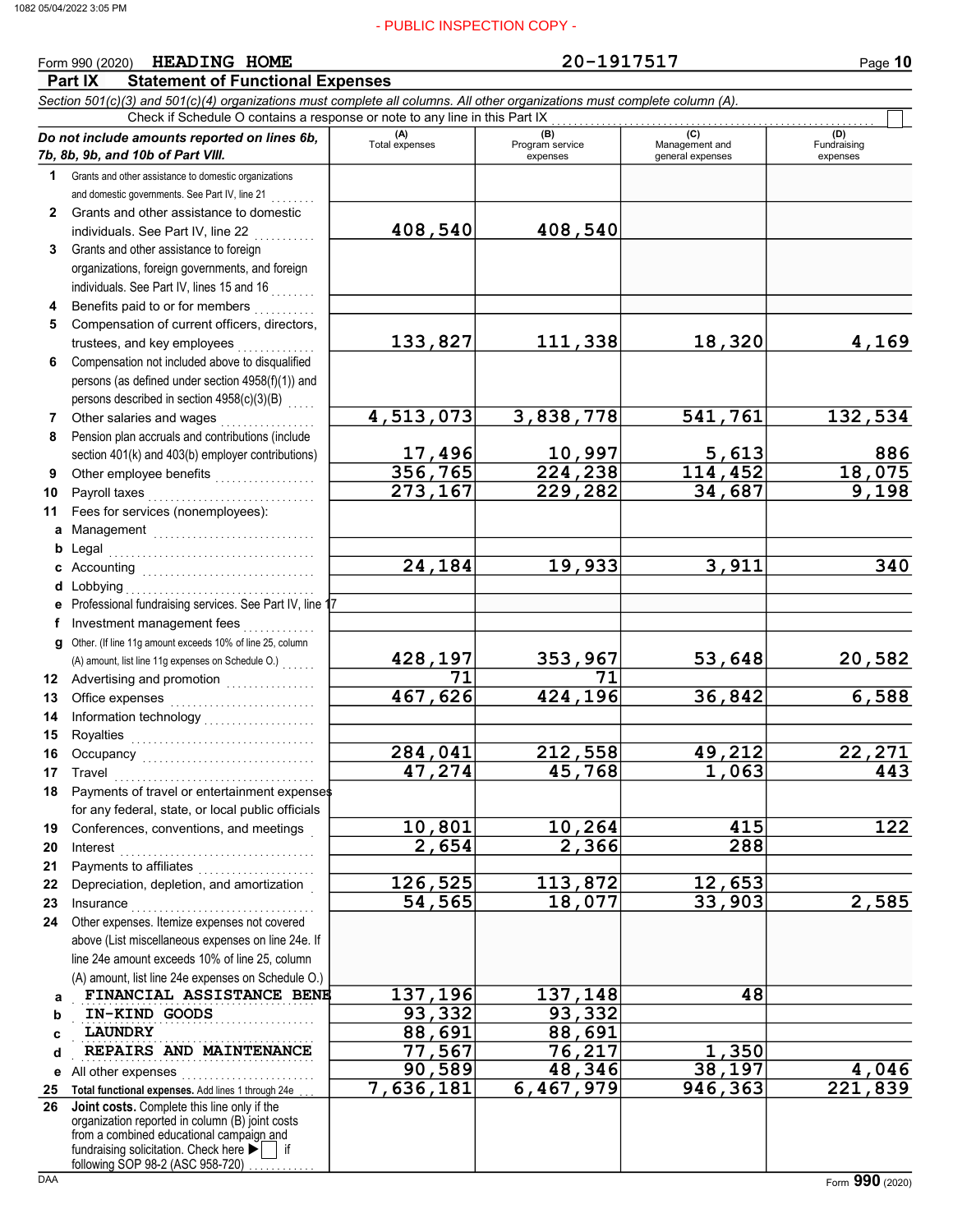| Page | 10 |  |
|------|----|--|
|      |    |  |

|              | <b>HEADING HOME</b><br>Form 990 (2020)                                                                                                                          |                       | 20-1917517             |                       | Page 10            |
|--------------|-----------------------------------------------------------------------------------------------------------------------------------------------------------------|-----------------------|------------------------|-----------------------|--------------------|
|              | <b>Statement of Functional Expenses</b><br>Part IX                                                                                                              |                       |                        |                       |                    |
|              | Section 501(c)(3) and 501(c)(4) organizations must complete all columns. All other organizations must complete column (A).                                      |                       |                        |                       |                    |
|              | Check if Schedule O contains a response or note to any line in this Part IX                                                                                     |                       |                        |                       |                    |
|              | Do not include amounts reported on lines 6b,                                                                                                                    | (A)<br>Total expenses | (B)<br>Program service | (C)<br>Management and | (D)<br>Fundraising |
|              | 7b, 8b, 9b, and 10b of Part VIII.                                                                                                                               |                       | expenses               | general expenses      | expenses           |
| $\mathbf 1$  | Grants and other assistance to domestic organizations                                                                                                           |                       |                        |                       |                    |
|              | and domestic governments. See Part IV, line 21                                                                                                                  |                       |                        |                       |                    |
| 2            | Grants and other assistance to domestic                                                                                                                         |                       |                        |                       |                    |
|              | individuals. See Part IV, line 22                                                                                                                               | 408,540               | 408,540                |                       |                    |
| 3            | Grants and other assistance to foreign                                                                                                                          |                       |                        |                       |                    |
|              | organizations, foreign governments, and foreign                                                                                                                 |                       |                        |                       |                    |
|              | individuals. See Part IV, lines 15 and 16                                                                                                                       |                       |                        |                       |                    |
| 4            | Benefits paid to or for members                                                                                                                                 |                       |                        |                       |                    |
| 5            | Compensation of current officers, directors,                                                                                                                    | 133,827               | 111,338                | 18,320                | 4,169              |
| 6            | trustees, and key employees<br><br>Compensation not included above to disqualified                                                                              |                       |                        |                       |                    |
|              | persons (as defined under section 4958(f)(1)) and                                                                                                               |                       |                        |                       |                    |
|              | persons described in section 4958(c)(3)(B)                                                                                                                      |                       |                        |                       |                    |
| $\mathbf{7}$ | Other salaries and wages                                                                                                                                        | 4,513,073             | 3,838,778              | 541,761               | 132,534            |
| 8            | Pension plan accruals and contributions (include                                                                                                                |                       |                        |                       |                    |
|              | section 401(k) and 403(b) employer contributions)                                                                                                               | 17,496                | 10,997                 | 5,613                 | 886                |
| 9            |                                                                                                                                                                 | 356,765               | 224,238                | 114,452               | 18,075             |
| 10           |                                                                                                                                                                 | 273,167               | 229,282                | 34,687                | 9,198              |
| 11           | Fees for services (nonemployees):                                                                                                                               |                       |                        |                       |                    |
|              | a Management                                                                                                                                                    |                       |                        |                       |                    |
|              |                                                                                                                                                                 |                       |                        |                       |                    |
|              |                                                                                                                                                                 | 24,184                | 19,933                 | 3,911                 | 340                |
|              | <b>d</b> Lobbying                                                                                                                                               |                       |                        |                       |                    |
|              | e Professional fundraising services. See Part IV, line 1                                                                                                        |                       |                        |                       |                    |
|              | f Investment management fees                                                                                                                                    |                       |                        |                       |                    |
|              | g Other. (If line 11g amount exceeds 10% of line 25, column                                                                                                     |                       |                        |                       |                    |
|              |                                                                                                                                                                 | 428,197               | 353,967                | 53,648                | <u>20,582</u>      |
|              | 12 Advertising and promotion                                                                                                                                    | 71                    | 71                     |                       |                    |
| 13           |                                                                                                                                                                 | 467,626               | 424,196                | 36,842                | 6,588              |
| 14           |                                                                                                                                                                 |                       |                        |                       |                    |
| 15           |                                                                                                                                                                 |                       |                        |                       |                    |
| 16           | Occupancy                                                                                                                                                       | 284,041               | 212,558                | 49,212                | <u>22,271</u>      |
| 17           | Travel                                                                                                                                                          | 47,274                | 45,768                 | 1,063                 | 443                |
| 18           | Payments of travel or entertainment expenses                                                                                                                    |                       |                        |                       |                    |
|              | for any federal, state, or local public officials                                                                                                               |                       |                        |                       |                    |
| 19           | Conferences, conventions, and meetings                                                                                                                          | 10,801                | 10,264                 | 415                   | 122                |
| 20           | Interest                                                                                                                                                        | 2,654                 | 2,366                  | 288                   |                    |
| 21           |                                                                                                                                                                 |                       |                        |                       |                    |
| 22           | Depreciation, depletion, and amortization                                                                                                                       | 126,525               | 113,872                | 12,653                |                    |
| 23           | Insurance with a continuum and the set of the set of the set of the set of the set of the set of the set of the<br>Other expenses. Itemize expenses not covered | 54,565                | 18,077                 | 33,903                | 2,585              |
| 24           | above (List miscellaneous expenses on line 24e. If                                                                                                              |                       |                        |                       |                    |
|              | line 24e amount exceeds 10% of line 25, column                                                                                                                  |                       |                        |                       |                    |
|              | (A) amount, list line 24e expenses on Schedule O.)                                                                                                              |                       |                        |                       |                    |
| a            | FINANCIAL ASSISTANCE BENE                                                                                                                                       | 137,196               | 137,148                | 48                    |                    |
| b            | IN-KIND GOODS                                                                                                                                                   | 93,332                | 93,332                 |                       |                    |
| c            | LAUNDRY                                                                                                                                                         | 88,691                | 88,691                 |                       |                    |
| d            | REPAIRS AND MAINTENANCE                                                                                                                                         | 77,567                | 76,217                 | 1,350                 |                    |
| е            | All other expenses                                                                                                                                              | 90,589                | 48,346                 | 38,197                | 4,046              |
| 25           | Total functional expenses. Add lines 1 through 24e                                                                                                              | 7,636,181             | 6,467,979              | 946,363               | 221,839            |
| 26           | Joint costs. Complete this line only if the                                                                                                                     |                       |                        |                       |                    |
|              | organization reported in column (B) joint costs<br>from a combined educational campaign and                                                                     |                       |                        |                       |                    |
|              | fundraising solicitation. Check here $\blacktriangleright$<br>if                                                                                                |                       |                        |                       |                    |
|              | following SOP 98-2 (ASC 958-720)                                                                                                                                |                       |                        |                       |                    |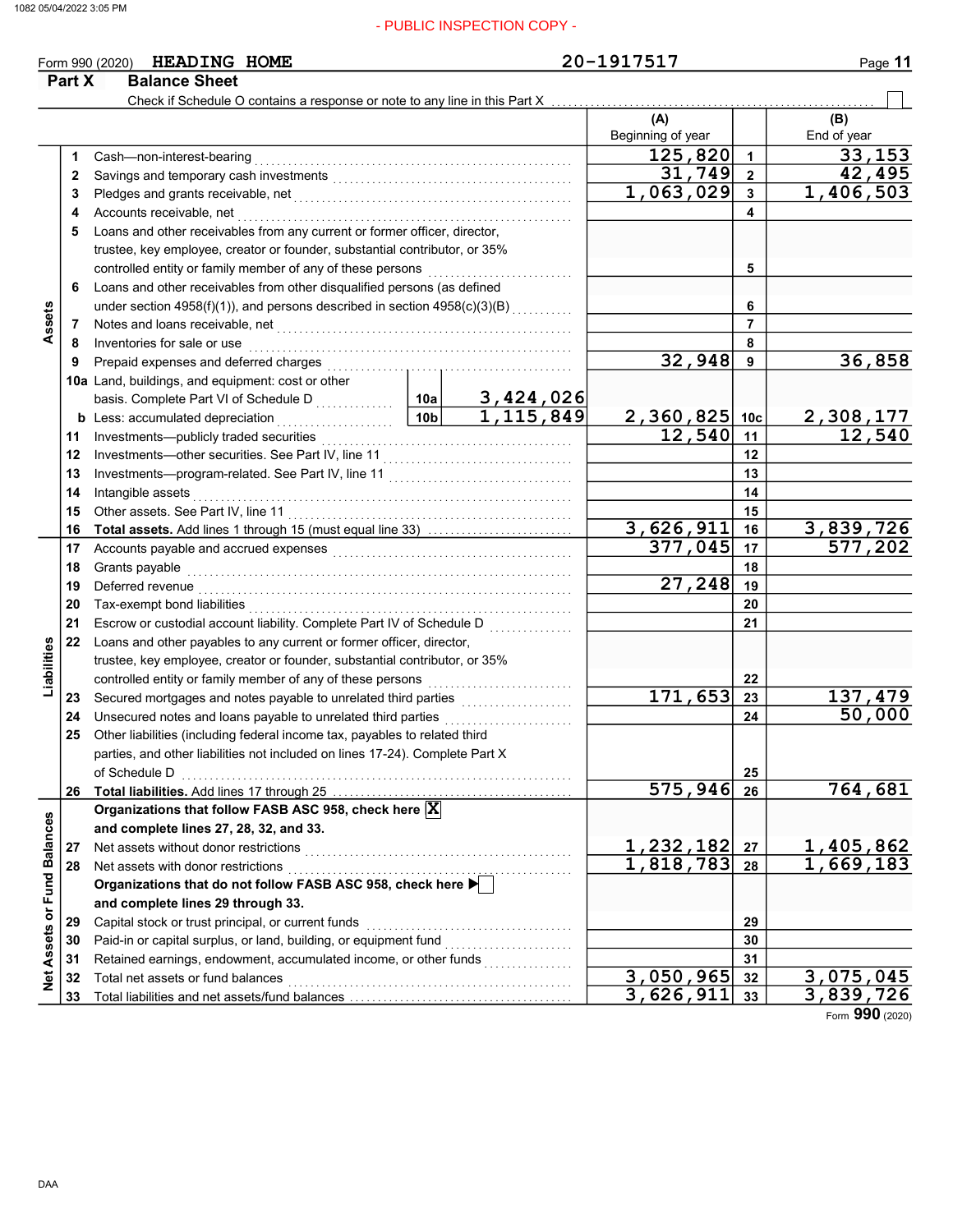|                                   | <b>HEADING HOME</b><br>Form 990 (2020)                                                                |                 |                        | 20-1917517               |                     | Page 11             |
|-----------------------------------|-------------------------------------------------------------------------------------------------------|-----------------|------------------------|--------------------------|---------------------|---------------------|
| Part X                            | <b>Balance Sheet</b>                                                                                  |                 |                        |                          |                     |                     |
|                                   | Check if Schedule O contains a response or note to any line in this Part X                            |                 |                        |                          |                     |                     |
|                                   |                                                                                                       |                 |                        | (A)                      |                     | (B)                 |
|                                   |                                                                                                       |                 |                        | Beginning of year        |                     | End of year         |
|                                   | Cash-non-interest-bearing                                                                             |                 |                        | <u>125,820</u><br>31,749 | $\mathbf{1}$        | <u>33,153</u>       |
| 2                                 |                                                                                                       |                 |                        | 1,063,029                | $\overline{2}$<br>3 | 42,495<br>1,406,503 |
| 3                                 |                                                                                                       |                 |                        |                          | 4                   |                     |
| 4                                 | Accounts receivable, net<br>Loans and other receivables from any current or former officer, director, |                 |                        |                          |                     |                     |
| 5                                 | trustee, key employee, creator or founder, substantial contributor, or 35%                            |                 |                        |                          |                     |                     |
|                                   | controlled entity or family member of any of these persons                                            |                 |                        |                          | 5                   |                     |
| 6                                 | Loans and other receivables from other disqualified persons (as defined                               |                 | .                      |                          |                     |                     |
|                                   | under section 4958(f)(1)), and persons described in section 4958(c)(3)(B)                             |                 |                        |                          | 6                   |                     |
| Assets                            |                                                                                                       |                 |                        |                          | $\overline{7}$      |                     |
| 7                                 | Notes and loans receivable, net<br>Inventories for sale or use                                        |                 |                        |                          | 8                   |                     |
| 8                                 | Prepaid expenses and deferred charges                                                                 |                 |                        | 32,948                   | 9                   | 36,858              |
| 9                                 | 10a Land, buildings, and equipment: cost or other                                                     |                 |                        |                          |                     |                     |
|                                   |                                                                                                       |                 | 3,424,026              |                          |                     |                     |
|                                   | <b>b</b> Less: accumulated depreciation                                                               | 10 <sub>b</sub> | $\overline{1,115,849}$ | 2,360,825 10c            |                     | 2,308,177           |
| 11                                | .<br>Investments-publicly traded securities                                                           |                 |                        | 12,540                   | 11                  | 12,540              |
| 12                                | Investments-other securities. See Part IV, line 11                                                    |                 |                        |                          | 12                  |                     |
| 13                                |                                                                                                       |                 |                        |                          | 13                  |                     |
| 14                                | Intangible assets                                                                                     |                 |                        |                          | 14                  |                     |
| 15                                | Other assets. See Part IV, line 11                                                                    |                 |                        |                          | 15                  |                     |
| 16                                |                                                                                                       |                 |                        | 3,626,911                | 16                  | 3,839,726           |
| 17                                |                                                                                                       |                 |                        | 377,045                  | 17                  | 577,202             |
| 18                                | Grants payable                                                                                        |                 |                        |                          | 18                  |                     |
| 19                                | Deferred revenue                                                                                      |                 |                        | 27,248                   | 19                  |                     |
| 20                                | Tax-exempt bond liabilities                                                                           |                 |                        |                          | 20                  |                     |
| 21                                | Escrow or custodial account liability. Complete Part IV of Schedule D                                 |                 |                        |                          | 21                  |                     |
| 22                                | Loans and other payables to any current or former officer, director,                                  |                 |                        |                          |                     |                     |
| Liabilities                       | trustee, key employee, creator or founder, substantial contributor, or 35%                            |                 |                        |                          |                     |                     |
|                                   | controlled entity or family member of any of these persons                                            |                 |                        |                          | 22                  |                     |
|                                   | 23 Secured mortgages and notes payable to unrelated third parties                                     |                 |                        | 171,653                  | 23                  | 137,479             |
| 24                                | Unsecured notes and loans payable to unrelated third parties                                          |                 |                        |                          | 24                  | 50,000              |
| 25                                | Other liabilities (including federal income tax, payables to related third                            |                 |                        |                          |                     |                     |
|                                   | parties, and other liabilities not included on lines 17-24). Complete Part X                          |                 |                        |                          |                     |                     |
|                                   | of Schedule D                                                                                         |                 |                        |                          | 25                  |                     |
| 26                                |                                                                                                       |                 |                        | 575,946                  | 26                  | 764,681             |
|                                   | Organizations that follow FASB ASC 958, check here  X                                                 |                 |                        |                          |                     |                     |
|                                   | and complete lines 27, 28, 32, and 33.                                                                |                 |                        |                          |                     |                     |
| 27                                | Net assets without donor restrictions                                                                 |                 |                        | 1,232,182                | 27                  | 1,405,862           |
| 28                                | Net assets with donor restrictions                                                                    | 1,818,783       | 28                     | 1,669,183                |                     |                     |
|                                   | Organizations that do not follow FASB ASC 958, check here                                             |                 |                        |                          |                     |                     |
|                                   | and complete lines 29 through 33.                                                                     |                 |                        |                          |                     |                     |
| 29                                | Capital stock or trust principal, or current funds                                                    |                 |                        |                          | 29                  |                     |
| 30                                | Paid-in or capital surplus, or land, building, or equipment fund                                      |                 |                        |                          | 30                  |                     |
| 31                                | Retained earnings, endowment, accumulated income, or other funds                                      |                 |                        |                          | 31                  |                     |
| Net Assets or Fund Balances<br>32 | Total net assets or fund balances                                                                     |                 |                        | 3,050,965                | 32                  | 3,075,045           |
| 33                                |                                                                                                       |                 |                        | 3,626,911                | 33                  | 3,839,726           |

Form 990 (2020)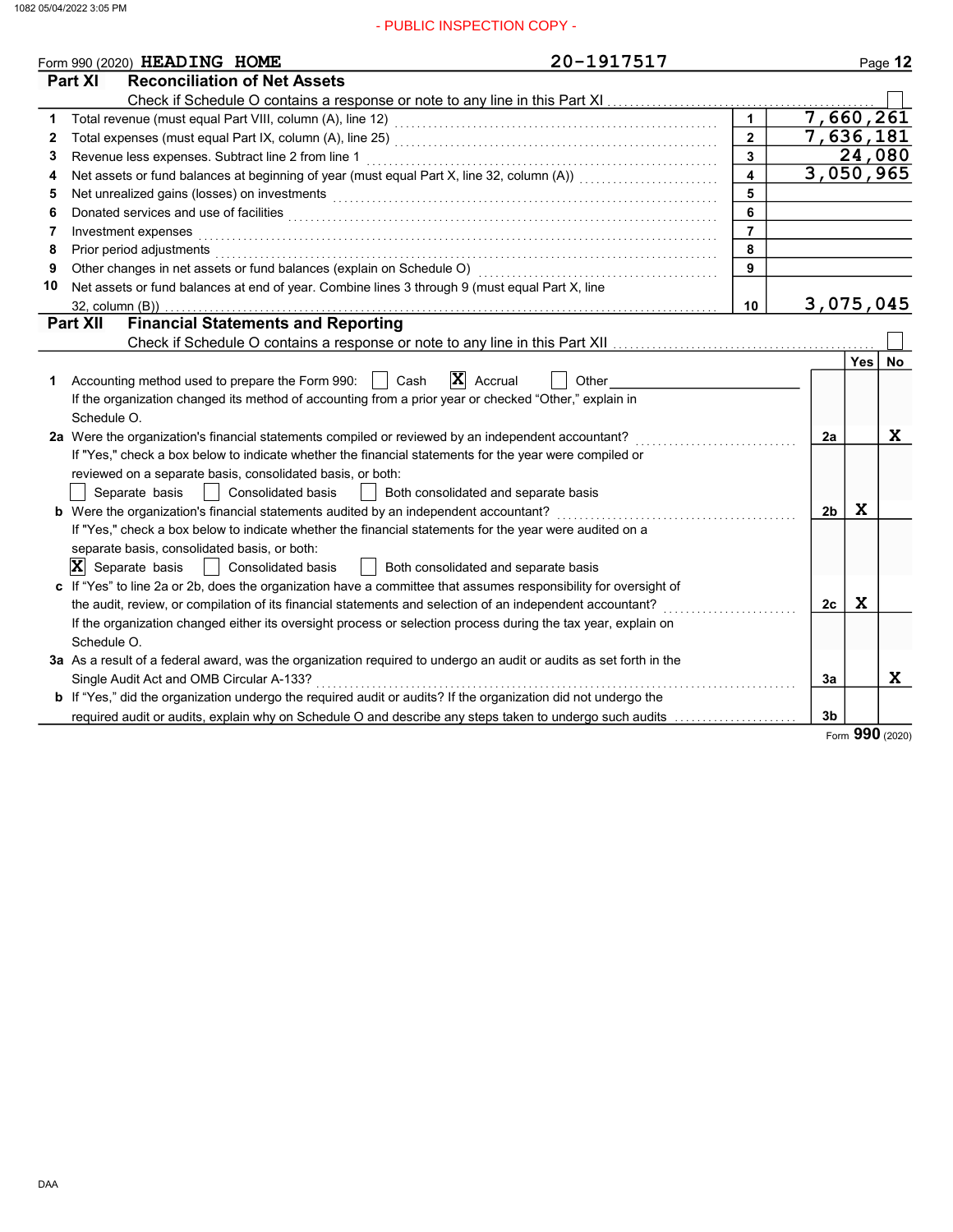|    | - PUBLIC INSPECTION COPY -                                                                                                                                                                                                    |            |                         |                |     |           |
|----|-------------------------------------------------------------------------------------------------------------------------------------------------------------------------------------------------------------------------------|------------|-------------------------|----------------|-----|-----------|
|    | Form 990 (2020) HEADING HOME                                                                                                                                                                                                  | 20-1917517 |                         |                |     | Page 12   |
|    | <b>Reconciliation of Net Assets</b><br>Part XI                                                                                                                                                                                |            |                         |                |     |           |
|    |                                                                                                                                                                                                                               |            |                         |                |     |           |
| 1  |                                                                                                                                                                                                                               |            | $\mathbf{1}$            | 7,660,261      |     |           |
| 2  |                                                                                                                                                                                                                               |            | $\overline{2}$          | 7,636,181      |     |           |
| 3  | Revenue less expenses. Subtract line 2 from line 1                                                                                                                                                                            |            | $\overline{3}$          |                |     | 24,080    |
| 4  | Net assets or fund balances at beginning of year (must equal Part X, line 32, column (A)) [[[[[[[[[[[[[[[[[[[                                                                                                                 |            | $\overline{\mathbf{A}}$ | 3,050,965      |     |           |
| 5  | Net unrealized gains (losses) on investments                                                                                                                                                                                  |            | 5                       |                |     |           |
| 6  | Donated services and use of facilities with an array and the control of the service of the control of the control of the control of the control of the control of the control of the control of the control of the control of |            | 6                       |                |     |           |
| 7  | Investment expenses                                                                                                                                                                                                           |            | $\overline{7}$          |                |     |           |
| 8  | Prior period adjustments                                                                                                                                                                                                      |            | 8                       |                |     |           |
| 9  | Other changes in net assets or fund balances (explain on Schedule O)                                                                                                                                                          |            | 9                       |                |     |           |
| 10 | Net assets or fund balances at end of year. Combine lines 3 through 9 (must equal Part X, line                                                                                                                                |            |                         |                |     |           |
|    | 32, column (B))                                                                                                                                                                                                               |            | 10                      | 3,075,045      |     |           |
|    | <b>Financial Statements and Reporting</b><br><b>Part XII</b>                                                                                                                                                                  |            |                         |                |     |           |
|    |                                                                                                                                                                                                                               |            |                         |                |     |           |
|    |                                                                                                                                                                                                                               |            |                         |                | Yes | <b>No</b> |
| 1  | $\overline{\mathbf{X}}$ Accrual<br>Accounting method used to prepare the Form 990:    <br>Cash                                                                                                                                | Other      |                         |                |     |           |
|    | If the organization changed its method of accounting from a prior year or checked "Other," explain in                                                                                                                         |            |                         |                |     |           |
|    | Schedule O.                                                                                                                                                                                                                   |            |                         |                |     |           |
|    | 2a Were the organization's financial statements compiled or reviewed by an independent accountant?                                                                                                                            |            |                         | 2a             |     | X         |
|    | If "Yes," check a box below to indicate whether the financial statements for the year were compiled or                                                                                                                        |            |                         |                |     |           |
|    | reviewed on a separate basis, consolidated basis, or both:                                                                                                                                                                    |            |                         |                |     |           |
|    | Separate basis<br><b>Consolidated basis</b><br>Both consolidated and separate basis                                                                                                                                           |            |                         |                |     |           |
|    | b Were the organization's financial statements audited by an independent accountant?                                                                                                                                          |            |                         | 2 <sub>b</sub> | x   |           |
|    | If "Yes," check a box below to indicate whether the financial statements for the year were audited on a                                                                                                                       |            |                         |                |     |           |
|    | separate basis, consolidated basis, or both:                                                                                                                                                                                  |            |                         |                |     |           |
|    | $ \mathbf{X} $ Separate basis<br><b>Consolidated basis</b><br>Both consolidated and separate basis                                                                                                                            |            |                         |                |     |           |
|    | c If "Yes" to line 2a or 2b, does the organization have a committee that assumes responsibility for oversight of                                                                                                              |            |                         |                |     |           |
|    | the audit, review, or compilation of its financial statements and selection of an independent accountant?                                                                                                                     |            |                         | 2c             | X   |           |
|    | If the organization changed either its oversight process or selection process during the tax year, explain on                                                                                                                 |            |                         |                |     |           |
|    | Schedule O.                                                                                                                                                                                                                   |            |                         |                |     |           |
|    | 3a As a result of a federal award, was the organization required to undergo an audit or audits as set forth in the                                                                                                            |            |                         |                |     |           |
|    | Single Audit Act and OMB Circular A-133?                                                                                                                                                                                      | .          |                         | 3a             |     | X         |
|    | b If "Yes," did the organization undergo the required audit or audits? If the organization did not undergo the                                                                                                                |            |                         |                |     |           |
|    | required audit or audits, explain why on Schedule O and describe any steps taken to undergo such audits                                                                                                                       |            |                         | 3b             |     |           |

Form 990 (2020)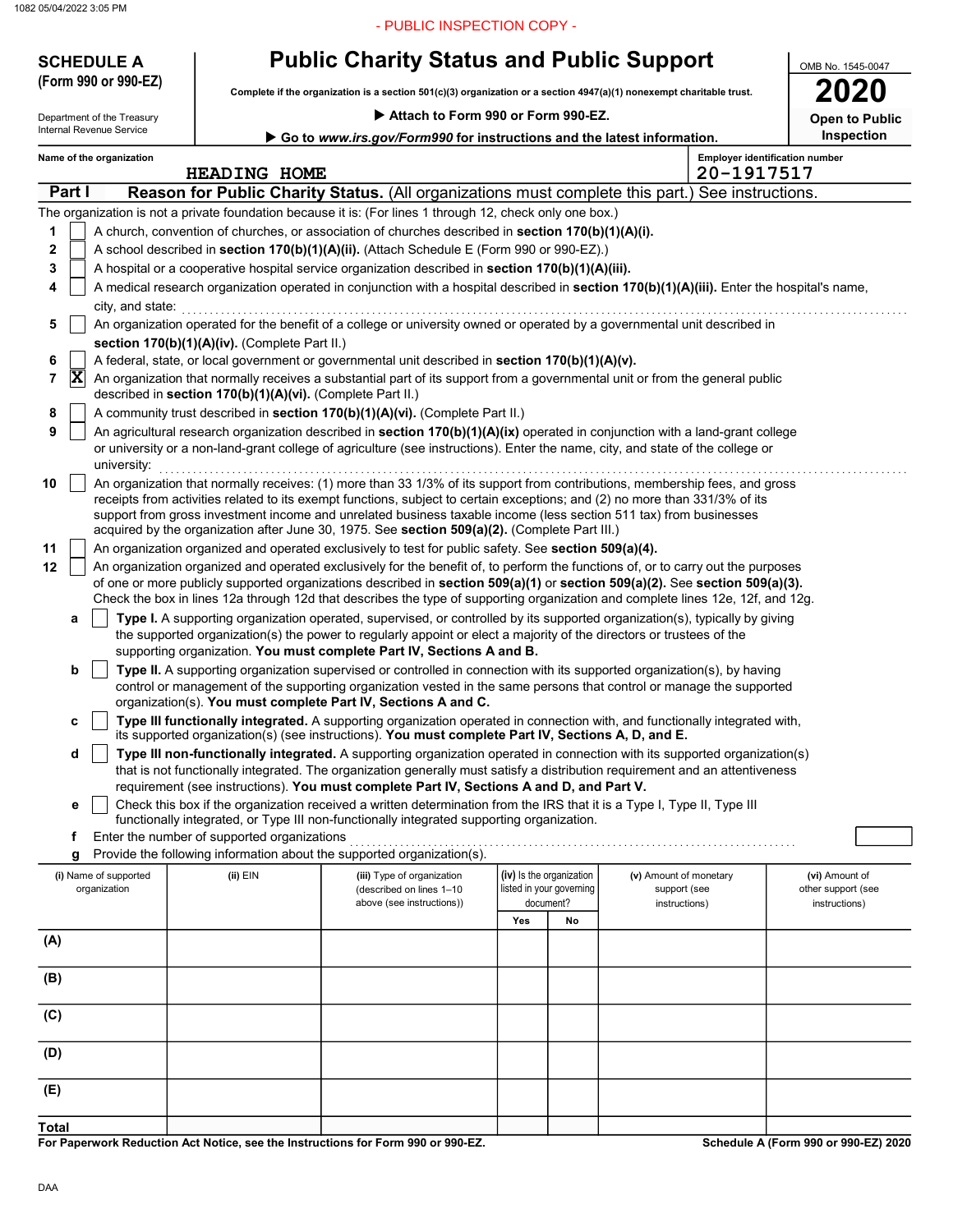| <b>SCHEDULE A</b>          |                                                            | <b>Public Charity Status and Public Support</b>                                                                                                                                                                                                                 |     |                                       |                               |            | OMB No. 1545-0047                     |
|----------------------------|------------------------------------------------------------|-----------------------------------------------------------------------------------------------------------------------------------------------------------------------------------------------------------------------------------------------------------------|-----|---------------------------------------|-------------------------------|------------|---------------------------------------|
| (Form 990 or 990-EZ)       |                                                            | Complete if the organization is a section 501(c)(3) organization or a section 4947(a)(1) nonexempt charitable trust.                                                                                                                                            |     |                                       |                               |            | 2020                                  |
| Department of the Treasury |                                                            | Attach to Form 990 or Form 990-EZ.                                                                                                                                                                                                                              |     |                                       |                               |            |                                       |
| Internal Revenue Service   |                                                            | Go to www.irs.gov/Form990 for instructions and the latest information.                                                                                                                                                                                          |     |                                       |                               |            | <b>Open to Public</b><br>Inspection   |
| Name of the organization   |                                                            |                                                                                                                                                                                                                                                                 |     |                                       |                               |            | <b>Employer identification number</b> |
|                            | <b>HEADING HOME</b>                                        |                                                                                                                                                                                                                                                                 |     |                                       |                               | 20-1917517 |                                       |
| Part I                     |                                                            | Reason for Public Charity Status. (All organizations must complete this part.) See instructions.                                                                                                                                                                |     |                                       |                               |            |                                       |
|                            |                                                            | The organization is not a private foundation because it is: (For lines 1 through 12, check only one box.)                                                                                                                                                       |     |                                       |                               |            |                                       |
| 1                          |                                                            | A church, convention of churches, or association of churches described in section 170(b)(1)(A)(i).                                                                                                                                                              |     |                                       |                               |            |                                       |
| 2                          |                                                            | A school described in section 170(b)(1)(A)(ii). (Attach Schedule E (Form 990 or 990-EZ).)                                                                                                                                                                       |     |                                       |                               |            |                                       |
| 3<br>4                     |                                                            | A hospital or a cooperative hospital service organization described in section 170(b)(1)(A)(iii).<br>A medical research organization operated in conjunction with a hospital described in section 170(b)(1)(A)(iii). Enter the hospital's name,                 |     |                                       |                               |            |                                       |
| city, and state:           |                                                            |                                                                                                                                                                                                                                                                 |     |                                       |                               |            |                                       |
| 5                          |                                                            | An organization operated for the benefit of a college or university owned or operated by a governmental unit described in                                                                                                                                       |     |                                       |                               |            |                                       |
|                            | section 170(b)(1)(A)(iv). (Complete Part II.)              |                                                                                                                                                                                                                                                                 |     |                                       |                               |            |                                       |
| 6                          |                                                            | A federal, state, or local government or governmental unit described in section 170(b)(1)(A)(v).                                                                                                                                                                |     |                                       |                               |            |                                       |
| $ {\bf X} $<br>7           |                                                            | An organization that normally receives a substantial part of its support from a governmental unit or from the general public                                                                                                                                    |     |                                       |                               |            |                                       |
|                            | described in section 170(b)(1)(A)(vi). (Complete Part II.) |                                                                                                                                                                                                                                                                 |     |                                       |                               |            |                                       |
| 8                          |                                                            | A community trust described in section 170(b)(1)(A)(vi). (Complete Part II.)                                                                                                                                                                                    |     |                                       |                               |            |                                       |
| 9<br>university:           |                                                            | An agricultural research organization described in section 170(b)(1)(A)(ix) operated in conjunction with a land-grant college<br>or university or a non-land-grant college of agriculture (see instructions). Enter the name, city, and state of the college or |     |                                       |                               |            |                                       |
| 10                         |                                                            | An organization that normally receives: (1) more than 33 1/3% of its support from contributions, membership fees, and gross                                                                                                                                     |     |                                       |                               |            |                                       |
|                            |                                                            | receipts from activities related to its exempt functions, subject to certain exceptions; and (2) no more than 331/3% of its                                                                                                                                     |     |                                       |                               |            |                                       |
|                            |                                                            | support from gross investment income and unrelated business taxable income (less section 511 tax) from businesses                                                                                                                                               |     |                                       |                               |            |                                       |
|                            |                                                            | acquired by the organization after June 30, 1975. See section 509(a)(2). (Complete Part III.)                                                                                                                                                                   |     |                                       |                               |            |                                       |
| 11                         |                                                            | An organization organized and operated exclusively to test for public safety. See section 509(a)(4).                                                                                                                                                            |     |                                       |                               |            |                                       |
| 12                         |                                                            | An organization organized and operated exclusively for the benefit of, to perform the functions of, or to carry out the purposes<br>of one or more publicly supported organizations described in section 509(a)(1) or section 509(a)(2). See section 509(a)(3). |     |                                       |                               |            |                                       |
|                            |                                                            | Check the box in lines 12a through 12d that describes the type of supporting organization and complete lines 12e, 12f, and 12g.                                                                                                                                 |     |                                       |                               |            |                                       |
| а                          |                                                            | Type I. A supporting organization operated, supervised, or controlled by its supported organization(s), typically by giving                                                                                                                                     |     |                                       |                               |            |                                       |
|                            |                                                            | the supported organization(s) the power to regularly appoint or elect a majority of the directors or trustees of the                                                                                                                                            |     |                                       |                               |            |                                       |
|                            |                                                            | supporting organization. You must complete Part IV, Sections A and B.                                                                                                                                                                                           |     |                                       |                               |            |                                       |
| b                          |                                                            | Type II. A supporting organization supervised or controlled in connection with its supported organization(s), by having                                                                                                                                         |     |                                       |                               |            |                                       |
|                            |                                                            | control or management of the supporting organization vested in the same persons that control or manage the supported<br>organization(s). You must complete Part IV, Sections A and C.                                                                           |     |                                       |                               |            |                                       |
| c                          |                                                            | Type III functionally integrated. A supporting organization operated in connection with, and functionally integrated with,                                                                                                                                      |     |                                       |                               |            |                                       |
|                            |                                                            | its supported organization(s) (see instructions). You must complete Part IV, Sections A, D, and E.                                                                                                                                                              |     |                                       |                               |            |                                       |
| d                          |                                                            | Type III non-functionally integrated. A supporting organization operated in connection with its supported organization(s)                                                                                                                                       |     |                                       |                               |            |                                       |
|                            |                                                            | that is not functionally integrated. The organization generally must satisfy a distribution requirement and an attentiveness<br>requirement (see instructions). You must complete Part IV, Sections A and D, and Part V.                                        |     |                                       |                               |            |                                       |
| е                          |                                                            | Check this box if the organization received a written determination from the IRS that it is a Type I, Type II, Type III                                                                                                                                         |     |                                       |                               |            |                                       |
|                            |                                                            | functionally integrated, or Type III non-functionally integrated supporting organization.                                                                                                                                                                       |     |                                       |                               |            |                                       |
| f                          | Enter the number of supported organizations                |                                                                                                                                                                                                                                                                 |     |                                       |                               |            |                                       |
| g                          |                                                            | Provide the following information about the supported organization(s).                                                                                                                                                                                          |     |                                       |                               |            |                                       |
| (i) Name of supported      | (ii) EIN                                                   | (iii) Type of organization                                                                                                                                                                                                                                      |     | (iv) Is the organization              | (v) Amount of monetary        |            | (vi) Amount of                        |
| organization               |                                                            | (described on lines 1-10<br>above (see instructions))                                                                                                                                                                                                           |     | listed in your governing<br>document? | support (see<br>instructions) |            | other support (see<br>instructions)   |
|                            |                                                            |                                                                                                                                                                                                                                                                 | Yes | No                                    |                               |            |                                       |
| (A)                        |                                                            |                                                                                                                                                                                                                                                                 |     |                                       |                               |            |                                       |
|                            |                                                            |                                                                                                                                                                                                                                                                 |     |                                       |                               |            |                                       |
| (B)                        |                                                            |                                                                                                                                                                                                                                                                 |     |                                       |                               |            |                                       |
|                            |                                                            |                                                                                                                                                                                                                                                                 |     |                                       |                               |            |                                       |
| (C)                        |                                                            |                                                                                                                                                                                                                                                                 |     |                                       |                               |            |                                       |
|                            |                                                            |                                                                                                                                                                                                                                                                 |     |                                       |                               |            |                                       |
| (D)                        |                                                            |                                                                                                                                                                                                                                                                 |     |                                       |                               |            |                                       |
|                            |                                                            |                                                                                                                                                                                                                                                                 |     |                                       |                               |            |                                       |
| (E)                        |                                                            |                                                                                                                                                                                                                                                                 |     |                                       |                               |            |                                       |
| <b>Total</b>               |                                                            |                                                                                                                                                                                                                                                                 |     |                                       |                               |            |                                       |
|                            |                                                            |                                                                                                                                                                                                                                                                 |     |                                       |                               |            |                                       |

For Paperwork Reduction Act Notice, see the Instructions for Form 990 or 990-EZ.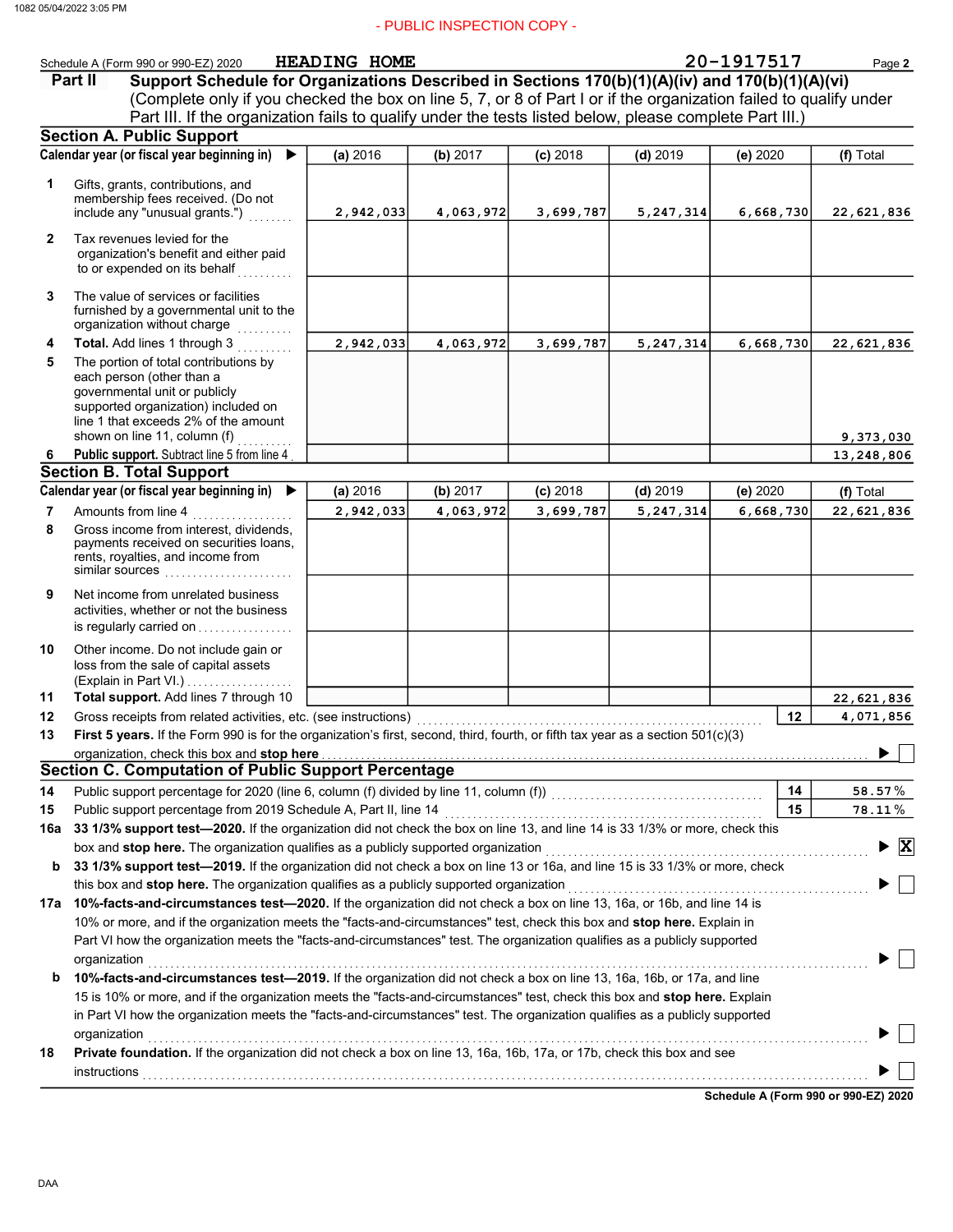|              | Schedule A (Form 990 or 990-EZ) 2020                                                                                                                                                                                                                                 | <b>HEADING HOME</b> |           |            |            | 20-1917517 |    | Page 2                          |
|--------------|----------------------------------------------------------------------------------------------------------------------------------------------------------------------------------------------------------------------------------------------------------------------|---------------------|-----------|------------|------------|------------|----|---------------------------------|
|              | Support Schedule for Organizations Described in Sections 170(b)(1)(A)(iv) and 170(b)(1)(A)(vi)<br>Part II                                                                                                                                                            |                     |           |            |            |            |    |                                 |
|              | (Complete only if you checked the box on line 5, 7, or 8 of Part I or if the organization failed to qualify under                                                                                                                                                    |                     |           |            |            |            |    |                                 |
|              | Part III. If the organization fails to qualify under the tests listed below, please complete Part III.)                                                                                                                                                              |                     |           |            |            |            |    |                                 |
|              | <b>Section A. Public Support</b>                                                                                                                                                                                                                                     |                     |           |            |            |            |    |                                 |
|              | Calendar year (or fiscal year beginning in)                                                                                                                                                                                                                          | (a) 2016            | (b) 2017  | $(c)$ 2018 | $(d)$ 2019 | (e) 2020   |    | (f) Total                       |
| 1            | Gifts, grants, contributions, and<br>membership fees received. (Do not<br>include any "unusual grants.")                                                                                                                                                             | 2,942,033           | 4,063,972 | 3,699,787  | 5,247,314  | 6,668,730  |    | 22,621,836                      |
| $\mathbf{2}$ | Tax revenues levied for the<br>organization's benefit and either paid<br>to or expended on its behalf                                                                                                                                                                |                     |           |            |            |            |    |                                 |
| 3            | The value of services or facilities<br>furnished by a governmental unit to the<br>organization without charge<br>.                                                                                                                                                   |                     |           |            |            |            |    |                                 |
| 4            | Total. Add lines 1 through 3<br>in services.                                                                                                                                                                                                                         | 2,942,033           | 4,063,972 | 3,699,787  | 5,247,314  | 6,668,730  |    | 22,621,836                      |
| 5            | The portion of total contributions by<br>each person (other than a<br>governmental unit or publicly<br>supported organization) included on<br>line 1 that exceeds 2% of the amount<br>shown on line 11, column (f)                                                   |                     |           |            |            |            |    | 9,373,030                       |
| 6            | Public support. Subtract line 5 from line 4                                                                                                                                                                                                                          |                     |           |            |            |            |    | 13,248,806                      |
|              | <b>Section B. Total Support</b>                                                                                                                                                                                                                                      |                     |           |            |            |            |    |                                 |
|              | Calendar year (or fiscal year beginning in)                                                                                                                                                                                                                          | (a) 2016            | (b) 2017  | $(c)$ 2018 | $(d)$ 2019 | (e) 2020   |    | (f) Total                       |
| 7<br>8       | Amounts from line 4<br>Gross income from interest, dividends,<br>payments received on securities loans,<br>rents, royalties, and income from<br>similar sources                                                                                                      | 2,942,033           | 4,063,972 | 3,699,787  | 5,247,314  | 6,668,730  |    | 22,621,836                      |
| 9            | Net income from unrelated business<br>activities, whether or not the business<br>is regularly carried on                                                                                                                                                             |                     |           |            |            |            |    |                                 |
| 10<br>11     | Other income. Do not include gain or<br>loss from the sale of capital assets<br>(Explain in Part VI.)<br>Total support. Add lines 7 through 10                                                                                                                       |                     |           |            |            |            |    | 22,621,836                      |
| 12           | Gross receipts from related activities, etc. (see instructions)                                                                                                                                                                                                      |                     |           |            |            |            | 12 | 4,071,856                       |
| 13           | First 5 years. If the Form 990 is for the organization's first, second, third, fourth, or fifth tax year as a section 501(c)(3)                                                                                                                                      |                     |           |            |            |            |    |                                 |
|              | organization, check this box and stop here                                                                                                                                                                                                                           |                     |           |            |            |            |    |                                 |
|              | Section C. Computation of Public Support Percentage                                                                                                                                                                                                                  |                     |           |            |            |            |    |                                 |
| 14           | Public support percentage for 2020 (line 6, column (f) divided by line 11, column (f)) [[[[[[[[[[[[[[[[[[[[[[                                                                                                                                                        |                     |           |            |            |            | 14 | 58.57%                          |
| 15           |                                                                                                                                                                                                                                                                      |                     |           |            |            |            | 15 | 78.11%                          |
| 16a          | 33 1/3% support test-2020. If the organization did not check the box on line 13, and line 14 is 33 1/3% or more, check this                                                                                                                                          |                     |           |            |            |            |    |                                 |
|              |                                                                                                                                                                                                                                                                      |                     |           |            |            |            |    | $\blacktriangleright$ $\vert$ X |
| b            | 33 1/3% support test-2019. If the organization did not check a box on line 13 or 16a, and line 15 is 33 1/3% or more, check                                                                                                                                          |                     |           |            |            |            |    |                                 |
|              | this box and stop here. The organization qualifies as a publicly supported organization [[[[[[[[[[[[[[[[[[[[[[<br>17a 10%-facts-and-circumstances test-2020. If the organization did not check a box on line 13, 16a, or 16b, and line 14 is                         |                     |           |            |            |            |    |                                 |
|              | 10% or more, and if the organization meets the "facts-and-circumstances" test, check this box and stop here. Explain in<br>Part VI how the organization meets the "facts-and-circumstances" test. The organization qualifies as a publicly supported<br>organization |                     |           |            |            |            |    |                                 |
| b            | 10%-facts-and-circumstances test-2019. If the organization did not check a box on line 13, 16a, 16b, or 17a, and line                                                                                                                                                |                     |           |            |            |            |    |                                 |
|              | 15 is 10% or more, and if the organization meets the "facts-and-circumstances" test, check this box and stop here. Explain                                                                                                                                           |                     |           |            |            |            |    |                                 |
|              | in Part VI how the organization meets the "facts-and-circumstances" test. The organization qualifies as a publicly supported                                                                                                                                         |                     |           |            |            |            |    |                                 |
|              | organization                                                                                                                                                                                                                                                         |                     |           |            |            |            |    |                                 |
| 18           | Private foundation. If the organization did not check a box on line 13, 16a, 16b, 17a, or 17b, check this box and see                                                                                                                                                |                     |           |            |            |            |    |                                 |
|              |                                                                                                                                                                                                                                                                      |                     |           |            |            |            |    |                                 |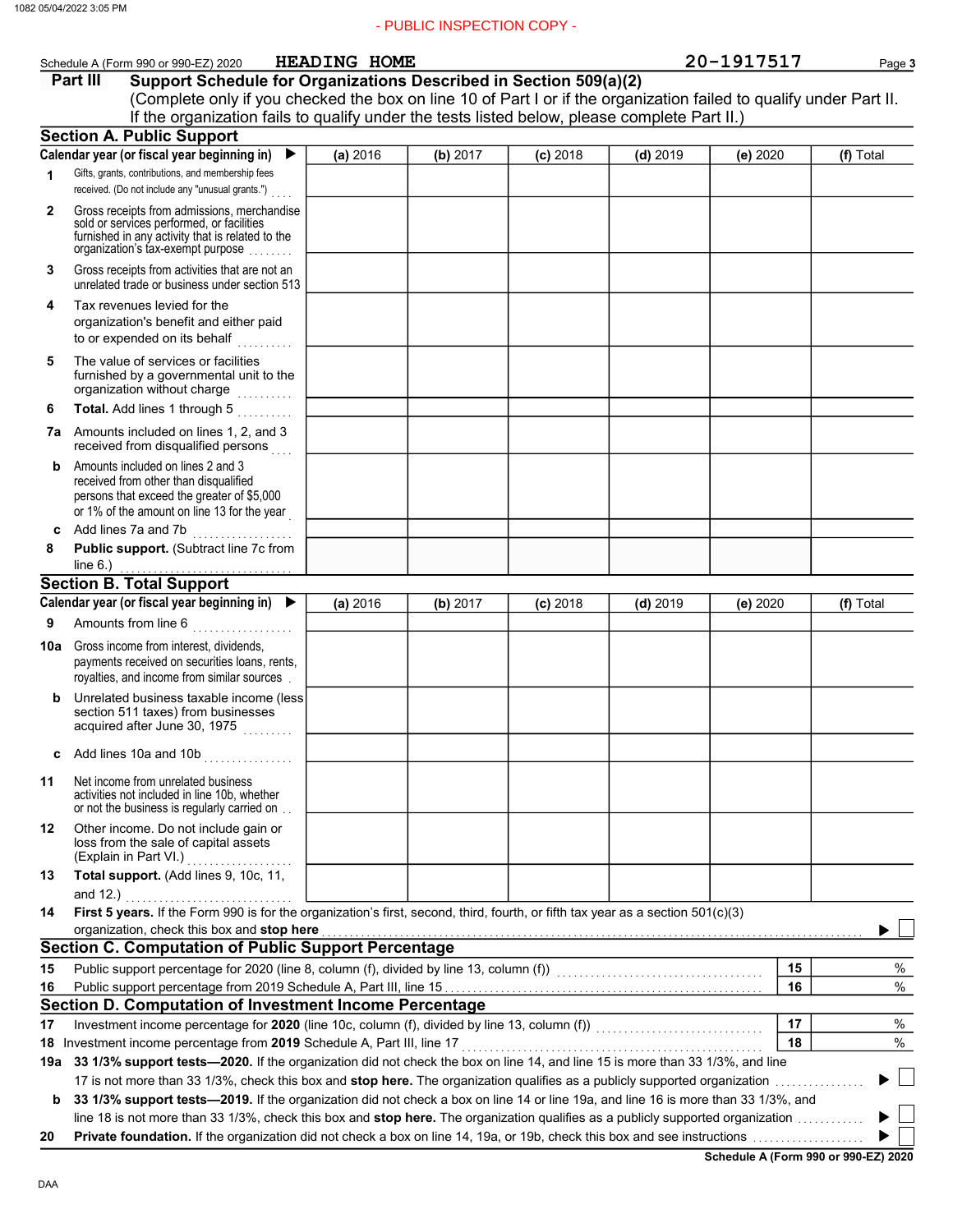|    | Schedule A (Form 990 or 990-EZ) 2020                                                                                                                                                                                                    | <b>HEADING HOME</b> |          |            |            | 20-1917517 | Page 3    |
|----|-----------------------------------------------------------------------------------------------------------------------------------------------------------------------------------------------------------------------------------------|---------------------|----------|------------|------------|------------|-----------|
|    | Support Schedule for Organizations Described in Section 509(a)(2)<br>Part III                                                                                                                                                           |                     |          |            |            |            |           |
|    | (Complete only if you checked the box on line 10 of Part I or if the organization failed to qualify under Part II.                                                                                                                      |                     |          |            |            |            |           |
|    | If the organization fails to qualify under the tests listed below, please complete Part II.)                                                                                                                                            |                     |          |            |            |            |           |
|    | <b>Section A. Public Support</b>                                                                                                                                                                                                        |                     |          |            |            |            |           |
|    | Calendar year (or fiscal year beginning in)<br>$\blacktriangleright$                                                                                                                                                                    | (a) 2016            | (b) 2017 | $(c)$ 2018 | $(d)$ 2019 | (e) 2020   | (f) Total |
| 1  | Gifts, grants, contributions, and membership fees<br>received. (Do not include any "unusual grants.")                                                                                                                                   |                     |          |            |            |            |           |
| 2  | Gross receipts from admissions, merchandise<br>sold or services performed, or facilities<br>furnished in any activity that is related to the<br>organization's tax-exempt purpose                                                       |                     |          |            |            |            |           |
| 3  | Gross receipts from activities that are not an<br>unrelated trade or business under section 513                                                                                                                                         |                     |          |            |            |            |           |
| 4  | Tax revenues levied for the<br>organization's benefit and either paid<br>to or expended on its behalf<br>.                                                                                                                              |                     |          |            |            |            |           |
| 5  | The value of services or facilities<br>furnished by a governmental unit to the<br>organization without charge<br>.                                                                                                                      |                     |          |            |            |            |           |
| 6  | Total. Add lines 1 through 5                                                                                                                                                                                                            |                     |          |            |            |            |           |
|    | 7a Amounts included on lines 1, 2, and 3<br>received from disqualified persons                                                                                                                                                          |                     |          |            |            |            |           |
| b  | Amounts included on lines 2 and 3<br>received from other than disqualified<br>persons that exceed the greater of \$5,000<br>or 1% of the amount on line 13 for the year                                                                 |                     |          |            |            |            |           |
| C  | Add lines 7a and 7b                                                                                                                                                                                                                     |                     |          |            |            |            |           |
| 8  | Public support. (Subtract line 7c from                                                                                                                                                                                                  |                     |          |            |            |            |           |
|    |                                                                                                                                                                                                                                         |                     |          |            |            |            |           |
|    | Section B. Total Support                                                                                                                                                                                                                |                     |          |            |            |            |           |
|    | Calendar year (or fiscal year beginning in)<br>$\blacktriangleright$                                                                                                                                                                    | (a) 2016            | (b) 2017 | $(c)$ 2018 | $(d)$ 2019 | (e) 2020   | (f) Total |
| 9  | Amounts from line 6                                                                                                                                                                                                                     |                     |          |            |            |            |           |
|    | <b>10a</b> Gross income from interest, dividends,<br>payments received on securities loans, rents,<br>royalties, and income from similar sources                                                                                        |                     |          |            |            |            |           |
| b  | Unrelated business taxable income (less<br>section 511 taxes) from businesses<br>acquired after June 30, 1975                                                                                                                           |                     |          |            |            |            |           |
| c  | Add lines 10a and 10b                                                                                                                                                                                                                   |                     |          |            |            |            |           |
| 11 | Net income from unrelated business<br>activities not included in line 10b, whether<br>or not the business is regularly carried on                                                                                                       |                     |          |            |            |            |           |
| 12 | Other income. Do not include gain or<br>loss from the sale of capital assets<br>(Explain in Part VI.)                                                                                                                                   |                     |          |            |            |            |           |
| 13 | Total support. (Add lines 9, 10c, 11,                                                                                                                                                                                                   |                     |          |            |            |            |           |
|    | and $12.$ )                                                                                                                                                                                                                             |                     |          |            |            |            |           |
| 14 | First 5 years. If the Form 990 is for the organization's first, second, third, fourth, or fifth tax year as a section 501(c)(3)                                                                                                         |                     |          |            |            |            |           |
|    | organization, check this box and stop here <b>contained and all and all and all and all and all and all and all and a</b>                                                                                                               |                     |          |            |            |            |           |
|    | <b>Section C. Computation of Public Support Percentage</b>                                                                                                                                                                              |                     |          |            |            |            |           |
| 15 |                                                                                                                                                                                                                                         |                     |          |            |            | 15         | %         |
| 16 |                                                                                                                                                                                                                                         |                     |          |            |            | 16         | $\%$      |
|    | Section D. Computation of Investment Income Percentage                                                                                                                                                                                  |                     |          |            |            | 17         |           |
| 17 | 18 Investment income percentage from 2019 Schedule A, Part III, line 17                                                                                                                                                                 |                     |          |            |            | 18         | %<br>%    |
|    | 19a 33 1/3% support tests-2020. If the organization did not check the box on line 14, and line 15 is more than 33 1/3%, and line                                                                                                        |                     |          |            |            |            |           |
|    | 17 is not more than 33 1/3%, check this box and stop here. The organization qualifies as a publicly supported organization <i>[17]</i> is not more than 33 1/3%, check this box and stop here. The organization <b>[17]</b> is not more |                     |          |            |            |            |           |
| b  | 33 1/3% support tests-2019. If the organization did not check a box on line 14 or line 19a, and line 16 is more than 33 1/3%, and                                                                                                       |                     |          |            |            |            |           |
|    | line 18 is not more than 33 1/3%, check this box and stop here. The organization qualifies as a publicly supported organization                                                                                                         |                     |          |            |            |            |           |
| 20 |                                                                                                                                                                                                                                         |                     |          |            |            |            |           |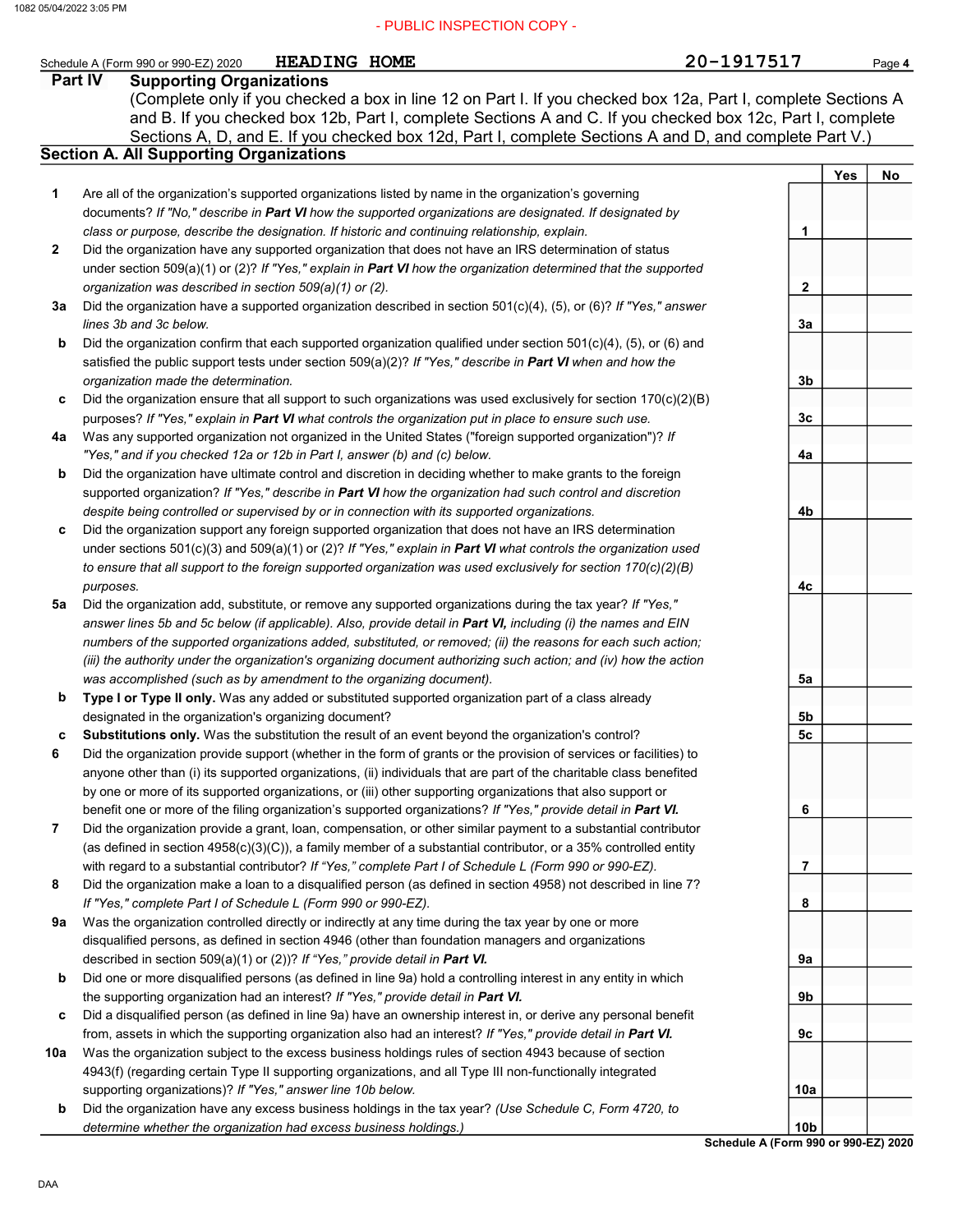Schedule A (Form 990 or 990-EZ) 2020

HEADING HOME

| 20-191751 |  |  |  |  |
|-----------|--|--|--|--|
|           |  |  |  |  |

#### Schedule A (Form 990 or 990-EZ) 2020 Part IV Supporting Organizations Sections A, D, and E. If you checked box 12d, Part I, complete Sections A and D, and complete Part V.) Section A. All Supporting Organizations (Complete only if you checked a box in line 12 on Part I. If you checked box 12a, Part I, complete Sections A and B. If you checked box 12b, Part I, complete Sections A and C. If you checked box 12c, Part I, complete Are all of the organization's supported organizations listed by name in the organization's governing documents? If "No," describe in Part VI how the supported organizations are designated. If designated by class or purpose, describe the designation. If historic and continuing relationship, explain. Did the organization have any supported organization that does not have an IRS determination of status under section 509(a)(1) or (2)? If "Yes," explain in Part VI how the organization determined that the supported organization was described in section 509(a)(1) or (2). 1 2 **3a** Did the organization have a supported organization described in section 501(c)(4), (5), or (6)? If "Yes," answer b c 4a b c Did the organization support any foreign supported organization that does not have an IRS determination 5a Did the organization add, substitute, or remove any supported organizations during the tax year? If "Yes," b c 6 7 8 9a b c 10a b lines 3b and 3c below. Did the organization confirm that each supported organization qualified under section 501(c)(4), (5), or (6) and satisfied the public support tests under section  $509(a)(2)$ ? If "Yes," describe in Part VI when and how the organization made the determination. Did the organization ensure that all support to such organizations was used exclusively for section  $170(c)(2)(B)$ purposes? If "Yes," explain in Part VI what controls the organization put in place to ensure such use. Was any supported organization not organized in the United States ("foreign supported organization")? If "Yes," and if you checked 12a or 12b in Part I, answer (b) and (c) below. Did the organization have ultimate control and discretion in deciding whether to make grants to the foreign supported organization? If "Yes," describe in Part VI how the organization had such control and discretion despite being controlled or supervised by or in connection with its supported organizations. under sections  $501(c)(3)$  and  $509(a)(1)$  or (2)? If "Yes," explain in Part VI what controls the organization used to ensure that all support to the foreign supported organization was used exclusively for section 170(c)(2)(B) purposes. answer lines 5b and 5c below (if applicable). Also, provide detail in Part VI, including (i) the names and EIN numbers of the supported organizations added, substituted, or removed; (ii) the reasons for each such action; (iii) the authority under the organization's organizing document authorizing such action; and (iv) how the action was accomplished (such as by amendment to the organizing document). Type I or Type II only. Was any added or substituted supported organization part of a class already designated in the organization's organizing document? Substitutions only. Was the substitution the result of an event beyond the organization's control? Did the organization provide support (whether in the form of grants or the provision of services or facilities) to anyone other than (i) its supported organizations, (ii) individuals that are part of the charitable class benefited by one or more of its supported organizations, or (iii) other supporting organizations that also support or benefit one or more of the filing organization's supported organizations? If "Yes," provide detail in Part VI. Did the organization provide a grant, loan, compensation, or other similar payment to a substantial contributor (as defined in section  $4958(c)(3)(C)$ ), a family member of a substantial contributor, or a 35% controlled entity with regard to a substantial contributor? If "Yes," complete Part I of Schedule L (Form 990 or 990-EZ). Did the organization make a loan to a disqualified person (as defined in section 4958) not described in line 7? If "Yes," complete Part I of Schedule L (Form 990 or 990-EZ). Was the organization controlled directly or indirectly at any time during the tax year by one or more disqualified persons, as defined in section 4946 (other than foundation managers and organizations described in section 509(a)(1) or (2))? If "Yes," provide detail in Part VI. Did one or more disqualified persons (as defined in line 9a) hold a controlling interest in any entity in which the supporting organization had an interest? If "Yes," provide detail in Part VI. Did a disqualified person (as defined in line 9a) have an ownership interest in, or derive any personal benefit from, assets in which the supporting organization also had an interest? If "Yes," provide detail in Part VI. Was the organization subject to the excess business holdings rules of section 4943 because of section 4943(f) (regarding certain Type II supporting organizations, and all Type III non-functionally integrated supporting organizations)? If "Yes," answer line 10b below. Did the organization have any excess business holdings in the tax year? (Use Schedule C, Form 4720, to determine whether the organization had excess business holdings.) Yes | No 1 2 3a 3b 3c 4a 4b 4c 5a 5b 5c 6 7 8 9a 9b 9c 10a 10b

DAA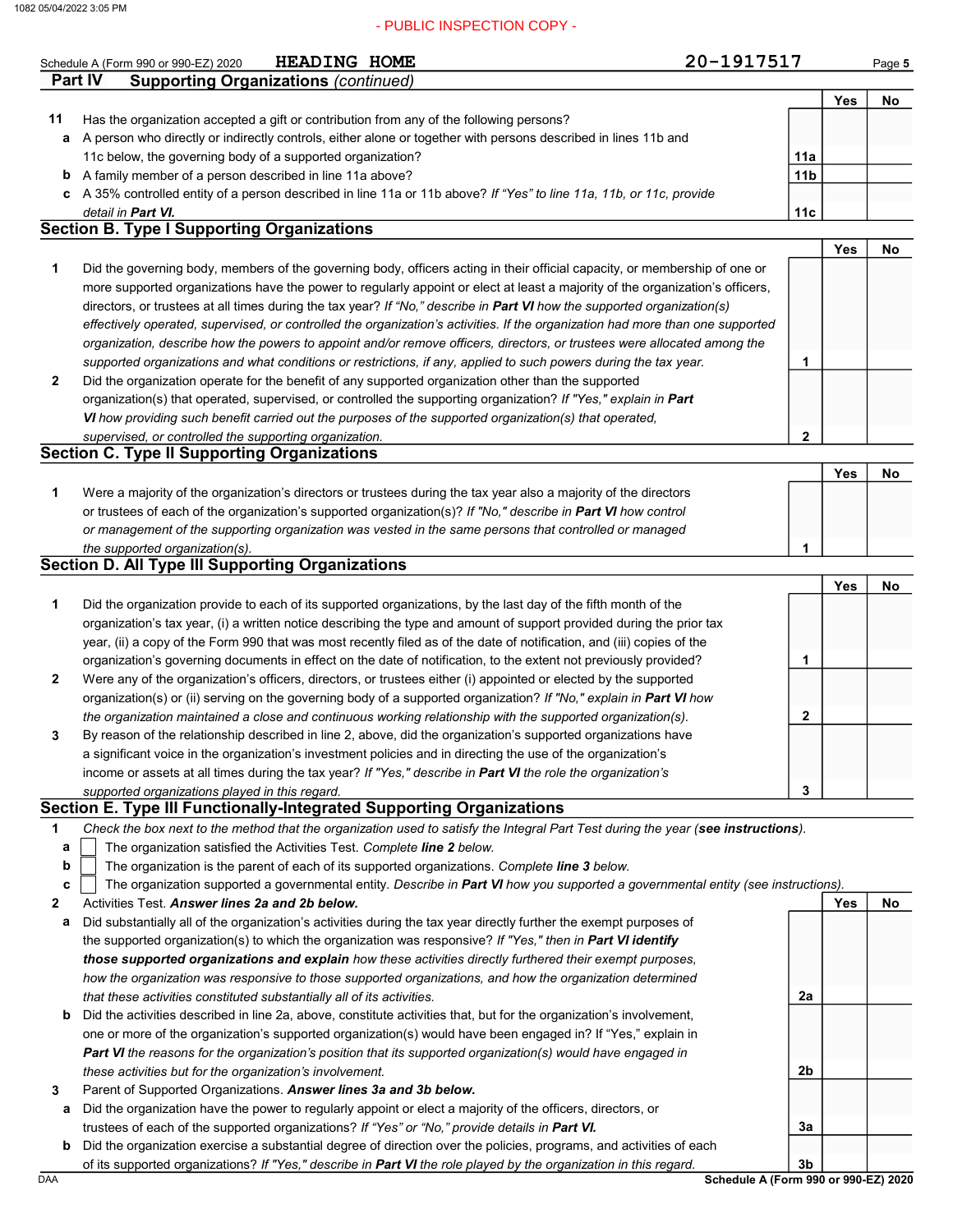|    | <b>HEADING HOME</b><br>Schedule A (Form 990 or 990-EZ) 2020                                                                                                                                                                                                                                                                                                                                                                                                                                                                                                                                                                                                 | 20-1917517 |            | Page 5 |
|----|-------------------------------------------------------------------------------------------------------------------------------------------------------------------------------------------------------------------------------------------------------------------------------------------------------------------------------------------------------------------------------------------------------------------------------------------------------------------------------------------------------------------------------------------------------------------------------------------------------------------------------------------------------------|------------|------------|--------|
|    | <b>Part IV</b><br><b>Supporting Organizations (continued)</b>                                                                                                                                                                                                                                                                                                                                                                                                                                                                                                                                                                                               |            |            |        |
|    |                                                                                                                                                                                                                                                                                                                                                                                                                                                                                                                                                                                                                                                             |            | Yes        | No     |
| 11 | Has the organization accepted a gift or contribution from any of the following persons?                                                                                                                                                                                                                                                                                                                                                                                                                                                                                                                                                                     |            |            |        |
| a  | A person who directly or indirectly controls, either alone or together with persons described in lines 11b and                                                                                                                                                                                                                                                                                                                                                                                                                                                                                                                                              |            |            |        |
|    | 11c below, the governing body of a supported organization?                                                                                                                                                                                                                                                                                                                                                                                                                                                                                                                                                                                                  | 11a        |            |        |
| b  | A family member of a person described in line 11a above?                                                                                                                                                                                                                                                                                                                                                                                                                                                                                                                                                                                                    | 11b        |            |        |
| c  | A 35% controlled entity of a person described in line 11a or 11b above? If "Yes" to line 11a, 11b, or 11c, provide                                                                                                                                                                                                                                                                                                                                                                                                                                                                                                                                          |            |            |        |
|    | detail in <b>Part VI.</b>                                                                                                                                                                                                                                                                                                                                                                                                                                                                                                                                                                                                                                   | 11c        |            |        |
|    | <b>Section B. Type I Supporting Organizations</b>                                                                                                                                                                                                                                                                                                                                                                                                                                                                                                                                                                                                           |            |            |        |
|    |                                                                                                                                                                                                                                                                                                                                                                                                                                                                                                                                                                                                                                                             |            | <b>Yes</b> | No     |
|    | Did the governing body, members of the governing body, officers acting in their official capacity, or membership of one or<br>more supported organizations have the power to regularly appoint or elect at least a majority of the organization's officers,<br>directors, or trustees at all times during the tax year? If "No," describe in <b>Part VI</b> how the supported organization(s)<br>effectively operated, supervised, or controlled the organization's activities. If the organization had more than one supported<br>organization, describe how the powers to appoint and/or remove officers, directors, or trustees were allocated among the |            |            |        |

|              | supported organizations and what conditions or restrictions, if any, applied to such powers during the tax year. |
|--------------|------------------------------------------------------------------------------------------------------------------|
| $\mathbf{2}$ | Did the organization operate for the benefit of any supported organization other than the supported              |
|              | organization(s) that operated, supervised, or controlled the supporting organization? If "Yes," explain in Part  |
|              | VI how providing such benefit carried out the purposes of the supported organization(s) that operated.           |
|              | supervised, or controlled the supporting organization.                                                           |

# Section C. Type II Supporting Organizations

|                                                                                                                  |  | N <sub>0</sub> |
|------------------------------------------------------------------------------------------------------------------|--|----------------|
| Were a majority of the organization's directors or trustees during the tax year also a majority of the directors |  |                |
| or trustees of each of the organization's supported organization(s)? If "No," describe in Part VI how control    |  |                |
| or management of the supporting organization was vested in the same persons that controlled or managed           |  |                |
| the supported organization(s).                                                                                   |  |                |

# Section D. All Type III Supporting Organizations

|                |                                                                                                                        |   | Yes | Nc |
|----------------|------------------------------------------------------------------------------------------------------------------------|---|-----|----|
| 1              | Did the organization provide to each of its supported organizations, by the last day of the fifth month of the         |   |     |    |
|                | organization's tax year, (i) a written notice describing the type and amount of support provided during the prior tax  |   |     |    |
|                | year, (ii) a copy of the Form 990 that was most recently filed as of the date of notification, and (iii) copies of the |   |     |    |
|                | organization's governing documents in effect on the date of notification, to the extent not previously provided?       |   |     |    |
| $\overline{2}$ | Were any of the organization's officers, directors, or trustees either (i) appointed or elected by the supported       |   |     |    |
|                | organization(s) or (ii) serving on the governing body of a supported organization? If "No," explain in Part VI how     |   |     |    |
|                | the organization maintained a close and continuous working relationship with the supported organization(s).            |   |     |    |
| 3              | By reason of the relationship described in line 2, above, did the organization's supported organizations have          |   |     |    |
|                | a significant voice in the organization's investment policies and in directing the use of the organization's           |   |     |    |
|                | income or assets at all times during the tax year? If "Yes," describe in Part VI the role the organization's           |   |     |    |
|                | supported organizations played in this regard.                                                                         | 3 |     |    |

## Section E. Type III Functionally-Integrated Supporting Organizations

|  | Check the box next to the method that the organization used to satisfy the Integral Part Test during the year (see instructions). |  |  |  |  |
|--|-----------------------------------------------------------------------------------------------------------------------------------|--|--|--|--|
|--|-----------------------------------------------------------------------------------------------------------------------------------|--|--|--|--|

- The organization satisfied the Activities Test. Complete line 2 below. a
- The organization is the parent of each of its supported organizations. Complete line 3 below. b

|  |  | The organization supported a governmental entity. Describe in Part VI how you supported a governmental entity (see instructions). |  |  |  |  |  |
|--|--|-----------------------------------------------------------------------------------------------------------------------------------|--|--|--|--|--|
|--|--|-----------------------------------------------------------------------------------------------------------------------------------|--|--|--|--|--|

- 2 Activities Test. Answer lines 2a and 2b below.
- a Did substantially all of the organization's activities during the tax year directly further the exempt purposes of the supported organization(s) to which the organization was responsive? If "Yes," then in Part VI identify those supported organizations and explain how these activities directly furthered their exempt purposes, how the organization was responsive to those supported organizations, and how the organization determined that these activities constituted substantially all of its activities.
- b Did the activities described in line 2a, above, constitute activities that, but for the organization's involvement, one or more of the organization's supported organization(s) would have been engaged in? If "Yes," explain in Part VI the reasons for the organization's position that its supported organization(s) would have engaged in these activities but for the organization's involvement.
- 3 Parent of Supported Organizations. Answer lines 3a and 3b below.
	- a Did the organization have the power to regularly appoint or elect a majority of the officers, directors, or trustees of each of the supported organizations? If "Yes" or "No," provide details in Part VI.
	- b Did the organization exercise a substantial degree of direction over the policies, programs, and activities of each of its supported organizations? If "Yes," describe in Part VI the role played by the organization in this regard.

DAA Schedule A (Form 990 or 990-EZ) 2020 3b

2a

2b

3a

Yes No

2

1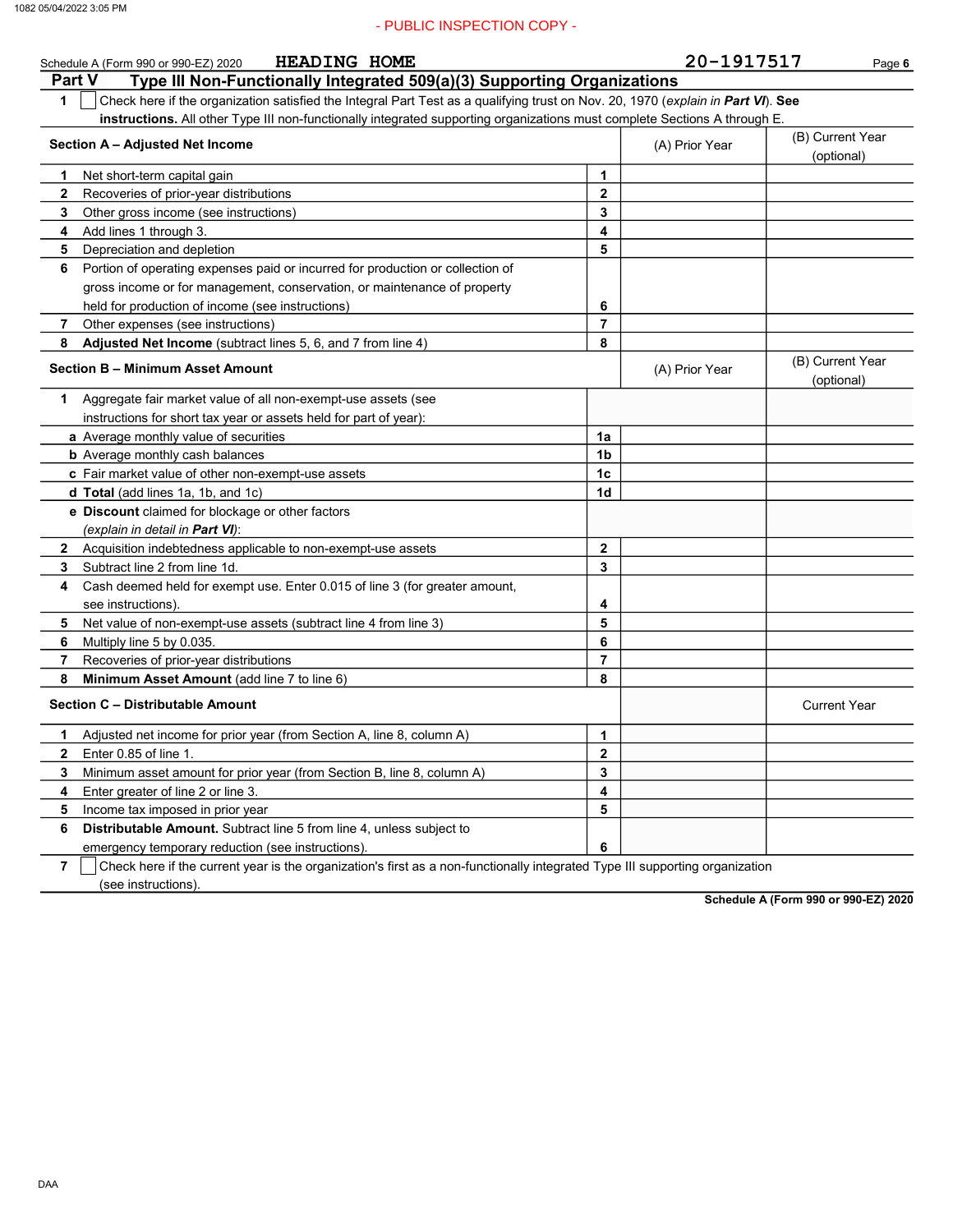|                | <b>HEADING HOME</b><br>Schedule A (Form 990 or 990-EZ) 2020                                                                      |                         | 20-1917517     | Page 6                         |
|----------------|----------------------------------------------------------------------------------------------------------------------------------|-------------------------|----------------|--------------------------------|
| <b>Part V</b>  | Type III Non-Functionally Integrated 509(a)(3) Supporting Organizations                                                          |                         |                |                                |
| 1              | Check here if the organization satisfied the Integral Part Test as a qualifying trust on Nov. 20, 1970 (explain in Part VI). See |                         |                |                                |
|                | instructions. All other Type III non-functionally integrated supporting organizations must complete Sections A through E.        |                         |                | (B) Current Year               |
|                | Section A - Adjusted Net Income                                                                                                  |                         | (A) Prior Year | (optional)                     |
| 1              | Net short-term capital gain                                                                                                      | 1                       |                |                                |
| $\mathbf{2}$   | Recoveries of prior-year distributions                                                                                           | $\mathbf{2}$            |                |                                |
| 3              | Other gross income (see instructions)                                                                                            | 3                       |                |                                |
| 4              | Add lines 1 through 3.                                                                                                           | 4                       |                |                                |
| 5              | Depreciation and depletion                                                                                                       | 5                       |                |                                |
| 6              | Portion of operating expenses paid or incurred for production or collection of                                                   |                         |                |                                |
|                | gross income or for management, conservation, or maintenance of property                                                         |                         |                |                                |
|                | held for production of income (see instructions)                                                                                 | 6                       |                |                                |
| 7              | Other expenses (see instructions)                                                                                                | 7                       |                |                                |
| 8              | Adjusted Net Income (subtract lines 5, 6, and 7 from line 4)                                                                     | 8                       |                |                                |
|                | <b>Section B - Minimum Asset Amount</b>                                                                                          |                         | (A) Prior Year | (B) Current Year<br>(optional) |
|                | 1 Aggregate fair market value of all non-exempt-use assets (see                                                                  |                         |                |                                |
|                | instructions for short tax year or assets held for part of year):                                                                |                         |                |                                |
|                | a Average monthly value of securities                                                                                            | 1a                      |                |                                |
|                | <b>b</b> Average monthly cash balances                                                                                           | 1b                      |                |                                |
|                | c Fair market value of other non-exempt-use assets                                                                               | 1c                      |                |                                |
|                | d Total (add lines 1a, 1b, and 1c)                                                                                               | 1d                      |                |                                |
|                | e Discount claimed for blockage or other factors                                                                                 |                         |                |                                |
|                | (explain in detail in Part VI):                                                                                                  |                         |                |                                |
| $\mathbf{2}$   | Acquisition indebtedness applicable to non-exempt-use assets                                                                     | $\mathbf{2}$            |                |                                |
| 3              | Subtract line 2 from line 1d.                                                                                                    | 3                       |                |                                |
| 4              | Cash deemed held for exempt use. Enter 0.015 of line 3 (for greater amount,                                                      |                         |                |                                |
|                | see instructions)                                                                                                                | 4                       |                |                                |
| 5              | Net value of non-exempt-use assets (subtract line 4 from line 3)                                                                 | 5                       |                |                                |
| 6              | Multiply line 5 by 0.035.                                                                                                        | 6                       |                |                                |
| 7              | Recoveries of prior-year distributions                                                                                           | $\overline{7}$          |                |                                |
| 8              | Minimum Asset Amount (add line 7 to line 6)                                                                                      | 8                       |                |                                |
|                | Section C - Distributable Amount                                                                                                 |                         |                | <b>Current Year</b>            |
| 1.             | Adjusted net income for prior year (from Section A, line 8, column A)                                                            | 1                       |                |                                |
| 2              | Enter 0.85 of line 1.                                                                                                            | $\boldsymbol{2}$        |                |                                |
| 3              | Minimum asset amount for prior year (from Section B, line 8, column A)                                                           | 3                       |                |                                |
| 4              | Enter greater of line 2 or line 3.                                                                                               | $\overline{\mathbf{4}}$ |                |                                |
| 5              | Income tax imposed in prior year                                                                                                 | 5                       |                |                                |
| 6              | Distributable Amount. Subtract line 5 from line 4, unless subject to                                                             |                         |                |                                |
|                | emergency temporary reduction (see instructions).                                                                                | 6                       |                |                                |
| $\overline{7}$ | Check here if the current year is the organization's first as a non-functionally integrated Type III supporting organization     |                         |                |                                |

(see instructions).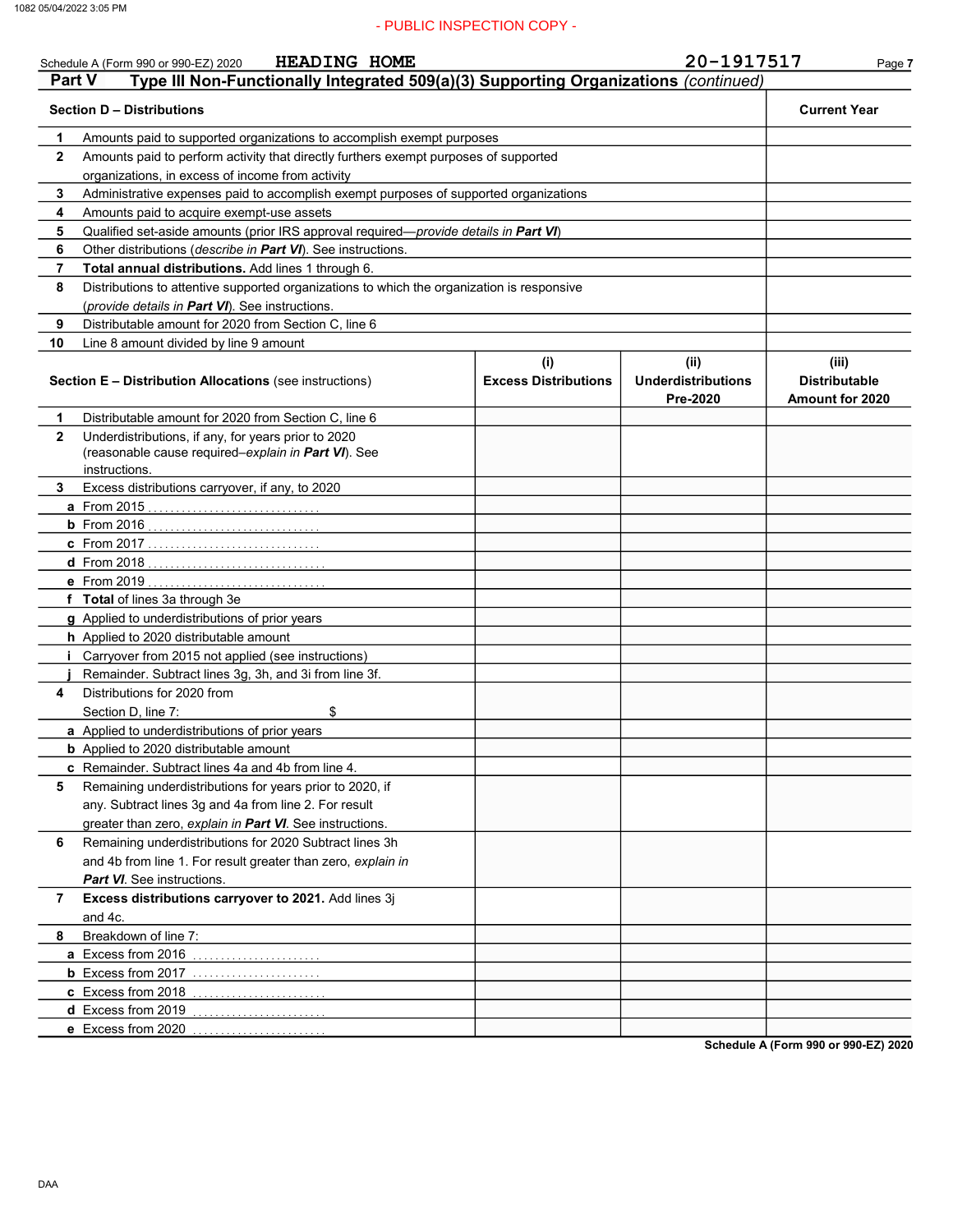|               | <b>HEADING HOME</b><br>Schedule A (Form 990 or 990-EZ) 2020                                |                                    | 20-1917517                             | Page 7                                                  |
|---------------|--------------------------------------------------------------------------------------------|------------------------------------|----------------------------------------|---------------------------------------------------------|
| <b>Part V</b> | Type III Non-Functionally Integrated 509(a)(3) Supporting Organizations (continued)        |                                    |                                        |                                                         |
|               | <b>Section D - Distributions</b>                                                           |                                    |                                        | <b>Current Year</b>                                     |
| 1             | Amounts paid to supported organizations to accomplish exempt purposes                      |                                    |                                        |                                                         |
| $\mathbf{2}$  | Amounts paid to perform activity that directly furthers exempt purposes of supported       |                                    |                                        |                                                         |
|               | organizations, in excess of income from activity                                           |                                    |                                        |                                                         |
| 3             | Administrative expenses paid to accomplish exempt purposes of supported organizations      |                                    |                                        |                                                         |
| 4             | Amounts paid to acquire exempt-use assets                                                  |                                    |                                        |                                                         |
| 5             | Qualified set-aside amounts (prior IRS approval required-provide details in Part VI)       |                                    |                                        |                                                         |
| 6             | Other distributions (describe in Part VI). See instructions.                               |                                    |                                        |                                                         |
| 7             | <b>Total annual distributions.</b> Add lines 1 through 6.                                  |                                    |                                        |                                                         |
| 8             | Distributions to attentive supported organizations to which the organization is responsive |                                    |                                        |                                                         |
|               | (provide details in Part VI). See instructions.                                            |                                    |                                        |                                                         |
| 9             | Distributable amount for 2020 from Section C, line 6                                       |                                    |                                        |                                                         |
| 10            | Line 8 amount divided by line 9 amount                                                     |                                    |                                        |                                                         |
|               | <b>Section E - Distribution Allocations (see instructions)</b>                             | (i)<br><b>Excess Distributions</b> | (ii)<br>Underdistributions<br>Pre-2020 | (iii)<br><b>Distributable</b><br><b>Amount for 2020</b> |
| 1             | Distributable amount for 2020 from Section C. line 6                                       |                                    |                                        |                                                         |
| $\mathbf{2}$  | Underdistributions, if any, for years prior to 2020                                        |                                    |                                        |                                                         |
|               | (reasonable cause required-explain in Part VI). See                                        |                                    |                                        |                                                         |
|               | instructions.                                                                              |                                    |                                        |                                                         |
| 3             | Excess distributions carryover, if any, to 2020                                            |                                    |                                        |                                                         |
|               | <b>a</b> From 2015                                                                         |                                    |                                        |                                                         |
|               |                                                                                            |                                    |                                        |                                                         |
|               | <b>c</b> From 2017                                                                         |                                    |                                        |                                                         |
|               |                                                                                            |                                    |                                        |                                                         |
|               | <b>e</b> From 2019                                                                         |                                    |                                        |                                                         |
|               | f Total of lines 3a through 3e                                                             |                                    |                                        |                                                         |
|               | g Applied to underdistributions of prior years                                             |                                    |                                        |                                                         |
|               | h Applied to 2020 distributable amount                                                     |                                    |                                        |                                                         |
|               | i Carryover from 2015 not applied (see instructions)                                       |                                    |                                        |                                                         |
|               | Remainder. Subtract lines 3g, 3h, and 3i from line 3f.                                     |                                    |                                        |                                                         |
| 4             | Distributions for 2020 from                                                                |                                    |                                        |                                                         |
|               | Section D, line 7:<br>\$                                                                   |                                    |                                        |                                                         |
|               | <b>a</b> Applied to underdistributions of prior years                                      |                                    |                                        |                                                         |
|               | <b>b</b> Applied to 2020 distributable amount                                              |                                    |                                        |                                                         |
|               | <b>c</b> Remainder. Subtract lines 4a and 4b from line 4.                                  |                                    |                                        |                                                         |
| 5             | Remaining underdistributions for years prior to 2020, if                                   |                                    |                                        |                                                         |
|               | any. Subtract lines 3g and 4a from line 2. For result                                      |                                    |                                        |                                                         |
|               | greater than zero, explain in Part VI. See instructions.                                   |                                    |                                        |                                                         |
| 6             | Remaining underdistributions for 2020 Subtract lines 3h                                    |                                    |                                        |                                                         |
|               | and 4b from line 1. For result greater than zero, explain in                               |                                    |                                        |                                                         |
|               | <b>Part VI</b> . See instructions.                                                         |                                    |                                        |                                                         |
| 7             | Excess distributions carryover to 2021. Add lines 3j<br>and 4c.                            |                                    |                                        |                                                         |
| 8             | Breakdown of line 7:                                                                       |                                    |                                        |                                                         |
|               | a Excess from 2016                                                                         |                                    |                                        |                                                         |
|               | <b>b</b> Excess from 2017 $\ldots$                                                         |                                    |                                        |                                                         |
|               | c Excess from 2018                                                                         |                                    |                                        |                                                         |
|               | d Excess from 2019                                                                         |                                    |                                        |                                                         |
|               | e Excess from 2020                                                                         |                                    |                                        |                                                         |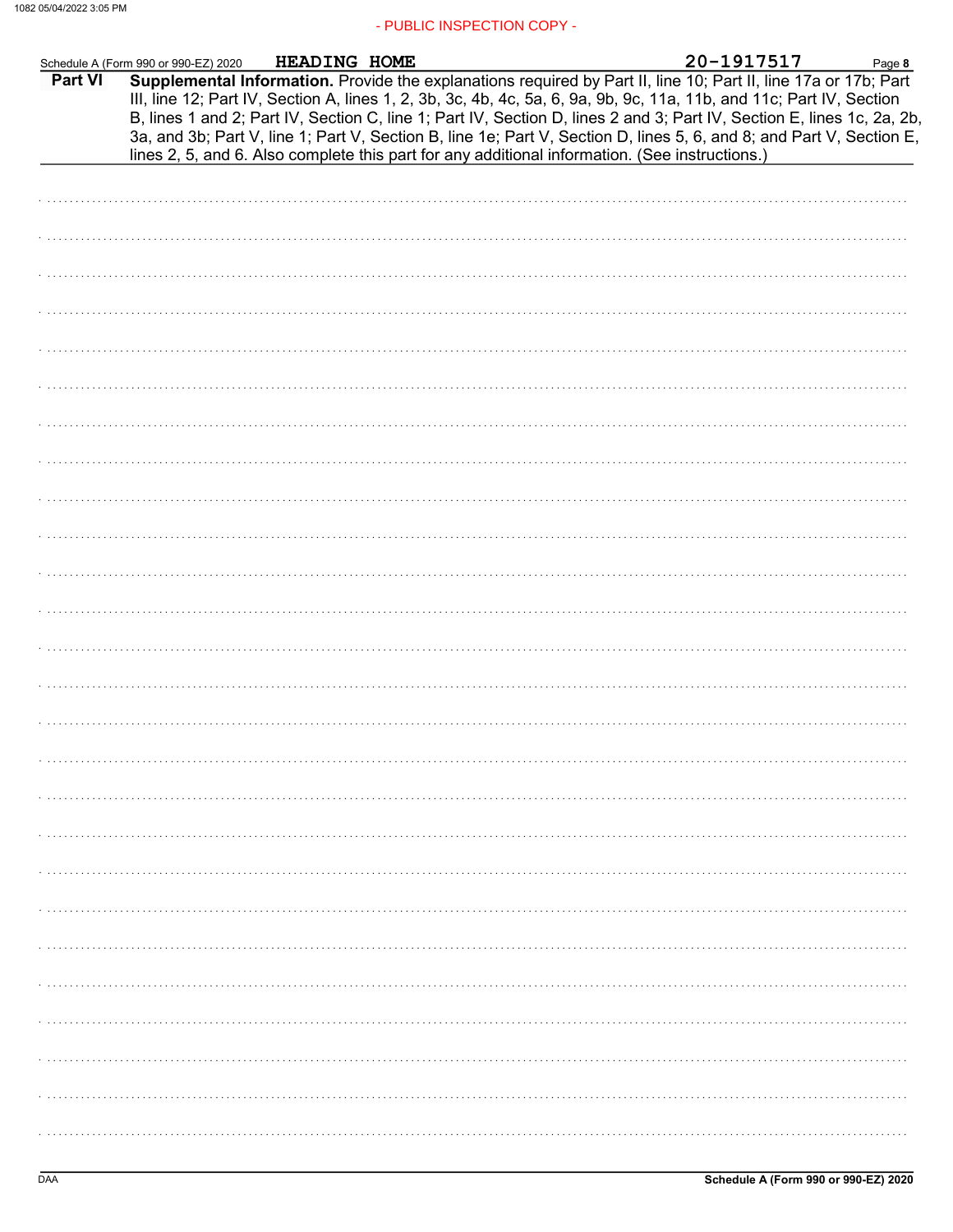|         | Schedule A (Form 990 or 990-EZ) 2020                                                           | HEADING HOME |  | 20-1917517                                                                                                                                                                                                                                                                                                                                                        | Page 8 |
|---------|------------------------------------------------------------------------------------------------|--------------|--|-------------------------------------------------------------------------------------------------------------------------------------------------------------------------------------------------------------------------------------------------------------------------------------------------------------------------------------------------------------------|--------|
| Part VI |                                                                                                |              |  | Supplemental Information. Provide the explanations required by Part II, line 10; Part II, line 17a or 17b; Part<br>III, line 12; Part IV, Section A, lines 1, 2, 3b, 3c, 4b, 4c, 5a, 6, 9a, 9b, 9c, 11a, 11b, and 11c; Part IV, Section<br>B, lines 1 and 2; Part IV, Section C, line 1; Part IV, Section D, lines 2 and 3; Part IV, Section E, lines 1c, 2a, 2b, |        |
|         |                                                                                                |              |  | 3a, and 3b; Part V, line 1; Part V, Section B, line 1e; Part V, Section D, lines 5, 6, and 8; and Part V, Section E,                                                                                                                                                                                                                                              |        |
|         | lines 2, 5, and 6. Also complete this part for any additional information. (See instructions.) |              |  |                                                                                                                                                                                                                                                                                                                                                                   |        |
|         |                                                                                                |              |  |                                                                                                                                                                                                                                                                                                                                                                   |        |
|         |                                                                                                |              |  |                                                                                                                                                                                                                                                                                                                                                                   |        |
|         |                                                                                                |              |  |                                                                                                                                                                                                                                                                                                                                                                   |        |
|         |                                                                                                |              |  |                                                                                                                                                                                                                                                                                                                                                                   |        |
|         |                                                                                                |              |  |                                                                                                                                                                                                                                                                                                                                                                   |        |
|         |                                                                                                |              |  |                                                                                                                                                                                                                                                                                                                                                                   |        |
|         |                                                                                                |              |  |                                                                                                                                                                                                                                                                                                                                                                   |        |
|         |                                                                                                |              |  |                                                                                                                                                                                                                                                                                                                                                                   |        |
|         |                                                                                                |              |  |                                                                                                                                                                                                                                                                                                                                                                   |        |
|         |                                                                                                |              |  |                                                                                                                                                                                                                                                                                                                                                                   |        |
|         |                                                                                                |              |  |                                                                                                                                                                                                                                                                                                                                                                   |        |
|         |                                                                                                |              |  |                                                                                                                                                                                                                                                                                                                                                                   |        |
|         |                                                                                                |              |  |                                                                                                                                                                                                                                                                                                                                                                   |        |
|         |                                                                                                |              |  |                                                                                                                                                                                                                                                                                                                                                                   |        |
|         |                                                                                                |              |  |                                                                                                                                                                                                                                                                                                                                                                   |        |
|         |                                                                                                |              |  |                                                                                                                                                                                                                                                                                                                                                                   |        |
|         |                                                                                                |              |  |                                                                                                                                                                                                                                                                                                                                                                   |        |
|         |                                                                                                |              |  |                                                                                                                                                                                                                                                                                                                                                                   |        |
|         |                                                                                                |              |  |                                                                                                                                                                                                                                                                                                                                                                   |        |
|         |                                                                                                |              |  |                                                                                                                                                                                                                                                                                                                                                                   |        |
|         |                                                                                                |              |  |                                                                                                                                                                                                                                                                                                                                                                   |        |
|         |                                                                                                |              |  |                                                                                                                                                                                                                                                                                                                                                                   |        |
|         |                                                                                                |              |  |                                                                                                                                                                                                                                                                                                                                                                   |        |
|         |                                                                                                |              |  |                                                                                                                                                                                                                                                                                                                                                                   |        |
|         |                                                                                                |              |  |                                                                                                                                                                                                                                                                                                                                                                   |        |
|         |                                                                                                |              |  |                                                                                                                                                                                                                                                                                                                                                                   |        |
|         |                                                                                                |              |  |                                                                                                                                                                                                                                                                                                                                                                   |        |
|         |                                                                                                |              |  |                                                                                                                                                                                                                                                                                                                                                                   |        |
|         |                                                                                                |              |  |                                                                                                                                                                                                                                                                                                                                                                   |        |
|         |                                                                                                |              |  |                                                                                                                                                                                                                                                                                                                                                                   |        |
|         |                                                                                                |              |  |                                                                                                                                                                                                                                                                                                                                                                   |        |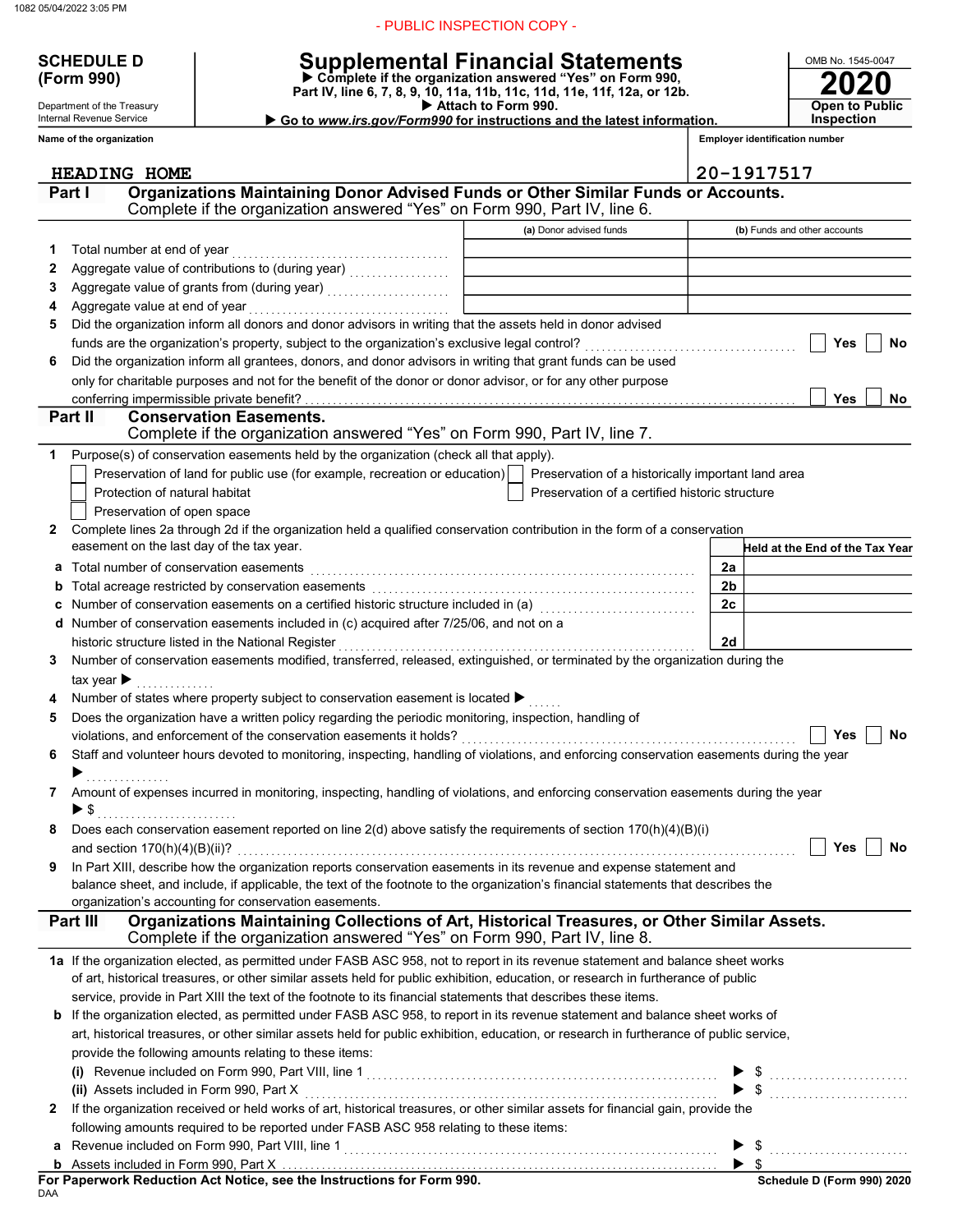SCHEDULE D<br>(Form 990)

Department of the Treasury Internal Revenue Service

## - PUBLIC INSPECTION COPY -

SCHEDULE D | Supplemental Financial Statements Complete if the organization answered "Yes" on Form 990,

 Attach to Form 990. Part IV, line 6, 7, 8, 9, 10, 11a, 11b, 11c, 11d, 11e, 11f, 12a, or 12b.

Go to www.irs.gov/Form990 for instructions and the latest information.

2020 OMB No. 1545-0047 Open to Public **Inspection** 

Employer identification number

|              | Name of the organization                                                                                                                                                              |                         | Employer identification number                                                                                                                                                                                                                                                                                                                                                                                                                                                                                                                                                                                                                                  |
|--------------|---------------------------------------------------------------------------------------------------------------------------------------------------------------------------------------|-------------------------|-----------------------------------------------------------------------------------------------------------------------------------------------------------------------------------------------------------------------------------------------------------------------------------------------------------------------------------------------------------------------------------------------------------------------------------------------------------------------------------------------------------------------------------------------------------------------------------------------------------------------------------------------------------------|
|              | <b>HEADING HOME</b>                                                                                                                                                                   |                         | 20-1917517                                                                                                                                                                                                                                                                                                                                                                                                                                                                                                                                                                                                                                                      |
|              | Organizations Maintaining Donor Advised Funds or Other Similar Funds or Accounts.<br>Part I<br>Complete if the organization answered "Yes" on Form 990, Part IV, line 6.              |                         |                                                                                                                                                                                                                                                                                                                                                                                                                                                                                                                                                                                                                                                                 |
|              |                                                                                                                                                                                       | (a) Donor advised funds | (b) Funds and other accounts                                                                                                                                                                                                                                                                                                                                                                                                                                                                                                                                                                                                                                    |
| 1            | Total number at end of year                                                                                                                                                           |                         |                                                                                                                                                                                                                                                                                                                                                                                                                                                                                                                                                                                                                                                                 |
| 2            |                                                                                                                                                                                       |                         |                                                                                                                                                                                                                                                                                                                                                                                                                                                                                                                                                                                                                                                                 |
| 3            |                                                                                                                                                                                       |                         |                                                                                                                                                                                                                                                                                                                                                                                                                                                                                                                                                                                                                                                                 |
| 4            | Aggregate value at end of year                                                                                                                                                        |                         |                                                                                                                                                                                                                                                                                                                                                                                                                                                                                                                                                                                                                                                                 |
| 5            | Did the organization inform all donors and donor advisors in writing that the assets held in donor advised                                                                            |                         |                                                                                                                                                                                                                                                                                                                                                                                                                                                                                                                                                                                                                                                                 |
|              |                                                                                                                                                                                       |                         | Yes<br>No                                                                                                                                                                                                                                                                                                                                                                                                                                                                                                                                                                                                                                                       |
| 6            | Did the organization inform all grantees, donors, and donor advisors in writing that grant funds can be used                                                                          |                         |                                                                                                                                                                                                                                                                                                                                                                                                                                                                                                                                                                                                                                                                 |
|              | only for charitable purposes and not for the benefit of the donor or donor advisor, or for any other purpose                                                                          |                         |                                                                                                                                                                                                                                                                                                                                                                                                                                                                                                                                                                                                                                                                 |
|              |                                                                                                                                                                                       |                         | Yes<br>No                                                                                                                                                                                                                                                                                                                                                                                                                                                                                                                                                                                                                                                       |
|              | Part II<br><b>Conservation Easements.</b><br>Complete if the organization answered "Yes" on Form 990, Part IV, line 7.                                                                |                         |                                                                                                                                                                                                                                                                                                                                                                                                                                                                                                                                                                                                                                                                 |
| 1            | Purpose(s) of conservation easements held by the organization (check all that apply).                                                                                                 |                         |                                                                                                                                                                                                                                                                                                                                                                                                                                                                                                                                                                                                                                                                 |
|              | Preservation of land for public use (for example, recreation or education)                                                                                                            |                         | Preservation of a historically important land area                                                                                                                                                                                                                                                                                                                                                                                                                                                                                                                                                                                                              |
|              | Protection of natural habitat                                                                                                                                                         |                         | Preservation of a certified historic structure                                                                                                                                                                                                                                                                                                                                                                                                                                                                                                                                                                                                                  |
|              | Preservation of open space                                                                                                                                                            |                         |                                                                                                                                                                                                                                                                                                                                                                                                                                                                                                                                                                                                                                                                 |
| 2            | Complete lines 2a through 2d if the organization held a qualified conservation contribution in the form of a conservation                                                             |                         |                                                                                                                                                                                                                                                                                                                                                                                                                                                                                                                                                                                                                                                                 |
|              | easement on the last day of the tax year.                                                                                                                                             |                         | Held at the End of the Tax Year                                                                                                                                                                                                                                                                                                                                                                                                                                                                                                                                                                                                                                 |
| а            | Total number of conservation easements                                                                                                                                                |                         | 2a                                                                                                                                                                                                                                                                                                                                                                                                                                                                                                                                                                                                                                                              |
| b            |                                                                                                                                                                                       |                         | 2b                                                                                                                                                                                                                                                                                                                                                                                                                                                                                                                                                                                                                                                              |
| с            | Number of conservation easements on a certified historic structure included in (a) [[[[[[[[[[[[[[[[[[[[[[[[[]]]]]]]                                                                   |                         | 2c                                                                                                                                                                                                                                                                                                                                                                                                                                                                                                                                                                                                                                                              |
| d            | Number of conservation easements included in (c) acquired after 7/25/06, and not on a                                                                                                 |                         |                                                                                                                                                                                                                                                                                                                                                                                                                                                                                                                                                                                                                                                                 |
|              | historic structure listed in the National Register                                                                                                                                    |                         | 2d                                                                                                                                                                                                                                                                                                                                                                                                                                                                                                                                                                                                                                                              |
| 3            | Number of conservation easements modified, transferred, released, extinguished, or terminated by the organization during the                                                          |                         |                                                                                                                                                                                                                                                                                                                                                                                                                                                                                                                                                                                                                                                                 |
|              | tax year $\blacktriangleright$                                                                                                                                                        |                         |                                                                                                                                                                                                                                                                                                                                                                                                                                                                                                                                                                                                                                                                 |
|              | Number of states where property subject to conservation easement is located ▶                                                                                                         |                         |                                                                                                                                                                                                                                                                                                                                                                                                                                                                                                                                                                                                                                                                 |
| 5            | Does the organization have a written policy regarding the periodic monitoring, inspection, handling of<br>violations, and enforcement of the conservation easements it holds?         |                         | Yes<br>No                                                                                                                                                                                                                                                                                                                                                                                                                                                                                                                                                                                                                                                       |
| 6            | Staff and volunteer hours devoted to monitoring, inspecting, handling of violations, and enforcing conservation easements during the year                                             |                         |                                                                                                                                                                                                                                                                                                                                                                                                                                                                                                                                                                                                                                                                 |
|              |                                                                                                                                                                                       |                         |                                                                                                                                                                                                                                                                                                                                                                                                                                                                                                                                                                                                                                                                 |
| 7            | Amount of expenses incurred in monitoring, inspecting, handling of violations, and enforcing conservation easements during the year<br>▶ \$                                           |                         |                                                                                                                                                                                                                                                                                                                                                                                                                                                                                                                                                                                                                                                                 |
|              | Does each conservation easement reported on line $2(d)$ above satisfy the requirements of section $170(h)(4)(B)(i)$                                                                   |                         |                                                                                                                                                                                                                                                                                                                                                                                                                                                                                                                                                                                                                                                                 |
|              |                                                                                                                                                                                       |                         | Yes<br>No                                                                                                                                                                                                                                                                                                                                                                                                                                                                                                                                                                                                                                                       |
| 9            | In Part XIII, describe how the organization reports conservation easements in its revenue and expense statement and                                                                   |                         |                                                                                                                                                                                                                                                                                                                                                                                                                                                                                                                                                                                                                                                                 |
|              | balance sheet, and include, if applicable, the text of the footnote to the organization's financial statements that describes the                                                     |                         |                                                                                                                                                                                                                                                                                                                                                                                                                                                                                                                                                                                                                                                                 |
|              | organization's accounting for conservation easements.                                                                                                                                 |                         |                                                                                                                                                                                                                                                                                                                                                                                                                                                                                                                                                                                                                                                                 |
|              | Organizations Maintaining Collections of Art, Historical Treasures, or Other Similar Assets.<br>Part III<br>Complete if the organization answered "Yes" on Form 990, Part IV, line 8. |                         |                                                                                                                                                                                                                                                                                                                                                                                                                                                                                                                                                                                                                                                                 |
|              | 1a If the organization elected, as permitted under FASB ASC 958, not to report in its revenue statement and balance sheet works                                                       |                         |                                                                                                                                                                                                                                                                                                                                                                                                                                                                                                                                                                                                                                                                 |
|              | of art, historical treasures, or other similar assets held for public exhibition, education, or research in furtherance of public                                                     |                         |                                                                                                                                                                                                                                                                                                                                                                                                                                                                                                                                                                                                                                                                 |
|              | service, provide in Part XIII the text of the footnote to its financial statements that describes these items.                                                                        |                         |                                                                                                                                                                                                                                                                                                                                                                                                                                                                                                                                                                                                                                                                 |
| b            | If the organization elected, as permitted under FASB ASC 958, to report in its revenue statement and balance sheet works of                                                           |                         |                                                                                                                                                                                                                                                                                                                                                                                                                                                                                                                                                                                                                                                                 |
|              | art, historical treasures, or other similar assets held for public exhibition, education, or research in furtherance of public service,                                               |                         |                                                                                                                                                                                                                                                                                                                                                                                                                                                                                                                                                                                                                                                                 |
|              | provide the following amounts relating to these items:                                                                                                                                |                         |                                                                                                                                                                                                                                                                                                                                                                                                                                                                                                                                                                                                                                                                 |
|              |                                                                                                                                                                                       |                         |                                                                                                                                                                                                                                                                                                                                                                                                                                                                                                                                                                                                                                                                 |
|              |                                                                                                                                                                                       |                         | $\begin{array}{c} \triangleright \ \ \ \text{\$} \quad \quad \  \  \cdot \quad \quad \  \cdot \quad \quad \  \cdot \quad \quad \cdot \quad \quad \cdot \quad \quad \cdot \quad \quad \cdot \quad \quad \cdot \quad \quad \cdot \quad \quad \cdot \quad \quad \cdot \quad \quad \cdot \quad \quad \cdot \quad \quad \cdot \quad \quad \cdot \quad \quad \cdot \quad \quad \cdot \quad \quad \cdot \quad \quad \cdot \quad \cdot \quad \cdot \quad \cdot \quad \cdot \quad \cdot \quad \cdot \quad \cdot \quad \cdot \quad \cdot \quad \cdot \quad \cdot \quad \cdot \quad \cdot \quad \cdot \quad \cdot \quad \cdot \quad \cdot \quad \cdot \quad \cdot \quad \$ |
| $\mathbf{2}$ | If the organization received or held works of art, historical treasures, or other similar assets for financial gain, provide the                                                      |                         |                                                                                                                                                                                                                                                                                                                                                                                                                                                                                                                                                                                                                                                                 |
|              | following amounts required to be reported under FASB ASC 958 relating to these items:                                                                                                 |                         |                                                                                                                                                                                                                                                                                                                                                                                                                                                                                                                                                                                                                                                                 |
| а            |                                                                                                                                                                                       |                         |                                                                                                                                                                                                                                                                                                                                                                                                                                                                                                                                                                                                                                                                 |
|              |                                                                                                                                                                                       |                         | $\blacktriangleright$ \$                                                                                                                                                                                                                                                                                                                                                                                                                                                                                                                                                                                                                                        |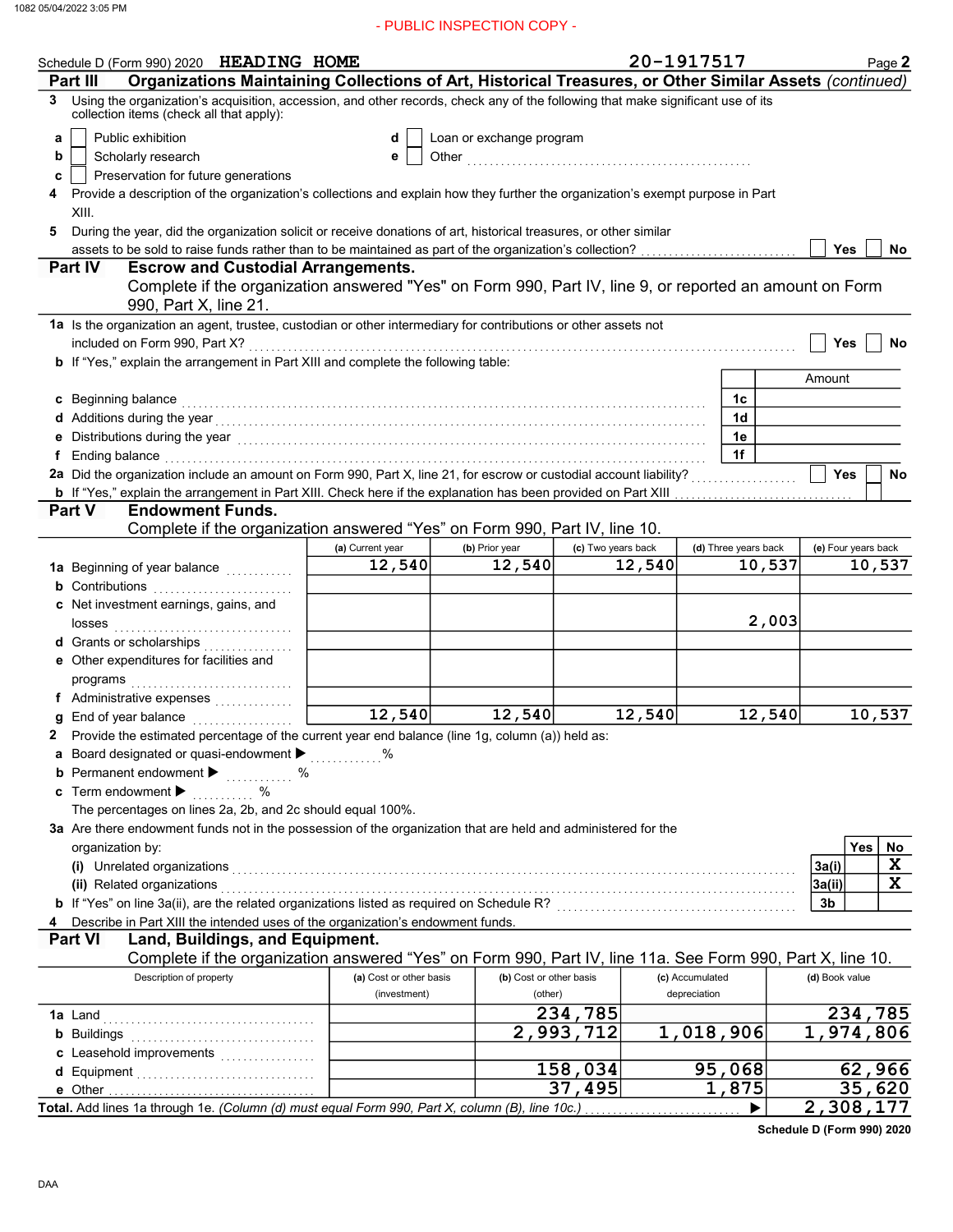| Organizations Maintaining Collections of Art, Historical Treasures, or Other Similar Assets (continued)<br>Part III<br>Using the organization's acquisition, accession, and other records, check any of the following that make significant use of its<br>3<br>collection items (check all that apply):<br>Public exhibition<br>Loan or exchange program<br>a<br>d<br>Scholarly research<br>b<br>е<br>Preservation for future generations<br>c<br>4 Provide a description of the organization's collections and explain how they further the organization's exempt purpose in Part<br>XIII.<br>During the year, did the organization solicit or receive donations of art, historical treasures, or other similar<br>5.<br><b>Yes</b><br>No<br><b>Escrow and Custodial Arrangements.</b><br><b>Part IV</b><br>Complete if the organization answered "Yes" on Form 990, Part IV, line 9, or reported an amount on Form<br>990, Part X, line 21.<br>1a Is the organization an agent, trustee, custodian or other intermediary for contributions or other assets not<br>included on Form 990, Part X?<br><b>Yes</b><br>No<br>b If "Yes," explain the arrangement in Part XIII and complete the following table:<br>Amount<br>c Beginning balance<br>1c<br>1d<br>1е<br>1f<br>f Ending balance encourance and contact the contract of the contract of the contract of the contract of the contract of the contract of the contract of the contract of the contract of the contract of the contract of the co<br>2a Did the organization include an amount on Form 990, Part X, line 21, for escrow or custodial account liability?<br><b>Yes</b><br>No<br><b>Endowment Funds.</b><br><b>Part V</b><br>Complete if the organization answered "Yes" on Form 990, Part IV, line 10.<br>(d) Three years back<br>(e) Four years back<br>(a) Current year<br>(b) Prior year<br>(c) Two years back<br>12,540<br>12,540<br>12,540<br>10,537<br>10,537<br>1a Beginning of year balance<br><b>b</b> Contributions <b>contributions</b><br>c Net investment earnings, gains, and<br>2,003<br>losses<br><b>d</b> Grants or scholarships<br>e Other expenditures for facilities and<br>f Administrative expenses<br>12,540<br>12,540<br>12,540<br>12,540<br>10,537<br>End of year balance with the control of the set of the set of the set of the set of the set of the set of the<br>2 Provide the estimated percentage of the current year end balance (line 1g, column (a)) held as:<br>a Board designated or quasi-endowment $\blacktriangleright$<br>%<br>Permanent endowment ><br>$\%$<br>c Term endowment $\blacktriangleright$<br>The percentages on lines 2a, 2b, and 2c should equal 100%.<br>3a Are there endowment funds not in the possession of the organization that are held and administered for the<br><b>Yes</b><br>No<br>organization by:<br>X<br>(i) Unrelated organizations<br>3a(i)<br>X<br>3a(ii)<br>(ii) Related organizations<br>3b<br>Describe in Part XIII the intended uses of the organization's endowment funds.<br>Part VI<br>Land, Buildings, and Equipment.<br>Complete if the organization answered "Yes" on Form 990, Part IV, line 11a. See Form 990, Part X, line 10.<br>Description of property<br>(a) Cost or other basis<br>(b) Cost or other basis<br>(c) Accumulated<br>(d) Book value<br>depreciation<br>(investment)<br>(other)<br>234,785<br>234,785<br><b>1a</b> Land<br>2,993,712<br>1,974,806<br>1,018,906<br>c Leasehold improvements<br>62,966<br>158,034<br>95,068<br>35,620<br>37,495<br>1,875<br>e Other<br>2,308,177 |  | Schedule D (Form 990) 2020 HEADING HOME |  | 20-1917517 |  |  | Page 2 |
|-----------------------------------------------------------------------------------------------------------------------------------------------------------------------------------------------------------------------------------------------------------------------------------------------------------------------------------------------------------------------------------------------------------------------------------------------------------------------------------------------------------------------------------------------------------------------------------------------------------------------------------------------------------------------------------------------------------------------------------------------------------------------------------------------------------------------------------------------------------------------------------------------------------------------------------------------------------------------------------------------------------------------------------------------------------------------------------------------------------------------------------------------------------------------------------------------------------------------------------------------------------------------------------------------------------------------------------------------------------------------------------------------------------------------------------------------------------------------------------------------------------------------------------------------------------------------------------------------------------------------------------------------------------------------------------------------------------------------------------------------------------------------------------------------------------------------------------------------------------------------------------------------------------------------------------------------------------------------------------------------------------------------------------------------------------------------------------------------------------------------------------------------------------------------------------------------------------------------------------------------------------------------------------------------------------------------------------------------------------------------------------------------------------------------------------------------------------------------------------------------------------------------------------------------------------------------------------------------------------------------------------------------------------------------------------------------------------------------------------------------------------------------------------------------------------------------------------------------------------------------------------------------------------------------------------------------------------------------------------------------------------------------------------------------------------------------------------------------------------------------------------------------------------------------------------------------------------------------------------------------------------------------------------------------------------------------------------------------------------------------------------------------------------------------------------------------------------------------------------------------------------------------------------------------------------|--|-----------------------------------------|--|------------|--|--|--------|
|                                                                                                                                                                                                                                                                                                                                                                                                                                                                                                                                                                                                                                                                                                                                                                                                                                                                                                                                                                                                                                                                                                                                                                                                                                                                                                                                                                                                                                                                                                                                                                                                                                                                                                                                                                                                                                                                                                                                                                                                                                                                                                                                                                                                                                                                                                                                                                                                                                                                                                                                                                                                                                                                                                                                                                                                                                                                                                                                                                                                                                                                                                                                                                                                                                                                                                                                                                                                                                                                                                                                                           |  |                                         |  |            |  |  |        |
|                                                                                                                                                                                                                                                                                                                                                                                                                                                                                                                                                                                                                                                                                                                                                                                                                                                                                                                                                                                                                                                                                                                                                                                                                                                                                                                                                                                                                                                                                                                                                                                                                                                                                                                                                                                                                                                                                                                                                                                                                                                                                                                                                                                                                                                                                                                                                                                                                                                                                                                                                                                                                                                                                                                                                                                                                                                                                                                                                                                                                                                                                                                                                                                                                                                                                                                                                                                                                                                                                                                                                           |  |                                         |  |            |  |  |        |
|                                                                                                                                                                                                                                                                                                                                                                                                                                                                                                                                                                                                                                                                                                                                                                                                                                                                                                                                                                                                                                                                                                                                                                                                                                                                                                                                                                                                                                                                                                                                                                                                                                                                                                                                                                                                                                                                                                                                                                                                                                                                                                                                                                                                                                                                                                                                                                                                                                                                                                                                                                                                                                                                                                                                                                                                                                                                                                                                                                                                                                                                                                                                                                                                                                                                                                                                                                                                                                                                                                                                                           |  |                                         |  |            |  |  |        |
|                                                                                                                                                                                                                                                                                                                                                                                                                                                                                                                                                                                                                                                                                                                                                                                                                                                                                                                                                                                                                                                                                                                                                                                                                                                                                                                                                                                                                                                                                                                                                                                                                                                                                                                                                                                                                                                                                                                                                                                                                                                                                                                                                                                                                                                                                                                                                                                                                                                                                                                                                                                                                                                                                                                                                                                                                                                                                                                                                                                                                                                                                                                                                                                                                                                                                                                                                                                                                                                                                                                                                           |  |                                         |  |            |  |  |        |
|                                                                                                                                                                                                                                                                                                                                                                                                                                                                                                                                                                                                                                                                                                                                                                                                                                                                                                                                                                                                                                                                                                                                                                                                                                                                                                                                                                                                                                                                                                                                                                                                                                                                                                                                                                                                                                                                                                                                                                                                                                                                                                                                                                                                                                                                                                                                                                                                                                                                                                                                                                                                                                                                                                                                                                                                                                                                                                                                                                                                                                                                                                                                                                                                                                                                                                                                                                                                                                                                                                                                                           |  |                                         |  |            |  |  |        |
|                                                                                                                                                                                                                                                                                                                                                                                                                                                                                                                                                                                                                                                                                                                                                                                                                                                                                                                                                                                                                                                                                                                                                                                                                                                                                                                                                                                                                                                                                                                                                                                                                                                                                                                                                                                                                                                                                                                                                                                                                                                                                                                                                                                                                                                                                                                                                                                                                                                                                                                                                                                                                                                                                                                                                                                                                                                                                                                                                                                                                                                                                                                                                                                                                                                                                                                                                                                                                                                                                                                                                           |  |                                         |  |            |  |  |        |
|                                                                                                                                                                                                                                                                                                                                                                                                                                                                                                                                                                                                                                                                                                                                                                                                                                                                                                                                                                                                                                                                                                                                                                                                                                                                                                                                                                                                                                                                                                                                                                                                                                                                                                                                                                                                                                                                                                                                                                                                                                                                                                                                                                                                                                                                                                                                                                                                                                                                                                                                                                                                                                                                                                                                                                                                                                                                                                                                                                                                                                                                                                                                                                                                                                                                                                                                                                                                                                                                                                                                                           |  |                                         |  |            |  |  |        |
|                                                                                                                                                                                                                                                                                                                                                                                                                                                                                                                                                                                                                                                                                                                                                                                                                                                                                                                                                                                                                                                                                                                                                                                                                                                                                                                                                                                                                                                                                                                                                                                                                                                                                                                                                                                                                                                                                                                                                                                                                                                                                                                                                                                                                                                                                                                                                                                                                                                                                                                                                                                                                                                                                                                                                                                                                                                                                                                                                                                                                                                                                                                                                                                                                                                                                                                                                                                                                                                                                                                                                           |  |                                         |  |            |  |  |        |
|                                                                                                                                                                                                                                                                                                                                                                                                                                                                                                                                                                                                                                                                                                                                                                                                                                                                                                                                                                                                                                                                                                                                                                                                                                                                                                                                                                                                                                                                                                                                                                                                                                                                                                                                                                                                                                                                                                                                                                                                                                                                                                                                                                                                                                                                                                                                                                                                                                                                                                                                                                                                                                                                                                                                                                                                                                                                                                                                                                                                                                                                                                                                                                                                                                                                                                                                                                                                                                                                                                                                                           |  |                                         |  |            |  |  |        |
|                                                                                                                                                                                                                                                                                                                                                                                                                                                                                                                                                                                                                                                                                                                                                                                                                                                                                                                                                                                                                                                                                                                                                                                                                                                                                                                                                                                                                                                                                                                                                                                                                                                                                                                                                                                                                                                                                                                                                                                                                                                                                                                                                                                                                                                                                                                                                                                                                                                                                                                                                                                                                                                                                                                                                                                                                                                                                                                                                                                                                                                                                                                                                                                                                                                                                                                                                                                                                                                                                                                                                           |  |                                         |  |            |  |  |        |
|                                                                                                                                                                                                                                                                                                                                                                                                                                                                                                                                                                                                                                                                                                                                                                                                                                                                                                                                                                                                                                                                                                                                                                                                                                                                                                                                                                                                                                                                                                                                                                                                                                                                                                                                                                                                                                                                                                                                                                                                                                                                                                                                                                                                                                                                                                                                                                                                                                                                                                                                                                                                                                                                                                                                                                                                                                                                                                                                                                                                                                                                                                                                                                                                                                                                                                                                                                                                                                                                                                                                                           |  |                                         |  |            |  |  |        |
|                                                                                                                                                                                                                                                                                                                                                                                                                                                                                                                                                                                                                                                                                                                                                                                                                                                                                                                                                                                                                                                                                                                                                                                                                                                                                                                                                                                                                                                                                                                                                                                                                                                                                                                                                                                                                                                                                                                                                                                                                                                                                                                                                                                                                                                                                                                                                                                                                                                                                                                                                                                                                                                                                                                                                                                                                                                                                                                                                                                                                                                                                                                                                                                                                                                                                                                                                                                                                                                                                                                                                           |  |                                         |  |            |  |  |        |
|                                                                                                                                                                                                                                                                                                                                                                                                                                                                                                                                                                                                                                                                                                                                                                                                                                                                                                                                                                                                                                                                                                                                                                                                                                                                                                                                                                                                                                                                                                                                                                                                                                                                                                                                                                                                                                                                                                                                                                                                                                                                                                                                                                                                                                                                                                                                                                                                                                                                                                                                                                                                                                                                                                                                                                                                                                                                                                                                                                                                                                                                                                                                                                                                                                                                                                                                                                                                                                                                                                                                                           |  |                                         |  |            |  |  |        |
|                                                                                                                                                                                                                                                                                                                                                                                                                                                                                                                                                                                                                                                                                                                                                                                                                                                                                                                                                                                                                                                                                                                                                                                                                                                                                                                                                                                                                                                                                                                                                                                                                                                                                                                                                                                                                                                                                                                                                                                                                                                                                                                                                                                                                                                                                                                                                                                                                                                                                                                                                                                                                                                                                                                                                                                                                                                                                                                                                                                                                                                                                                                                                                                                                                                                                                                                                                                                                                                                                                                                                           |  |                                         |  |            |  |  |        |
|                                                                                                                                                                                                                                                                                                                                                                                                                                                                                                                                                                                                                                                                                                                                                                                                                                                                                                                                                                                                                                                                                                                                                                                                                                                                                                                                                                                                                                                                                                                                                                                                                                                                                                                                                                                                                                                                                                                                                                                                                                                                                                                                                                                                                                                                                                                                                                                                                                                                                                                                                                                                                                                                                                                                                                                                                                                                                                                                                                                                                                                                                                                                                                                                                                                                                                                                                                                                                                                                                                                                                           |  |                                         |  |            |  |  |        |
|                                                                                                                                                                                                                                                                                                                                                                                                                                                                                                                                                                                                                                                                                                                                                                                                                                                                                                                                                                                                                                                                                                                                                                                                                                                                                                                                                                                                                                                                                                                                                                                                                                                                                                                                                                                                                                                                                                                                                                                                                                                                                                                                                                                                                                                                                                                                                                                                                                                                                                                                                                                                                                                                                                                                                                                                                                                                                                                                                                                                                                                                                                                                                                                                                                                                                                                                                                                                                                                                                                                                                           |  |                                         |  |            |  |  |        |
|                                                                                                                                                                                                                                                                                                                                                                                                                                                                                                                                                                                                                                                                                                                                                                                                                                                                                                                                                                                                                                                                                                                                                                                                                                                                                                                                                                                                                                                                                                                                                                                                                                                                                                                                                                                                                                                                                                                                                                                                                                                                                                                                                                                                                                                                                                                                                                                                                                                                                                                                                                                                                                                                                                                                                                                                                                                                                                                                                                                                                                                                                                                                                                                                                                                                                                                                                                                                                                                                                                                                                           |  |                                         |  |            |  |  |        |
|                                                                                                                                                                                                                                                                                                                                                                                                                                                                                                                                                                                                                                                                                                                                                                                                                                                                                                                                                                                                                                                                                                                                                                                                                                                                                                                                                                                                                                                                                                                                                                                                                                                                                                                                                                                                                                                                                                                                                                                                                                                                                                                                                                                                                                                                                                                                                                                                                                                                                                                                                                                                                                                                                                                                                                                                                                                                                                                                                                                                                                                                                                                                                                                                                                                                                                                                                                                                                                                                                                                                                           |  |                                         |  |            |  |  |        |
|                                                                                                                                                                                                                                                                                                                                                                                                                                                                                                                                                                                                                                                                                                                                                                                                                                                                                                                                                                                                                                                                                                                                                                                                                                                                                                                                                                                                                                                                                                                                                                                                                                                                                                                                                                                                                                                                                                                                                                                                                                                                                                                                                                                                                                                                                                                                                                                                                                                                                                                                                                                                                                                                                                                                                                                                                                                                                                                                                                                                                                                                                                                                                                                                                                                                                                                                                                                                                                                                                                                                                           |  |                                         |  |            |  |  |        |
|                                                                                                                                                                                                                                                                                                                                                                                                                                                                                                                                                                                                                                                                                                                                                                                                                                                                                                                                                                                                                                                                                                                                                                                                                                                                                                                                                                                                                                                                                                                                                                                                                                                                                                                                                                                                                                                                                                                                                                                                                                                                                                                                                                                                                                                                                                                                                                                                                                                                                                                                                                                                                                                                                                                                                                                                                                                                                                                                                                                                                                                                                                                                                                                                                                                                                                                                                                                                                                                                                                                                                           |  |                                         |  |            |  |  |        |
|                                                                                                                                                                                                                                                                                                                                                                                                                                                                                                                                                                                                                                                                                                                                                                                                                                                                                                                                                                                                                                                                                                                                                                                                                                                                                                                                                                                                                                                                                                                                                                                                                                                                                                                                                                                                                                                                                                                                                                                                                                                                                                                                                                                                                                                                                                                                                                                                                                                                                                                                                                                                                                                                                                                                                                                                                                                                                                                                                                                                                                                                                                                                                                                                                                                                                                                                                                                                                                                                                                                                                           |  |                                         |  |            |  |  |        |
|                                                                                                                                                                                                                                                                                                                                                                                                                                                                                                                                                                                                                                                                                                                                                                                                                                                                                                                                                                                                                                                                                                                                                                                                                                                                                                                                                                                                                                                                                                                                                                                                                                                                                                                                                                                                                                                                                                                                                                                                                                                                                                                                                                                                                                                                                                                                                                                                                                                                                                                                                                                                                                                                                                                                                                                                                                                                                                                                                                                                                                                                                                                                                                                                                                                                                                                                                                                                                                                                                                                                                           |  |                                         |  |            |  |  |        |
|                                                                                                                                                                                                                                                                                                                                                                                                                                                                                                                                                                                                                                                                                                                                                                                                                                                                                                                                                                                                                                                                                                                                                                                                                                                                                                                                                                                                                                                                                                                                                                                                                                                                                                                                                                                                                                                                                                                                                                                                                                                                                                                                                                                                                                                                                                                                                                                                                                                                                                                                                                                                                                                                                                                                                                                                                                                                                                                                                                                                                                                                                                                                                                                                                                                                                                                                                                                                                                                                                                                                                           |  |                                         |  |            |  |  |        |
|                                                                                                                                                                                                                                                                                                                                                                                                                                                                                                                                                                                                                                                                                                                                                                                                                                                                                                                                                                                                                                                                                                                                                                                                                                                                                                                                                                                                                                                                                                                                                                                                                                                                                                                                                                                                                                                                                                                                                                                                                                                                                                                                                                                                                                                                                                                                                                                                                                                                                                                                                                                                                                                                                                                                                                                                                                                                                                                                                                                                                                                                                                                                                                                                                                                                                                                                                                                                                                                                                                                                                           |  |                                         |  |            |  |  |        |
|                                                                                                                                                                                                                                                                                                                                                                                                                                                                                                                                                                                                                                                                                                                                                                                                                                                                                                                                                                                                                                                                                                                                                                                                                                                                                                                                                                                                                                                                                                                                                                                                                                                                                                                                                                                                                                                                                                                                                                                                                                                                                                                                                                                                                                                                                                                                                                                                                                                                                                                                                                                                                                                                                                                                                                                                                                                                                                                                                                                                                                                                                                                                                                                                                                                                                                                                                                                                                                                                                                                                                           |  |                                         |  |            |  |  |        |
|                                                                                                                                                                                                                                                                                                                                                                                                                                                                                                                                                                                                                                                                                                                                                                                                                                                                                                                                                                                                                                                                                                                                                                                                                                                                                                                                                                                                                                                                                                                                                                                                                                                                                                                                                                                                                                                                                                                                                                                                                                                                                                                                                                                                                                                                                                                                                                                                                                                                                                                                                                                                                                                                                                                                                                                                                                                                                                                                                                                                                                                                                                                                                                                                                                                                                                                                                                                                                                                                                                                                                           |  |                                         |  |            |  |  |        |
|                                                                                                                                                                                                                                                                                                                                                                                                                                                                                                                                                                                                                                                                                                                                                                                                                                                                                                                                                                                                                                                                                                                                                                                                                                                                                                                                                                                                                                                                                                                                                                                                                                                                                                                                                                                                                                                                                                                                                                                                                                                                                                                                                                                                                                                                                                                                                                                                                                                                                                                                                                                                                                                                                                                                                                                                                                                                                                                                                                                                                                                                                                                                                                                                                                                                                                                                                                                                                                                                                                                                                           |  |                                         |  |            |  |  |        |
|                                                                                                                                                                                                                                                                                                                                                                                                                                                                                                                                                                                                                                                                                                                                                                                                                                                                                                                                                                                                                                                                                                                                                                                                                                                                                                                                                                                                                                                                                                                                                                                                                                                                                                                                                                                                                                                                                                                                                                                                                                                                                                                                                                                                                                                                                                                                                                                                                                                                                                                                                                                                                                                                                                                                                                                                                                                                                                                                                                                                                                                                                                                                                                                                                                                                                                                                                                                                                                                                                                                                                           |  |                                         |  |            |  |  |        |
|                                                                                                                                                                                                                                                                                                                                                                                                                                                                                                                                                                                                                                                                                                                                                                                                                                                                                                                                                                                                                                                                                                                                                                                                                                                                                                                                                                                                                                                                                                                                                                                                                                                                                                                                                                                                                                                                                                                                                                                                                                                                                                                                                                                                                                                                                                                                                                                                                                                                                                                                                                                                                                                                                                                                                                                                                                                                                                                                                                                                                                                                                                                                                                                                                                                                                                                                                                                                                                                                                                                                                           |  |                                         |  |            |  |  |        |
|                                                                                                                                                                                                                                                                                                                                                                                                                                                                                                                                                                                                                                                                                                                                                                                                                                                                                                                                                                                                                                                                                                                                                                                                                                                                                                                                                                                                                                                                                                                                                                                                                                                                                                                                                                                                                                                                                                                                                                                                                                                                                                                                                                                                                                                                                                                                                                                                                                                                                                                                                                                                                                                                                                                                                                                                                                                                                                                                                                                                                                                                                                                                                                                                                                                                                                                                                                                                                                                                                                                                                           |  |                                         |  |            |  |  |        |
|                                                                                                                                                                                                                                                                                                                                                                                                                                                                                                                                                                                                                                                                                                                                                                                                                                                                                                                                                                                                                                                                                                                                                                                                                                                                                                                                                                                                                                                                                                                                                                                                                                                                                                                                                                                                                                                                                                                                                                                                                                                                                                                                                                                                                                                                                                                                                                                                                                                                                                                                                                                                                                                                                                                                                                                                                                                                                                                                                                                                                                                                                                                                                                                                                                                                                                                                                                                                                                                                                                                                                           |  |                                         |  |            |  |  |        |
|                                                                                                                                                                                                                                                                                                                                                                                                                                                                                                                                                                                                                                                                                                                                                                                                                                                                                                                                                                                                                                                                                                                                                                                                                                                                                                                                                                                                                                                                                                                                                                                                                                                                                                                                                                                                                                                                                                                                                                                                                                                                                                                                                                                                                                                                                                                                                                                                                                                                                                                                                                                                                                                                                                                                                                                                                                                                                                                                                                                                                                                                                                                                                                                                                                                                                                                                                                                                                                                                                                                                                           |  |                                         |  |            |  |  |        |
|                                                                                                                                                                                                                                                                                                                                                                                                                                                                                                                                                                                                                                                                                                                                                                                                                                                                                                                                                                                                                                                                                                                                                                                                                                                                                                                                                                                                                                                                                                                                                                                                                                                                                                                                                                                                                                                                                                                                                                                                                                                                                                                                                                                                                                                                                                                                                                                                                                                                                                                                                                                                                                                                                                                                                                                                                                                                                                                                                                                                                                                                                                                                                                                                                                                                                                                                                                                                                                                                                                                                                           |  |                                         |  |            |  |  |        |
|                                                                                                                                                                                                                                                                                                                                                                                                                                                                                                                                                                                                                                                                                                                                                                                                                                                                                                                                                                                                                                                                                                                                                                                                                                                                                                                                                                                                                                                                                                                                                                                                                                                                                                                                                                                                                                                                                                                                                                                                                                                                                                                                                                                                                                                                                                                                                                                                                                                                                                                                                                                                                                                                                                                                                                                                                                                                                                                                                                                                                                                                                                                                                                                                                                                                                                                                                                                                                                                                                                                                                           |  |                                         |  |            |  |  |        |
|                                                                                                                                                                                                                                                                                                                                                                                                                                                                                                                                                                                                                                                                                                                                                                                                                                                                                                                                                                                                                                                                                                                                                                                                                                                                                                                                                                                                                                                                                                                                                                                                                                                                                                                                                                                                                                                                                                                                                                                                                                                                                                                                                                                                                                                                                                                                                                                                                                                                                                                                                                                                                                                                                                                                                                                                                                                                                                                                                                                                                                                                                                                                                                                                                                                                                                                                                                                                                                                                                                                                                           |  |                                         |  |            |  |  |        |
|                                                                                                                                                                                                                                                                                                                                                                                                                                                                                                                                                                                                                                                                                                                                                                                                                                                                                                                                                                                                                                                                                                                                                                                                                                                                                                                                                                                                                                                                                                                                                                                                                                                                                                                                                                                                                                                                                                                                                                                                                                                                                                                                                                                                                                                                                                                                                                                                                                                                                                                                                                                                                                                                                                                                                                                                                                                                                                                                                                                                                                                                                                                                                                                                                                                                                                                                                                                                                                                                                                                                                           |  |                                         |  |            |  |  |        |
|                                                                                                                                                                                                                                                                                                                                                                                                                                                                                                                                                                                                                                                                                                                                                                                                                                                                                                                                                                                                                                                                                                                                                                                                                                                                                                                                                                                                                                                                                                                                                                                                                                                                                                                                                                                                                                                                                                                                                                                                                                                                                                                                                                                                                                                                                                                                                                                                                                                                                                                                                                                                                                                                                                                                                                                                                                                                                                                                                                                                                                                                                                                                                                                                                                                                                                                                                                                                                                                                                                                                                           |  |                                         |  |            |  |  |        |
|                                                                                                                                                                                                                                                                                                                                                                                                                                                                                                                                                                                                                                                                                                                                                                                                                                                                                                                                                                                                                                                                                                                                                                                                                                                                                                                                                                                                                                                                                                                                                                                                                                                                                                                                                                                                                                                                                                                                                                                                                                                                                                                                                                                                                                                                                                                                                                                                                                                                                                                                                                                                                                                                                                                                                                                                                                                                                                                                                                                                                                                                                                                                                                                                                                                                                                                                                                                                                                                                                                                                                           |  |                                         |  |            |  |  |        |
|                                                                                                                                                                                                                                                                                                                                                                                                                                                                                                                                                                                                                                                                                                                                                                                                                                                                                                                                                                                                                                                                                                                                                                                                                                                                                                                                                                                                                                                                                                                                                                                                                                                                                                                                                                                                                                                                                                                                                                                                                                                                                                                                                                                                                                                                                                                                                                                                                                                                                                                                                                                                                                                                                                                                                                                                                                                                                                                                                                                                                                                                                                                                                                                                                                                                                                                                                                                                                                                                                                                                                           |  |                                         |  |            |  |  |        |
|                                                                                                                                                                                                                                                                                                                                                                                                                                                                                                                                                                                                                                                                                                                                                                                                                                                                                                                                                                                                                                                                                                                                                                                                                                                                                                                                                                                                                                                                                                                                                                                                                                                                                                                                                                                                                                                                                                                                                                                                                                                                                                                                                                                                                                                                                                                                                                                                                                                                                                                                                                                                                                                                                                                                                                                                                                                                                                                                                                                                                                                                                                                                                                                                                                                                                                                                                                                                                                                                                                                                                           |  |                                         |  |            |  |  |        |
|                                                                                                                                                                                                                                                                                                                                                                                                                                                                                                                                                                                                                                                                                                                                                                                                                                                                                                                                                                                                                                                                                                                                                                                                                                                                                                                                                                                                                                                                                                                                                                                                                                                                                                                                                                                                                                                                                                                                                                                                                                                                                                                                                                                                                                                                                                                                                                                                                                                                                                                                                                                                                                                                                                                                                                                                                                                                                                                                                                                                                                                                                                                                                                                                                                                                                                                                                                                                                                                                                                                                                           |  |                                         |  |            |  |  |        |
|                                                                                                                                                                                                                                                                                                                                                                                                                                                                                                                                                                                                                                                                                                                                                                                                                                                                                                                                                                                                                                                                                                                                                                                                                                                                                                                                                                                                                                                                                                                                                                                                                                                                                                                                                                                                                                                                                                                                                                                                                                                                                                                                                                                                                                                                                                                                                                                                                                                                                                                                                                                                                                                                                                                                                                                                                                                                                                                                                                                                                                                                                                                                                                                                                                                                                                                                                                                                                                                                                                                                                           |  |                                         |  |            |  |  |        |
|                                                                                                                                                                                                                                                                                                                                                                                                                                                                                                                                                                                                                                                                                                                                                                                                                                                                                                                                                                                                                                                                                                                                                                                                                                                                                                                                                                                                                                                                                                                                                                                                                                                                                                                                                                                                                                                                                                                                                                                                                                                                                                                                                                                                                                                                                                                                                                                                                                                                                                                                                                                                                                                                                                                                                                                                                                                                                                                                                                                                                                                                                                                                                                                                                                                                                                                                                                                                                                                                                                                                                           |  |                                         |  |            |  |  |        |
|                                                                                                                                                                                                                                                                                                                                                                                                                                                                                                                                                                                                                                                                                                                                                                                                                                                                                                                                                                                                                                                                                                                                                                                                                                                                                                                                                                                                                                                                                                                                                                                                                                                                                                                                                                                                                                                                                                                                                                                                                                                                                                                                                                                                                                                                                                                                                                                                                                                                                                                                                                                                                                                                                                                                                                                                                                                                                                                                                                                                                                                                                                                                                                                                                                                                                                                                                                                                                                                                                                                                                           |  |                                         |  |            |  |  |        |
|                                                                                                                                                                                                                                                                                                                                                                                                                                                                                                                                                                                                                                                                                                                                                                                                                                                                                                                                                                                                                                                                                                                                                                                                                                                                                                                                                                                                                                                                                                                                                                                                                                                                                                                                                                                                                                                                                                                                                                                                                                                                                                                                                                                                                                                                                                                                                                                                                                                                                                                                                                                                                                                                                                                                                                                                                                                                                                                                                                                                                                                                                                                                                                                                                                                                                                                                                                                                                                                                                                                                                           |  |                                         |  |            |  |  |        |
|                                                                                                                                                                                                                                                                                                                                                                                                                                                                                                                                                                                                                                                                                                                                                                                                                                                                                                                                                                                                                                                                                                                                                                                                                                                                                                                                                                                                                                                                                                                                                                                                                                                                                                                                                                                                                                                                                                                                                                                                                                                                                                                                                                                                                                                                                                                                                                                                                                                                                                                                                                                                                                                                                                                                                                                                                                                                                                                                                                                                                                                                                                                                                                                                                                                                                                                                                                                                                                                                                                                                                           |  |                                         |  |            |  |  |        |
|                                                                                                                                                                                                                                                                                                                                                                                                                                                                                                                                                                                                                                                                                                                                                                                                                                                                                                                                                                                                                                                                                                                                                                                                                                                                                                                                                                                                                                                                                                                                                                                                                                                                                                                                                                                                                                                                                                                                                                                                                                                                                                                                                                                                                                                                                                                                                                                                                                                                                                                                                                                                                                                                                                                                                                                                                                                                                                                                                                                                                                                                                                                                                                                                                                                                                                                                                                                                                                                                                                                                                           |  |                                         |  |            |  |  |        |
|                                                                                                                                                                                                                                                                                                                                                                                                                                                                                                                                                                                                                                                                                                                                                                                                                                                                                                                                                                                                                                                                                                                                                                                                                                                                                                                                                                                                                                                                                                                                                                                                                                                                                                                                                                                                                                                                                                                                                                                                                                                                                                                                                                                                                                                                                                                                                                                                                                                                                                                                                                                                                                                                                                                                                                                                                                                                                                                                                                                                                                                                                                                                                                                                                                                                                                                                                                                                                                                                                                                                                           |  |                                         |  |            |  |  |        |
|                                                                                                                                                                                                                                                                                                                                                                                                                                                                                                                                                                                                                                                                                                                                                                                                                                                                                                                                                                                                                                                                                                                                                                                                                                                                                                                                                                                                                                                                                                                                                                                                                                                                                                                                                                                                                                                                                                                                                                                                                                                                                                                                                                                                                                                                                                                                                                                                                                                                                                                                                                                                                                                                                                                                                                                                                                                                                                                                                                                                                                                                                                                                                                                                                                                                                                                                                                                                                                                                                                                                                           |  |                                         |  |            |  |  |        |
|                                                                                                                                                                                                                                                                                                                                                                                                                                                                                                                                                                                                                                                                                                                                                                                                                                                                                                                                                                                                                                                                                                                                                                                                                                                                                                                                                                                                                                                                                                                                                                                                                                                                                                                                                                                                                                                                                                                                                                                                                                                                                                                                                                                                                                                                                                                                                                                                                                                                                                                                                                                                                                                                                                                                                                                                                                                                                                                                                                                                                                                                                                                                                                                                                                                                                                                                                                                                                                                                                                                                                           |  |                                         |  |            |  |  |        |
|                                                                                                                                                                                                                                                                                                                                                                                                                                                                                                                                                                                                                                                                                                                                                                                                                                                                                                                                                                                                                                                                                                                                                                                                                                                                                                                                                                                                                                                                                                                                                                                                                                                                                                                                                                                                                                                                                                                                                                                                                                                                                                                                                                                                                                                                                                                                                                                                                                                                                                                                                                                                                                                                                                                                                                                                                                                                                                                                                                                                                                                                                                                                                                                                                                                                                                                                                                                                                                                                                                                                                           |  |                                         |  |            |  |  |        |
|                                                                                                                                                                                                                                                                                                                                                                                                                                                                                                                                                                                                                                                                                                                                                                                                                                                                                                                                                                                                                                                                                                                                                                                                                                                                                                                                                                                                                                                                                                                                                                                                                                                                                                                                                                                                                                                                                                                                                                                                                                                                                                                                                                                                                                                                                                                                                                                                                                                                                                                                                                                                                                                                                                                                                                                                                                                                                                                                                                                                                                                                                                                                                                                                                                                                                                                                                                                                                                                                                                                                                           |  |                                         |  |            |  |  |        |
|                                                                                                                                                                                                                                                                                                                                                                                                                                                                                                                                                                                                                                                                                                                                                                                                                                                                                                                                                                                                                                                                                                                                                                                                                                                                                                                                                                                                                                                                                                                                                                                                                                                                                                                                                                                                                                                                                                                                                                                                                                                                                                                                                                                                                                                                                                                                                                                                                                                                                                                                                                                                                                                                                                                                                                                                                                                                                                                                                                                                                                                                                                                                                                                                                                                                                                                                                                                                                                                                                                                                                           |  |                                         |  |            |  |  |        |
|                                                                                                                                                                                                                                                                                                                                                                                                                                                                                                                                                                                                                                                                                                                                                                                                                                                                                                                                                                                                                                                                                                                                                                                                                                                                                                                                                                                                                                                                                                                                                                                                                                                                                                                                                                                                                                                                                                                                                                                                                                                                                                                                                                                                                                                                                                                                                                                                                                                                                                                                                                                                                                                                                                                                                                                                                                                                                                                                                                                                                                                                                                                                                                                                                                                                                                                                                                                                                                                                                                                                                           |  |                                         |  |            |  |  |        |

Schedule D (Form 990) 2020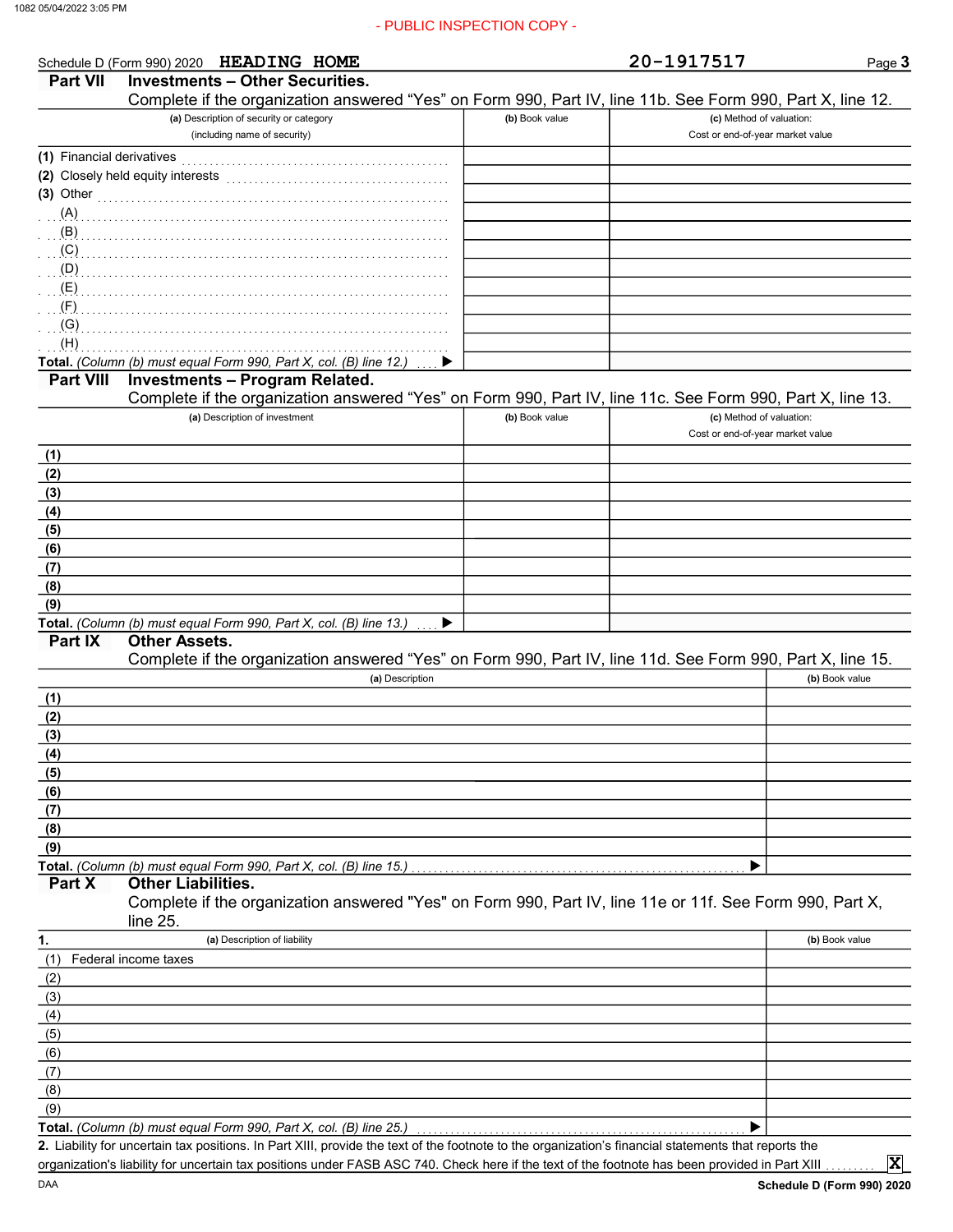|                           | Schedule D (Form 990) 2020 HEADING HOME                                                                                                              |                | 20-1917517                       | Page 3                   |
|---------------------------|------------------------------------------------------------------------------------------------------------------------------------------------------|----------------|----------------------------------|--------------------------|
| <b>Part VII</b>           | <b>Investments - Other Securities.</b>                                                                                                               |                |                                  |                          |
|                           | Complete if the organization answered "Yes" on Form 990, Part IV, line 11b. See Form 990, Part X, line 12.                                           |                |                                  |                          |
|                           | (a) Description of security or category                                                                                                              | (b) Book value | (c) Method of valuation:         |                          |
|                           | (including name of security)                                                                                                                         |                | Cost or end-of-year market value |                          |
| (1) Financial derivatives |                                                                                                                                                      |                |                                  |                          |
|                           | (2) Closely held equity interests                                                                                                                    |                |                                  |                          |
|                           | $(3)$ Other                                                                                                                                          |                |                                  |                          |
| (A)                       |                                                                                                                                                      |                |                                  |                          |
| (B)                       |                                                                                                                                                      |                |                                  |                          |
| (C)                       |                                                                                                                                                      |                |                                  |                          |
| $(D)$ .                   |                                                                                                                                                      |                |                                  |                          |
| (E)                       |                                                                                                                                                      |                |                                  |                          |
| (F)                       |                                                                                                                                                      |                |                                  |                          |
| (G)                       |                                                                                                                                                      |                |                                  |                          |
| (H)                       |                                                                                                                                                      |                |                                  |                          |
|                           | Total. (Column (b) must equal Form 990, Part X, col. (B) line 12.)                                                                                   |                |                                  |                          |
| <b>Part VIII</b>          | <b>Investments - Program Related.</b>                                                                                                                |                |                                  |                          |
|                           | Complete if the organization answered "Yes" on Form 990, Part IV, line 11c. See Form 990, Part X, line 13.                                           |                |                                  |                          |
|                           | (a) Description of investment                                                                                                                        | (b) Book value | (c) Method of valuation:         |                          |
|                           |                                                                                                                                                      |                | Cost or end-of-year market value |                          |
| (1)                       |                                                                                                                                                      |                |                                  |                          |
| (2)                       |                                                                                                                                                      |                |                                  |                          |
| (3)                       |                                                                                                                                                      |                |                                  |                          |
| (4)                       |                                                                                                                                                      |                |                                  |                          |
| (5)                       |                                                                                                                                                      |                |                                  |                          |
| (6)                       |                                                                                                                                                      |                |                                  |                          |
| (7)                       |                                                                                                                                                      |                |                                  |                          |
| (8)                       |                                                                                                                                                      |                |                                  |                          |
| (9)                       |                                                                                                                                                      |                |                                  |                          |
| Part IX                   | Total. (Column (b) must equal Form 990, Part X, col. (B) line 13.)<br><b>Other Assets.</b>                                                           |                |                                  |                          |
|                           | Complete if the organization answered "Yes" on Form 990, Part IV, line 11d. See Form 990, Part X, line 15.                                           |                |                                  |                          |
|                           | (a) Description                                                                                                                                      |                |                                  | (b) Book value           |
|                           |                                                                                                                                                      |                |                                  |                          |
| (1)<br>(2)                |                                                                                                                                                      |                |                                  |                          |
| (3)                       |                                                                                                                                                      |                |                                  |                          |
|                           |                                                                                                                                                      |                |                                  |                          |
| (4)<br>(5)                |                                                                                                                                                      |                |                                  |                          |
| (6)                       |                                                                                                                                                      |                |                                  |                          |
| (7)                       |                                                                                                                                                      |                |                                  |                          |
| (8)                       |                                                                                                                                                      |                |                                  |                          |
| (9)                       |                                                                                                                                                      |                |                                  |                          |
|                           | Total. (Column (b) must equal Form 990, Part X, col. (B) line 15.)                                                                                   |                | ▶                                |                          |
| Part X                    | <b>Other Liabilities.</b>                                                                                                                            |                |                                  |                          |
|                           | Complete if the organization answered "Yes" on Form 990, Part IV, line 11e or 11f. See Form 990, Part X,                                             |                |                                  |                          |
|                           | line 25.                                                                                                                                             |                |                                  |                          |
| 1.                        | (a) Description of liability                                                                                                                         |                |                                  | (b) Book value           |
| (1)                       | Federal income taxes                                                                                                                                 |                |                                  |                          |
| (2)                       |                                                                                                                                                      |                |                                  |                          |
| (3)                       |                                                                                                                                                      |                |                                  |                          |
| (4)                       |                                                                                                                                                      |                |                                  |                          |
| (5)                       |                                                                                                                                                      |                |                                  |                          |
| (6)                       |                                                                                                                                                      |                |                                  |                          |
| (7)                       |                                                                                                                                                      |                |                                  |                          |
| (8)                       |                                                                                                                                                      |                |                                  |                          |
| (9)                       |                                                                                                                                                      |                |                                  |                          |
|                           | Total. (Column (b) must equal Form 990, Part X, col. (B) line 25.)                                                                                   |                | ▶                                |                          |
|                           | 2. Liability for uncertain tax positions. In Part XIII, provide the text of the footnote to the organization's financial statements that reports the |                |                                  |                          |
|                           | organization's liability for uncertain tax positions under FASB ASC 740. Check here if the text of the footnote has been provided in Part XIII       |                |                                  | $\vert \mathbf{x} \vert$ |
|                           |                                                                                                                                                      |                |                                  |                          |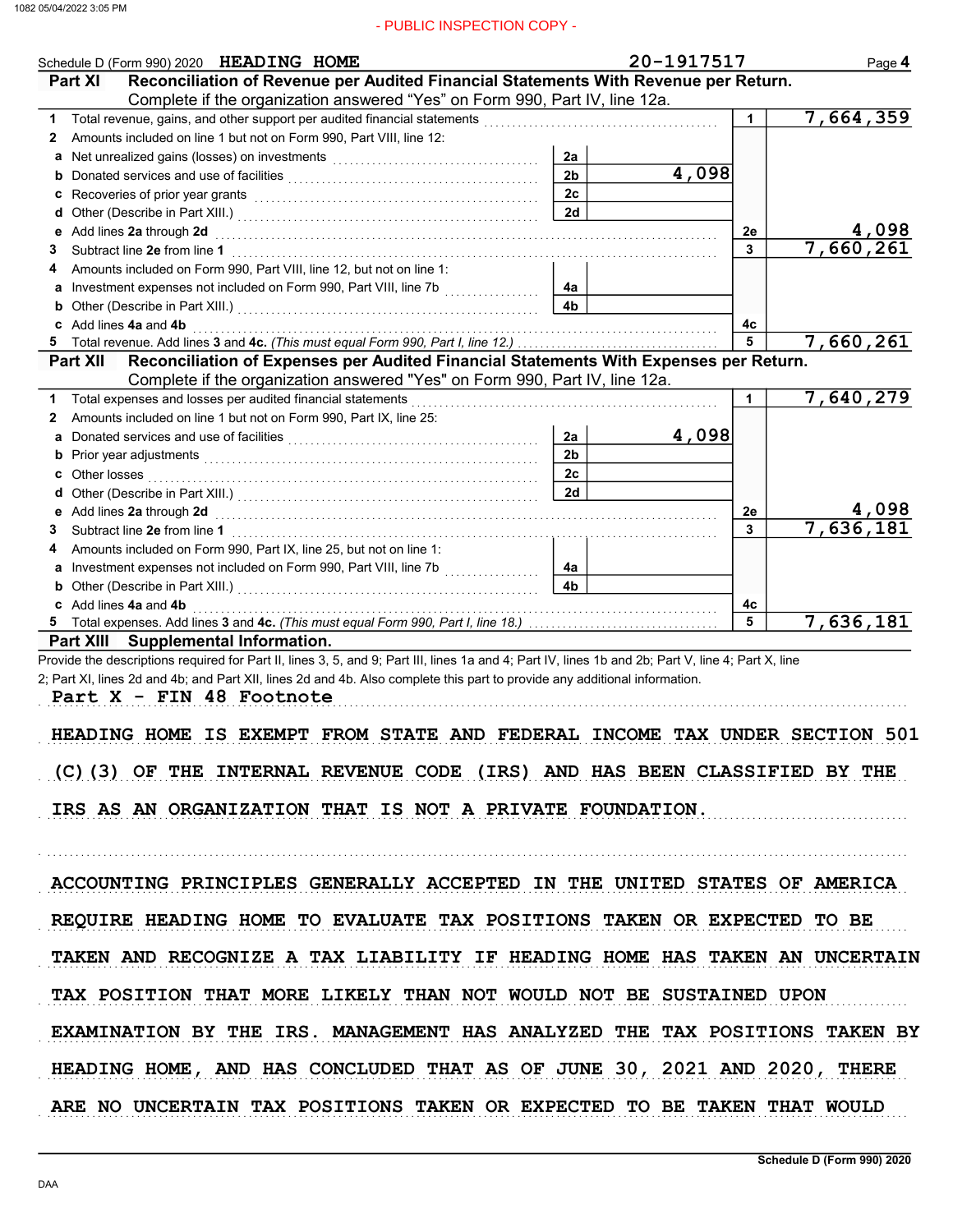|                 | Schedule D (Form 990) 2020 HEADING HOME                                                                                                                                                                                              |                | 20-1917517 |              | Page 4                    |
|-----------------|--------------------------------------------------------------------------------------------------------------------------------------------------------------------------------------------------------------------------------------|----------------|------------|--------------|---------------------------|
| <b>Part XI</b>  | Reconciliation of Revenue per Audited Financial Statements With Revenue per Return.                                                                                                                                                  |                |            |              |                           |
|                 | Complete if the organization answered "Yes" on Form 990, Part IV, line 12a.                                                                                                                                                          |                |            |              |                           |
| 1               | Total revenue, gains, and other support per audited financial statements<br>[[[CODID]                                                                                                                                                |                |            | $\mathbf{1}$ | 7,664,359                 |
| 2               | Amounts included on line 1 but not on Form 990, Part VIII, line 12:                                                                                                                                                                  |                |            |              |                           |
| a               |                                                                                                                                                                                                                                      | 2a             |            |              |                           |
| b               |                                                                                                                                                                                                                                      | 2 <sub>b</sub> | 4,098      |              |                           |
| c               |                                                                                                                                                                                                                                      | 2 <sub>c</sub> |            |              |                           |
| d               |                                                                                                                                                                                                                                      | 2d             |            |              |                           |
| е               | Add lines 2a through 2d                                                                                                                                                                                                              |                |            | 2e           | $\frac{4,098}{7,660,261}$ |
| 3               |                                                                                                                                                                                                                                      |                |            | 3            |                           |
| 4               | Amounts included on Form 990, Part VIII, line 12, but not on line 1:                                                                                                                                                                 |                |            |              |                           |
| a               | Investment expenses not included on Form 990, Part VIII, line 7b                                                                                                                                                                     | 4a             |            |              |                           |
| b               |                                                                                                                                                                                                                                      | 4 <sub>b</sub> |            |              |                           |
| c               | Add lines 4a and 4b                                                                                                                                                                                                                  |                |            | 4c           |                           |
| 5               |                                                                                                                                                                                                                                      |                |            | 5            | 7,660,261                 |
| <b>Part XII</b> | Reconciliation of Expenses per Audited Financial Statements With Expenses per Return.                                                                                                                                                |                |            |              |                           |
|                 | Complete if the organization answered "Yes" on Form 990, Part IV, line 12a.                                                                                                                                                          |                |            |              |                           |
| 1               | Total expenses and losses per audited financial statements                                                                                                                                                                           |                |            | 1            | 7,640,279                 |
| 2               | Amounts included on line 1 but not on Form 990, Part IX, line 25:                                                                                                                                                                    |                |            |              |                           |
| a               |                                                                                                                                                                                                                                      | 2a             | 4,098      |              |                           |
| b               | Prior year adjustments [11, 11] All the contract of the contract of the contract of the contract of the contract of the contract of the contract of the contract of the contract of the contract of the contract of the contra       | 2 <sub>b</sub> |            |              |                           |
| c               | Other losses <b>contracts Other losses</b>                                                                                                                                                                                           | 2c             |            |              |                           |
| d               |                                                                                                                                                                                                                                      | 2d             |            |              |                           |
| е               | Add lines 2a through 2d <b>contained a contained a contained a contained a contained a contained a contained a contained a contained a contained a contained a contained a contained a contained a contained a contained a conta</b> |                |            | 2e           | <u>4,098</u>              |
| 3               | Subtract line 2e from line 1                                                                                                                                                                                                         |                |            | 3            | 7,636,181                 |
| 4               | Amounts included on Form 990, Part IX, line 25, but not on line 1:                                                                                                                                                                   |                |            |              |                           |
| a               | Investment expenses not included on Form 990, Part VIII, line 7b                                                                                                                                                                     | 4a             |            |              |                           |
| b               |                                                                                                                                                                                                                                      | 4 <sub>b</sub> |            |              |                           |
|                 | c Add lines 4a and 4b                                                                                                                                                                                                                |                |            | 4с           |                           |
|                 |                                                                                                                                                                                                                                      |                |            | 5            | 7,636,181                 |
|                 | Part XIII Supplemental Information.                                                                                                                                                                                                  |                |            |              |                           |
|                 | Provide the descriptions required for Part II, lines 3, 5, and 9; Part III, lines 1a and 4; Part IV, lines 1b and 2b; Part V, line 4; Part X, line                                                                                   |                |            |              |                           |
|                 | 2; Part XI, lines 2d and 4b; and Part XII, lines 2d and 4b. Also complete this part to provide any additional information.                                                                                                           |                |            |              |                           |
|                 | Part X - FIN 48 Footnote                                                                                                                                                                                                             |                |            |              |                           |
|                 |                                                                                                                                                                                                                                      |                |            |              |                           |
|                 | HEADING HOME IS EXEMPT FROM STATE AND FEDERAL INCOME TAX UNDER SECTION 501                                                                                                                                                           |                |            |              |                           |
|                 |                                                                                                                                                                                                                                      |                |            |              |                           |
|                 | (C)(3) OF THE INTERNAL REVENUE CODE (IRS) AND HAS BEEN CLASSIFIED BY THE                                                                                                                                                             |                |            |              |                           |
|                 |                                                                                                                                                                                                                                      |                |            |              |                           |
|                 | IRS AS AN ORGANIZATION THAT IS NOT A PRIVATE FOUNDATION.                                                                                                                                                                             |                |            |              |                           |
|                 |                                                                                                                                                                                                                                      |                |            |              |                           |
|                 |                                                                                                                                                                                                                                      |                |            |              |                           |
|                 |                                                                                                                                                                                                                                      |                |            |              |                           |
|                 | ACCOUNTING PRINCIPLES GENERALLY ACCEPTED IN THE UNITED STATES OF AMERICA                                                                                                                                                             |                |            |              |                           |
|                 |                                                                                                                                                                                                                                      |                |            |              |                           |
|                 | REQUIRE HEADING HOME TO EVALUATE TAX POSITIONS TAKEN OR EXPECTED TO BE                                                                                                                                                               |                |            |              |                           |
|                 |                                                                                                                                                                                                                                      |                |            |              |                           |
|                 | TAKEN AND RECOGNIZE A TAX LIABILITY IF HEADING HOME HAS TAKEN AN UNCERTAIN                                                                                                                                                           |                |            |              |                           |
|                 |                                                                                                                                                                                                                                      |                |            |              |                           |
|                 | TAX POSITION THAT MORE LIKELY THAN NOT WOULD NOT BE SUSTAINED UPON                                                                                                                                                                   |                |            |              |                           |
|                 |                                                                                                                                                                                                                                      |                |            |              |                           |
|                 | EXAMINATION BY THE IRS. MANAGEMENT HAS ANALYZED THE TAX POSITIONS TAKEN BY                                                                                                                                                           |                |            |              |                           |
|                 |                                                                                                                                                                                                                                      |                |            |              |                           |
|                 | HEADING HOME, AND HAS CONCLUDED THAT AS OF JUNE 30, 2021 AND 2020, THERE                                                                                                                                                             |                |            |              |                           |
|                 |                                                                                                                                                                                                                                      |                |            |              |                           |
|                 | ARE NO UNCERTAIN TAX POSITIONS TAKEN OR EXPECTED TO BE TAKEN THAT WOULD                                                                                                                                                              |                |            |              |                           |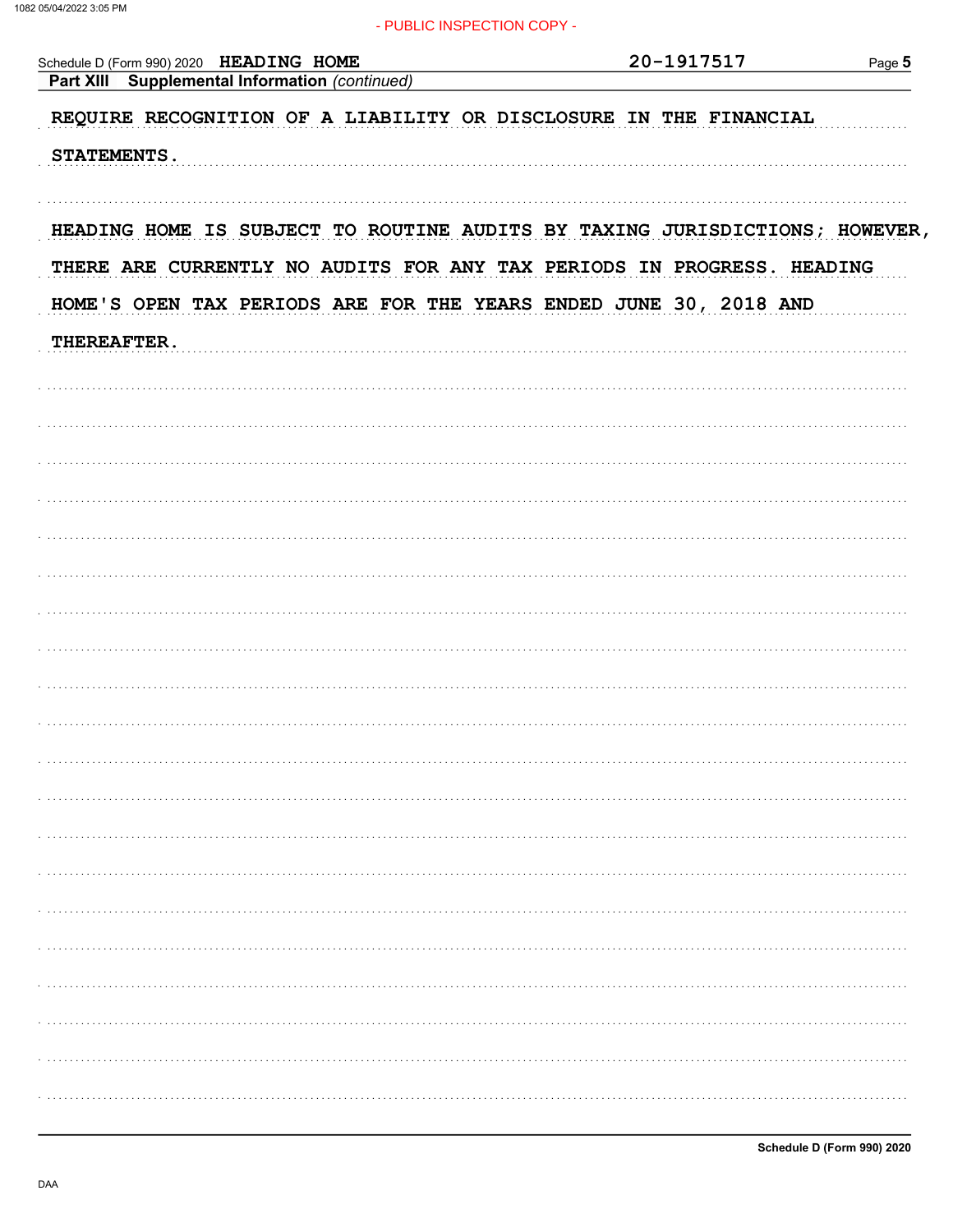| Schedule D (Form 990) 2020 HEADING HOME                                     | 20-1917517 | Page 5 |
|-----------------------------------------------------------------------------|------------|--------|
| Part XIII<br><b>Supplemental Information (continued)</b>                    |            |        |
| REQUIRE RECOGNITION OF A LIABILITY OR DISCLOSURE IN THE FINANCIAL           |            |        |
| STATEMENTS.                                                                 |            |        |
|                                                                             |            |        |
|                                                                             |            |        |
| HEADING HOME IS SUBJECT TO ROUTINE AUDITS BY TAXING JURISDICTIONS; HOWEVER, |            |        |
| THERE ARE CURRENTLY NO AUDITS FOR ANY TAX PERIODS IN PROGRESS. HEADING      |            |        |
| HOME'S OPEN TAX PERIODS ARE FOR THE YEARS ENDED JUNE 30, 2018 AND           |            |        |
|                                                                             |            |        |
| THEREAFTER.                                                                 |            |        |
|                                                                             |            |        |
|                                                                             |            |        |
|                                                                             |            |        |
|                                                                             |            |        |
|                                                                             |            |        |
|                                                                             |            |        |
|                                                                             |            |        |
|                                                                             |            |        |
|                                                                             |            |        |
|                                                                             |            |        |
|                                                                             |            |        |
|                                                                             |            |        |
|                                                                             |            |        |
|                                                                             |            |        |
|                                                                             |            |        |
|                                                                             |            |        |
|                                                                             |            |        |
|                                                                             |            |        |
|                                                                             |            |        |
|                                                                             |            |        |
|                                                                             |            |        |
|                                                                             |            |        |
|                                                                             |            |        |
|                                                                             |            |        |
|                                                                             |            |        |
|                                                                             |            |        |
|                                                                             |            |        |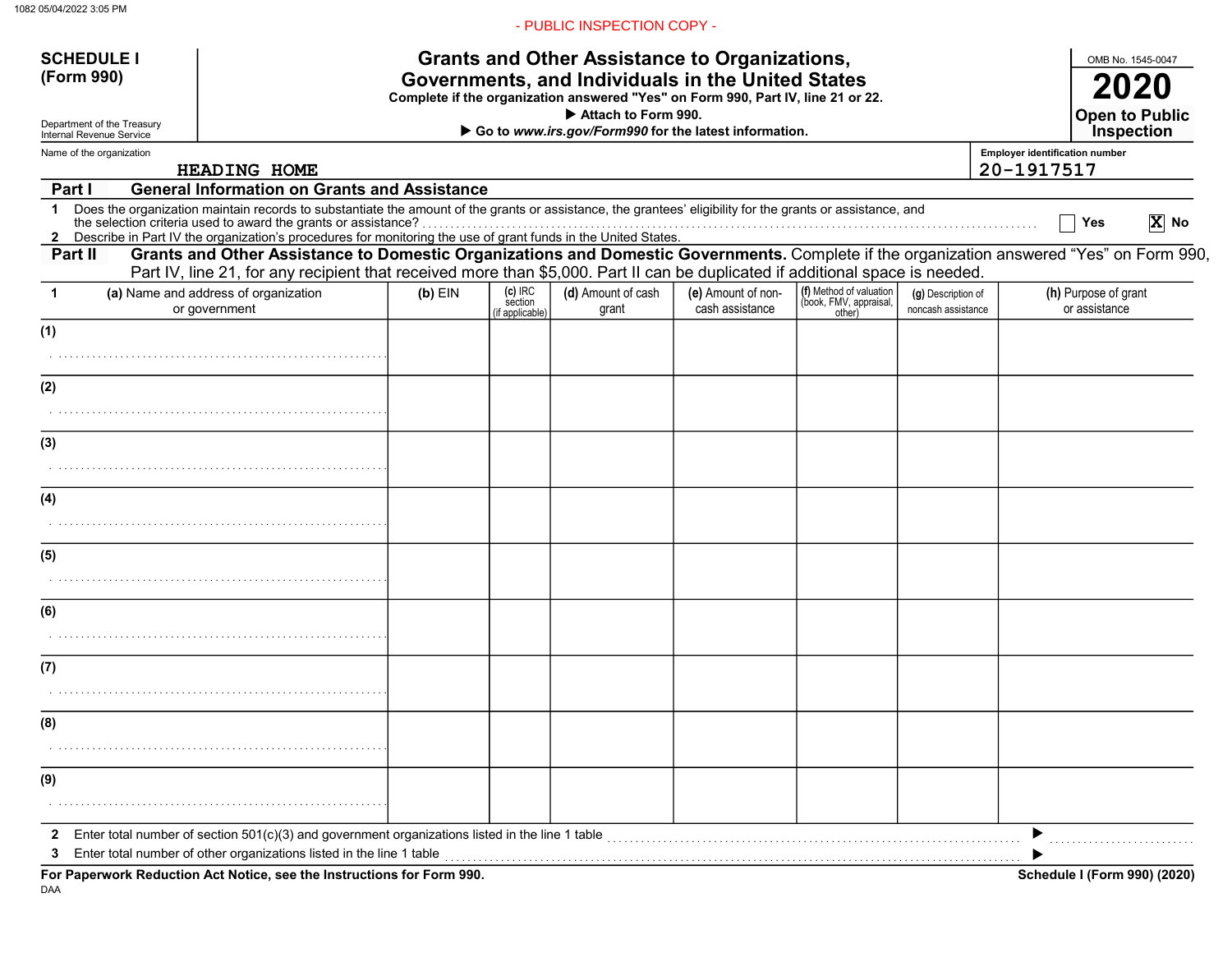| <b>SCHEDULE I</b><br>(Form 990)                        | <b>Grants and Other Assistance to Organizations,</b><br>Governments, and Individuals in the United States<br>Complete if the organization answered "Yes" on Form 990, Part IV, line 21 or 22.<br>Attach to Form 990.                                                                                                                          |           |                                        |                                                       |                                       |                                                             |                                          | OMB No. 1545-0047<br>2020<br><b>Open to Public</b>  |                   |
|--------------------------------------------------------|-----------------------------------------------------------------------------------------------------------------------------------------------------------------------------------------------------------------------------------------------------------------------------------------------------------------------------------------------|-----------|----------------------------------------|-------------------------------------------------------|---------------------------------------|-------------------------------------------------------------|------------------------------------------|-----------------------------------------------------|-------------------|
| Department of the Treasury<br>Internal Revenue Service |                                                                                                                                                                                                                                                                                                                                               |           |                                        | Go to www.irs.gov/Form990 for the latest information. |                                       |                                                             |                                          |                                                     | <b>Inspection</b> |
| Name of the organization                               | HEADING HOME                                                                                                                                                                                                                                                                                                                                  |           |                                        |                                                       |                                       |                                                             |                                          | <b>Employer identification number</b><br>20-1917517 |                   |
| Part I                                                 | <b>General Information on Grants and Assistance</b>                                                                                                                                                                                                                                                                                           |           |                                        |                                                       |                                       |                                                             |                                          |                                                     |                   |
| 1<br>$\mathbf{2}$                                      | Does the organization maintain records to substantiate the amount of the grants or assistance, the grantees' eligibility for the grants or assistance, and<br>the selection criteria used to award the grants or assistance?<br>Describe in Part IV the organization's procedures for monitoring the use of grant funds in the United States. |           |                                        |                                                       |                                       |                                                             |                                          | Yes                                                 | $ \mathbf{X} $ No |
| Part II                                                | Grants and Other Assistance to Domestic Organizations and Domestic Governments. Complete if the organization answered "Yes" on Form 990,<br>Part IV, line 21, for any recipient that received more than \$5,000. Part II can be duplicated if additional space is needed.                                                                     |           |                                        |                                                       |                                       |                                                             |                                          |                                                     |                   |
| $\mathbf 1$                                            | (a) Name and address of organization<br>or government                                                                                                                                                                                                                                                                                         | $(b)$ EIN | $(c)$ IRC<br>section<br>if applicable) | (d) Amount of cash<br>grant                           | (e) Amount of non-<br>cash assistance | (f) Method of valuation<br>(book, FMV, appraisal,<br>other) | (g) Description of<br>noncash assistance | (h) Purpose of grant<br>or assistance               |                   |
| (1)                                                    |                                                                                                                                                                                                                                                                                                                                               |           |                                        |                                                       |                                       |                                                             |                                          |                                                     |                   |
|                                                        |                                                                                                                                                                                                                                                                                                                                               |           |                                        |                                                       |                                       |                                                             |                                          |                                                     |                   |
| (2)                                                    |                                                                                                                                                                                                                                                                                                                                               |           |                                        |                                                       |                                       |                                                             |                                          |                                                     |                   |
| (3)                                                    |                                                                                                                                                                                                                                                                                                                                               |           |                                        |                                                       |                                       |                                                             |                                          |                                                     |                   |
| (4)                                                    |                                                                                                                                                                                                                                                                                                                                               |           |                                        |                                                       |                                       |                                                             |                                          |                                                     |                   |
|                                                        |                                                                                                                                                                                                                                                                                                                                               |           |                                        |                                                       |                                       |                                                             |                                          |                                                     |                   |
| (5)                                                    |                                                                                                                                                                                                                                                                                                                                               |           |                                        |                                                       |                                       |                                                             |                                          |                                                     |                   |
|                                                        |                                                                                                                                                                                                                                                                                                                                               |           |                                        |                                                       |                                       |                                                             |                                          |                                                     |                   |
|                                                        |                                                                                                                                                                                                                                                                                                                                               |           |                                        |                                                       |                                       |                                                             |                                          |                                                     |                   |
| (6)                                                    |                                                                                                                                                                                                                                                                                                                                               |           |                                        |                                                       |                                       |                                                             |                                          |                                                     |                   |
| (7)                                                    |                                                                                                                                                                                                                                                                                                                                               |           |                                        |                                                       |                                       |                                                             |                                          |                                                     |                   |
|                                                        |                                                                                                                                                                                                                                                                                                                                               |           |                                        |                                                       |                                       |                                                             |                                          |                                                     |                   |
| (8)                                                    |                                                                                                                                                                                                                                                                                                                                               |           |                                        |                                                       |                                       |                                                             |                                          |                                                     |                   |
|                                                        |                                                                                                                                                                                                                                                                                                                                               |           |                                        |                                                       |                                       |                                                             |                                          |                                                     |                   |
| (9)                                                    |                                                                                                                                                                                                                                                                                                                                               |           |                                        |                                                       |                                       |                                                             |                                          |                                                     |                   |
|                                                        |                                                                                                                                                                                                                                                                                                                                               |           |                                        |                                                       |                                       |                                                             |                                          |                                                     |                   |
| 2<br>3                                                 | Enter total number of section 501(c)(3) and government organizations listed in the line 1 table<br>Enter total number of other organizations listed in the line 1 table                                                                                                                                                                       |           |                                        |                                                       |                                       |                                                             |                                          |                                                     |                   |
|                                                        | For Paperwork Reduction Act Notice, see the Instructions for Form 990.                                                                                                                                                                                                                                                                        |           |                                        |                                                       |                                       |                                                             |                                          | Schedule I (Form 990) (2020)                        |                   |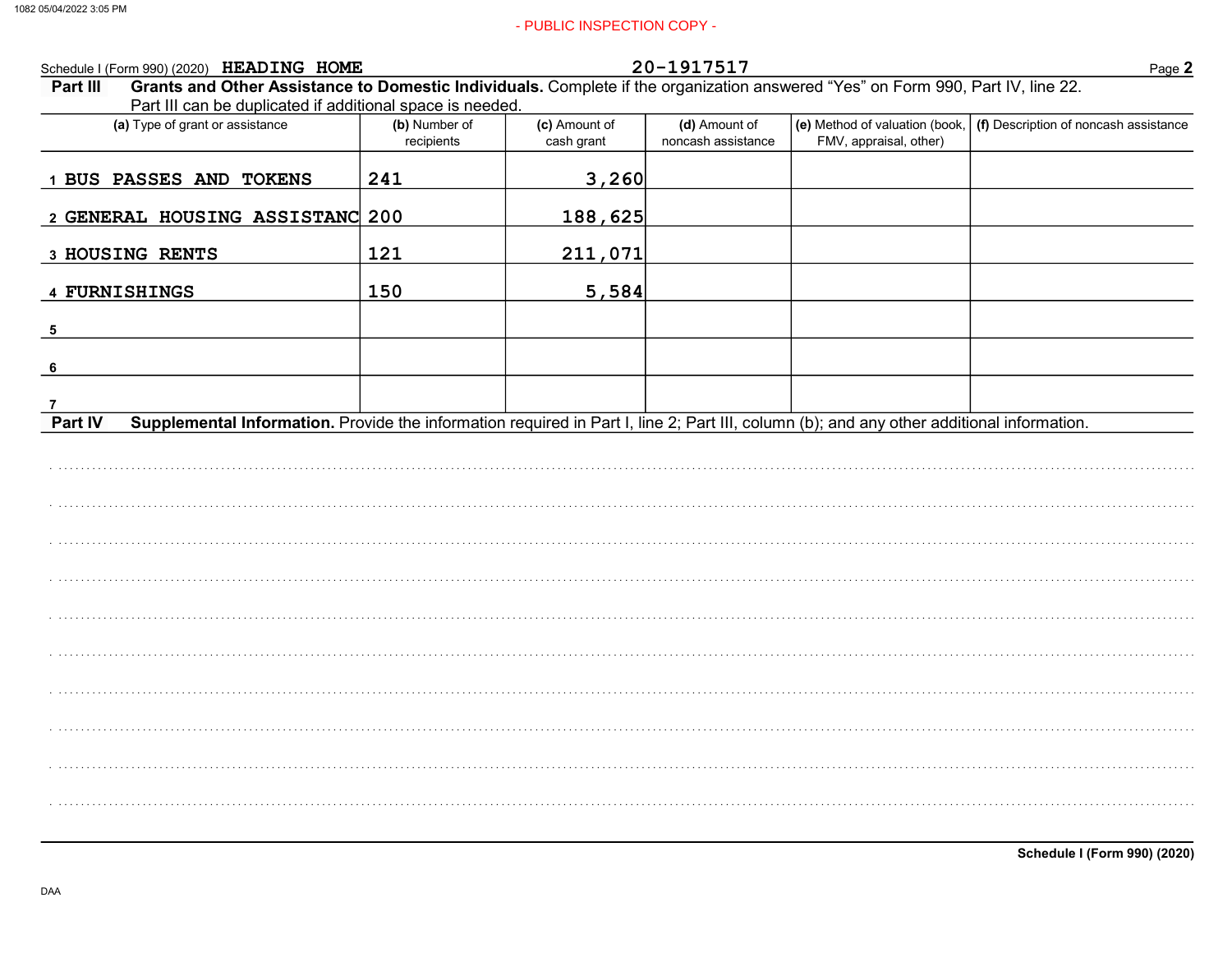| Schedule I (Form 990) (2020) HEADING HOME                                                                                                                                                                |                             |                             | 20-1917517                          |                        | Page 2                                                                   |  |
|----------------------------------------------------------------------------------------------------------------------------------------------------------------------------------------------------------|-----------------------------|-----------------------------|-------------------------------------|------------------------|--------------------------------------------------------------------------|--|
| Grants and Other Assistance to Domestic Individuals. Complete if the organization answered "Yes" on Form 990, Part IV, line 22.<br>Part III<br>Part III can be duplicated if additional space is needed. |                             |                             |                                     |                        |                                                                          |  |
| (a) Type of grant or assistance                                                                                                                                                                          | (b) Number of<br>recipients | (c) Amount of<br>cash grant | (d) Amount of<br>noncash assistance | FMV, appraisal, other) | (e) Method of valuation (book, $ $ (f) Description of noncash assistance |  |
| 1 BUS PASSES AND TOKENS                                                                                                                                                                                  | 241                         | 3,260                       |                                     |                        |                                                                          |  |
| 2 GENERAL HOUSING ASSISTANC 200                                                                                                                                                                          |                             | 188,625                     |                                     |                        |                                                                          |  |
| 3 HOUSING RENTS                                                                                                                                                                                          | 121                         | 211,071                     |                                     |                        |                                                                          |  |
| 4 FURNISHINGS                                                                                                                                                                                            | 150                         | 5,584                       |                                     |                        |                                                                          |  |
| 5                                                                                                                                                                                                        |                             |                             |                                     |                        |                                                                          |  |
|                                                                                                                                                                                                          |                             |                             |                                     |                        |                                                                          |  |
|                                                                                                                                                                                                          |                             |                             |                                     |                        |                                                                          |  |
| Supplemental Information. Provide the information required in Part I, line 2; Part III, column (b); and any other additional information.<br>Part IV                                                     |                             |                             |                                     |                        |                                                                          |  |
|                                                                                                                                                                                                          |                             |                             |                                     |                        |                                                                          |  |
|                                                                                                                                                                                                          |                             |                             |                                     |                        |                                                                          |  |
|                                                                                                                                                                                                          |                             |                             |                                     |                        |                                                                          |  |
|                                                                                                                                                                                                          |                             |                             |                                     |                        |                                                                          |  |
|                                                                                                                                                                                                          |                             |                             |                                     |                        |                                                                          |  |
|                                                                                                                                                                                                          |                             |                             |                                     |                        |                                                                          |  |
|                                                                                                                                                                                                          |                             |                             |                                     |                        |                                                                          |  |
|                                                                                                                                                                                                          |                             |                             |                                     |                        |                                                                          |  |
|                                                                                                                                                                                                          |                             |                             |                                     |                        |                                                                          |  |
|                                                                                                                                                                                                          |                             |                             |                                     |                        |                                                                          |  |
|                                                                                                                                                                                                          |                             |                             |                                     |                        |                                                                          |  |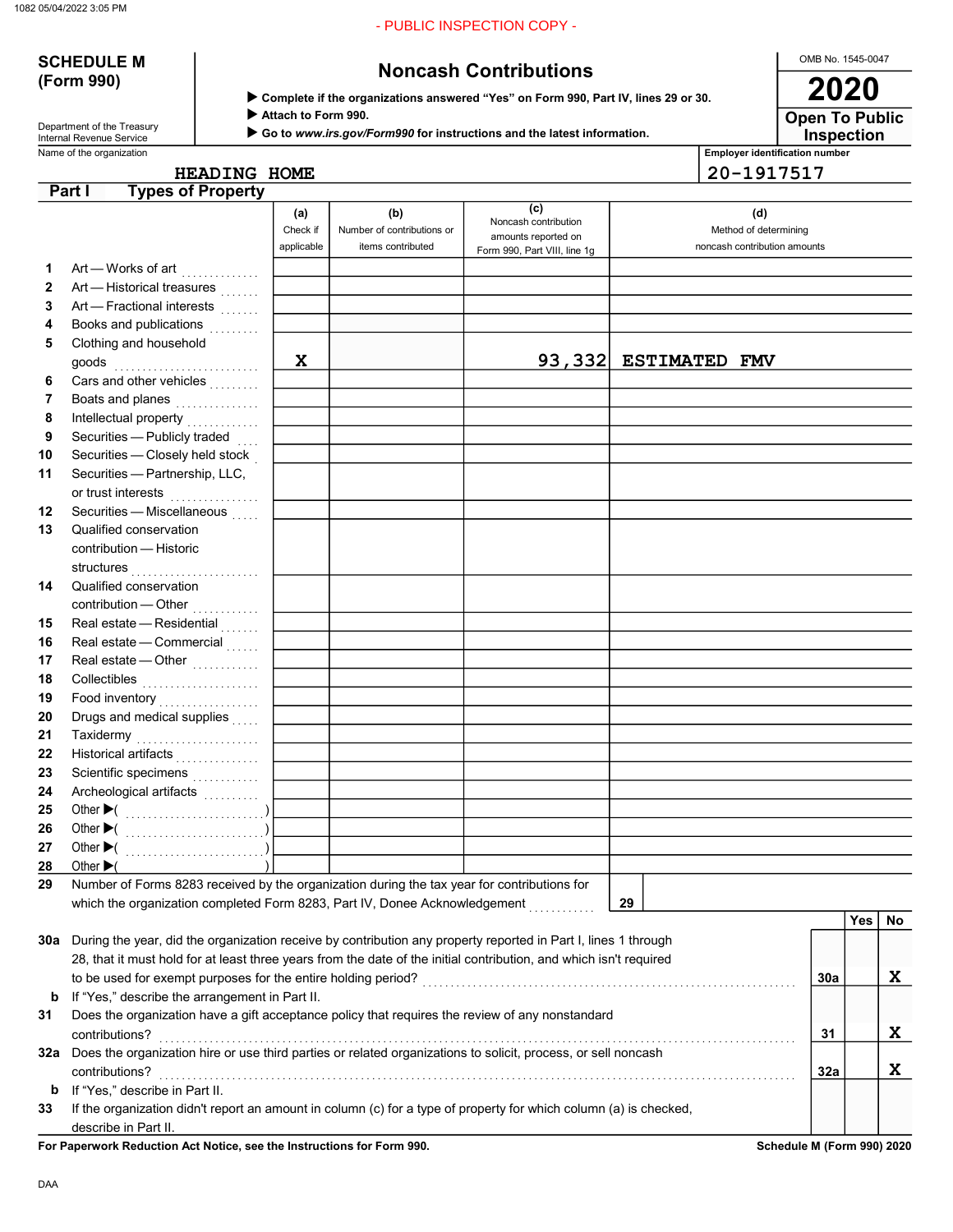# (Form 990)

Department of the Treasury<br>Internal Revenue Service

# SCHEDULE M  $\overline{N}$  Noncash Contributions

Complete if the organizations answered "Yes" on Form 990, Part IV, lines 29 or 30.

Attach to Form 990.

Go to www.irs.gov/Form990 for instructions and the latest information.

Name of the organization **Employer identification number**  $\blacksquare$ Inspection Open To Public 2020

OMB No. 1545-0047

| $20 - 191751$ |  |  |  |
|---------------|--|--|--|
|               |  |  |  |

|                       | HEADING HOME                                                                                                               |                        |                                                 |                              |                      | 20-1917517                                            |            |    |
|-----------------------|----------------------------------------------------------------------------------------------------------------------------|------------------------|-------------------------------------------------|------------------------------|----------------------|-------------------------------------------------------|------------|----|
|                       | <b>Types of Property</b><br>Part I                                                                                         |                        |                                                 |                              |                      |                                                       |            |    |
|                       |                                                                                                                            | (a)                    | (b)                                             | (c)<br>Noncash contribution  |                      | (d)                                                   |            |    |
|                       |                                                                                                                            | Check if<br>applicable | Number of contributions or<br>items contributed | amounts reported on          |                      | Method of determining<br>noncash contribution amounts |            |    |
|                       |                                                                                                                            |                        |                                                 | Form 990, Part VIII, line 1g |                      |                                                       |            |    |
| 1                     | Art - Works of art                                                                                                         |                        |                                                 |                              |                      |                                                       |            |    |
| $\mathbf{2}$          | Art - Historical treasures                                                                                                 |                        |                                                 |                              |                      |                                                       |            |    |
| 3                     | Art - Fractional interests                                                                                                 |                        |                                                 |                              |                      |                                                       |            |    |
| 4                     | Books and publications                                                                                                     |                        |                                                 |                              |                      |                                                       |            |    |
| 5                     | Clothing and household                                                                                                     | X                      |                                                 |                              | 93,332 ESTIMATED FMV |                                                       |            |    |
| 6                     | Cars and other vehicles                                                                                                    |                        |                                                 |                              |                      |                                                       |            |    |
| $\overline{7}$        | Boats and planes<br>                                                                                                       |                        |                                                 |                              |                      |                                                       |            |    |
| 8                     |                                                                                                                            |                        |                                                 |                              |                      |                                                       |            |    |
| 9                     | Securities - Publicly traded                                                                                               |                        |                                                 |                              |                      |                                                       |            |    |
| 10                    | Securities - Closely held stock                                                                                            |                        |                                                 |                              |                      |                                                       |            |    |
| 11                    | Securities - Partnership, LLC,                                                                                             |                        |                                                 |                              |                      |                                                       |            |    |
|                       | or trust interests                                                                                                         |                        |                                                 |                              |                      |                                                       |            |    |
| 12                    | Securities - Miscellaneous                                                                                                 |                        |                                                 |                              |                      |                                                       |            |    |
| 13                    | Qualified conservation                                                                                                     |                        |                                                 |                              |                      |                                                       |            |    |
|                       | contribution - Historic                                                                                                    |                        |                                                 |                              |                      |                                                       |            |    |
|                       | structures                                                                                                                 |                        |                                                 |                              |                      |                                                       |            |    |
| 14                    | Qualified conservation                                                                                                     |                        |                                                 |                              |                      |                                                       |            |    |
|                       | contribution - Other                                                                                                       |                        |                                                 |                              |                      |                                                       |            |    |
| 15                    | Real estate - Residential                                                                                                  |                        |                                                 |                              |                      |                                                       |            |    |
| 16                    | Real estate - Commercial                                                                                                   |                        |                                                 |                              |                      |                                                       |            |    |
| 17                    | Real estate — Other $\ldots$                                                                                               |                        |                                                 |                              |                      |                                                       |            |    |
| 18                    | Collectibles                                                                                                               |                        |                                                 |                              |                      |                                                       |            |    |
| 19                    | Food inventory                                                                                                             |                        |                                                 |                              |                      |                                                       |            |    |
| 20                    | Drugs and medical supplies                                                                                                 |                        |                                                 |                              |                      |                                                       |            |    |
| 21                    | Taxidermy                                                                                                                  |                        |                                                 |                              |                      |                                                       |            |    |
| 22                    | Historical artifacts                                                                                                       |                        |                                                 |                              |                      |                                                       |            |    |
| 23                    | Scientific specimens                                                                                                       |                        |                                                 |                              |                      |                                                       |            |    |
| 24                    | Archeological artifacts                                                                                                    |                        |                                                 |                              |                      |                                                       |            |    |
| 25                    |                                                                                                                            |                        |                                                 |                              |                      |                                                       |            |    |
| 26                    |                                                                                                                            |                        |                                                 |                              |                      |                                                       |            |    |
| 27                    |                                                                                                                            |                        |                                                 |                              |                      |                                                       |            |    |
| $\overline{28}$<br>29 | Other $\blacktriangleright$<br>Number of Forms 8283 received by the organization during the tax year for contributions for |                        |                                                 |                              |                      |                                                       |            |    |
|                       | which the organization completed Form 8283, Part IV, Donee Acknowledgement                                                 |                        |                                                 |                              | 29                   |                                                       |            |    |
|                       |                                                                                                                            |                        |                                                 |                              |                      |                                                       | <b>Yes</b> | No |
| 30a                   | During the year, did the organization receive by contribution any property reported in Part I, lines 1 through             |                        |                                                 |                              |                      |                                                       |            |    |
|                       | 28, that it must hold for at least three years from the date of the initial contribution, and which isn't required         |                        |                                                 |                              |                      |                                                       |            |    |
|                       | to be used for exempt purposes for the entire holding period?                                                              |                        |                                                 |                              |                      | 30a                                                   |            | X  |
| b                     | If "Yes," describe the arrangement in Part II.                                                                             |                        |                                                 |                              |                      |                                                       |            |    |
| 31                    | Does the organization have a gift acceptance policy that requires the review of any nonstandard                            |                        |                                                 |                              |                      |                                                       |            |    |
|                       | contributions?                                                                                                             |                        |                                                 |                              |                      | 31                                                    |            | X  |
| 32a                   | Does the organization hire or use third parties or related organizations to solicit, process, or sell noncash              |                        |                                                 |                              |                      |                                                       |            |    |
|                       | contributions?                                                                                                             |                        |                                                 |                              |                      | 32a                                                   |            | X  |
| b                     | If "Yes," describe in Part II.                                                                                             |                        |                                                 |                              |                      |                                                       |            |    |
| 33                    | If the organization didn't report an amount in column (c) for a type of property for which column (a) is checked,          |                        |                                                 |                              |                      |                                                       |            |    |
|                       | describe in Part II.                                                                                                       |                        |                                                 |                              |                      |                                                       |            |    |

For Paperwork Reduction Act Notice, see the Instructions for Form 990. Schedule M (Form 990) 2020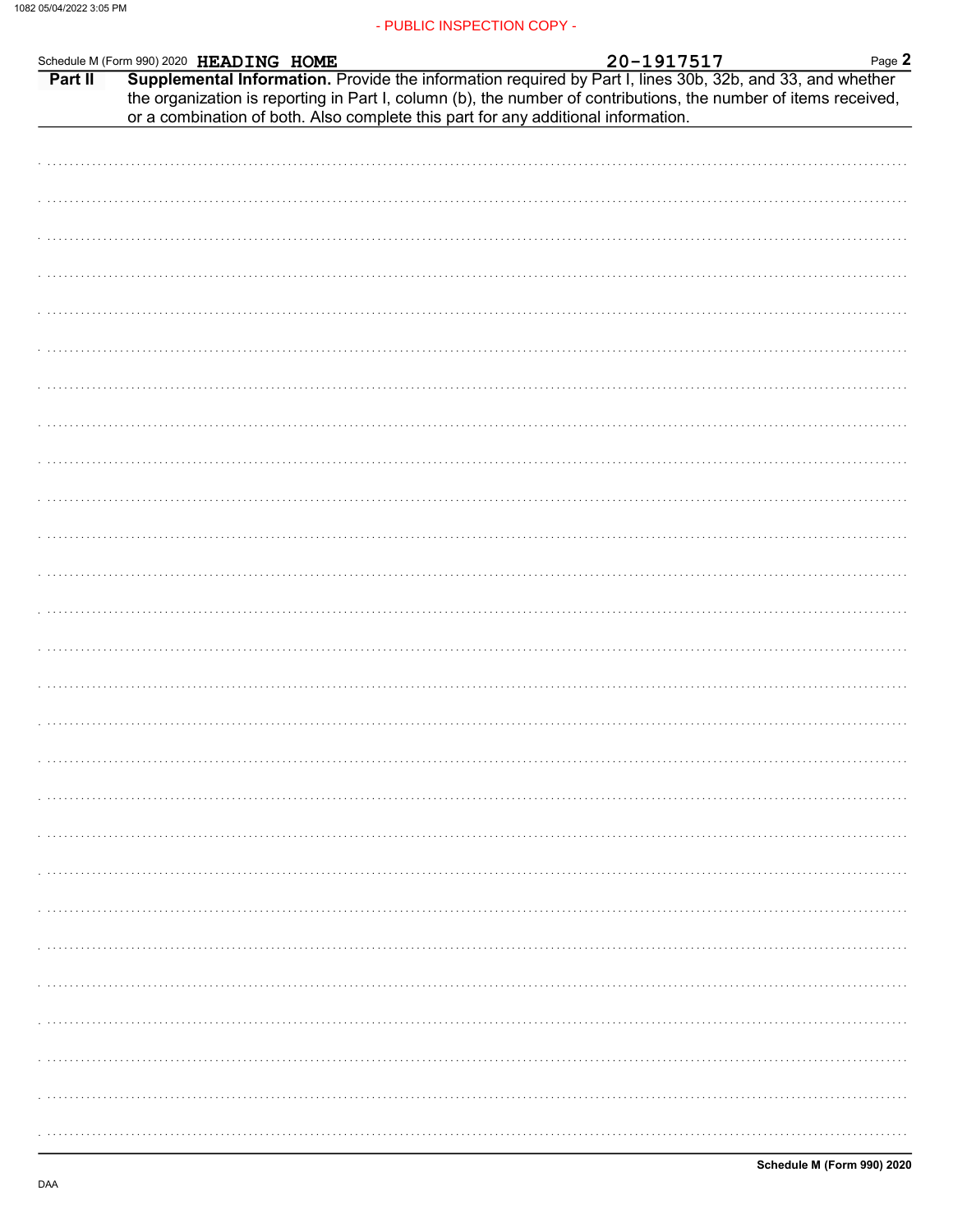|         | Schedule M (Form 990) 2020 HEADING HOME                                           | 20-1917517                                                                                                                                                                                                                   | Page 2 |
|---------|-----------------------------------------------------------------------------------|------------------------------------------------------------------------------------------------------------------------------------------------------------------------------------------------------------------------------|--------|
| Part II | or a combination of both. Also complete this part for any additional information. | Supplemental Information. Provide the information required by Part I, lines 30b, 32b, and 33, and whether<br>the organization is reporting in Part I, column (b), the number of contributions, the number of items received, |        |
|         |                                                                                   |                                                                                                                                                                                                                              |        |
|         |                                                                                   |                                                                                                                                                                                                                              |        |
|         |                                                                                   |                                                                                                                                                                                                                              |        |
|         |                                                                                   |                                                                                                                                                                                                                              |        |
|         |                                                                                   |                                                                                                                                                                                                                              |        |
|         |                                                                                   |                                                                                                                                                                                                                              |        |
|         |                                                                                   |                                                                                                                                                                                                                              |        |
|         |                                                                                   |                                                                                                                                                                                                                              |        |
|         |                                                                                   |                                                                                                                                                                                                                              |        |
|         |                                                                                   |                                                                                                                                                                                                                              |        |
|         |                                                                                   |                                                                                                                                                                                                                              |        |
|         |                                                                                   |                                                                                                                                                                                                                              |        |
|         |                                                                                   |                                                                                                                                                                                                                              |        |
|         |                                                                                   |                                                                                                                                                                                                                              |        |
|         |                                                                                   |                                                                                                                                                                                                                              |        |
|         |                                                                                   |                                                                                                                                                                                                                              |        |
|         |                                                                                   |                                                                                                                                                                                                                              |        |
|         |                                                                                   |                                                                                                                                                                                                                              |        |
|         |                                                                                   |                                                                                                                                                                                                                              |        |
|         |                                                                                   |                                                                                                                                                                                                                              |        |
|         |                                                                                   |                                                                                                                                                                                                                              |        |
|         |                                                                                   |                                                                                                                                                                                                                              |        |
|         |                                                                                   |                                                                                                                                                                                                                              |        |
|         |                                                                                   |                                                                                                                                                                                                                              |        |
|         |                                                                                   |                                                                                                                                                                                                                              |        |
|         |                                                                                   |                                                                                                                                                                                                                              |        |
|         |                                                                                   |                                                                                                                                                                                                                              |        |
|         |                                                                                   |                                                                                                                                                                                                                              |        |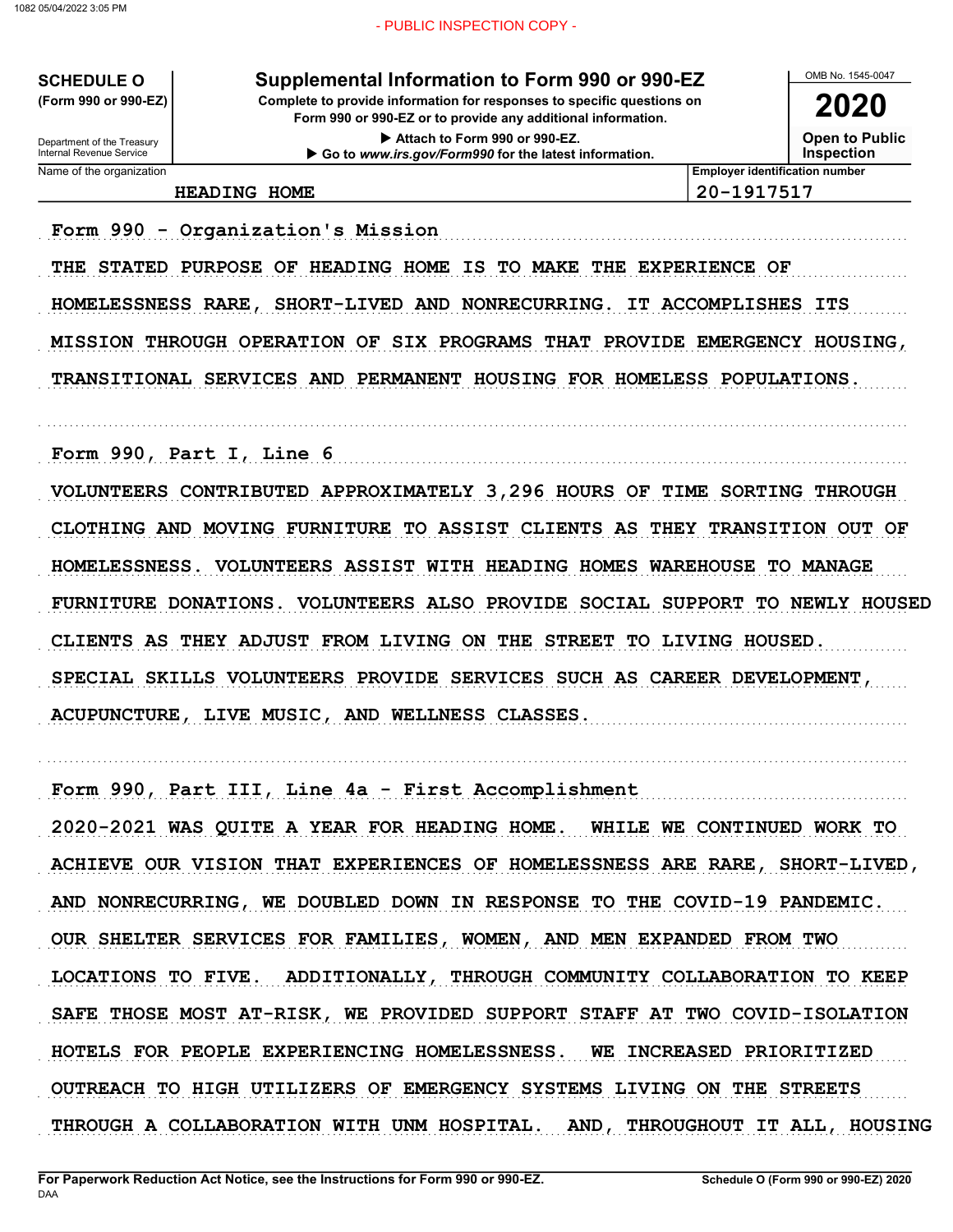Department of the Treasury<br>Internal Revenue Service

SCHEDULE O Supplemental Information to Form 990 or 990-EZ

Form 990 or 990-EZ or to provide any additional information. (Form 990 or 990-EZ) Complete to provide information for responses to specific questions on

> Attach to Form 990 or 990-EZ. ▶ Go to www.irs.gov/Form990 for the latest information.

OMB No. 1545-0047 2020

Inspection

Open to Public

Name of the organization **Employer identification number**  $\blacksquare$ 

HEADING HOME 20-1917517

Form 990 - Organization's Mission (1999) (1999) 1999

THE STATED PURPOSE OF HEADING HOME IS TO MAKE THE EXPERIENCE OF

HOMELESSNESS RARE, SHORT-LIVED AND NONRECURRING. IT ACCOMPLISHES ITS MISSION THROUGH OPERATION OF SIX PROGRAMS THAT PROVIDE EMERGENCY HOUSING, TRANSITIONAL SERVICES AND PERMANENT HOUSING FOR HOMELESS POPULATIONS.

. . . . . . . . . . . . . . . . . . . . . . . . . . . . . . . . . . . . . . . . . . . . . . . . . . . . . . . . . . . . . . . . . . . . . . . . . . . . . . . . . . . . . . . . . . . . . . . . . . . . . . . . . . . . . . . . . . . . . . . . . . . . . . . . . . . . . . . . . . . . . . . . . . . . . . . . . . . . . . . . . . . . . . . . . . . . . . . . . . . . . . . . . . . . . . . . . . . . . . . . . . . . . . . . . . . . . . . . . . . . . . . . . . . . . . . . . . . . . . . . . . . . . . . . . . . . . . . . . . . . . . . . . . . . . . . . . . . . . . . . . . . . . . . . . . . . . . . . . . . . . . . . . . . . . . Form 990, Part I, Line 6

VOLUNTEERS CONTRIBUTED APPROXIMATELY 3,296 HOURS OF TIME SORTING THROUGH CLOTHING AND MOVING FURNITURE TO ASSIST CLIENTS AS THEY TRANSITION OUT OF HOMELESSNESS. VOLUNTEERS ASSIST WITH HEADING HOMES WAREHOUSE TO MANAGE FURNITURE DONATIONS. VOLUNTEERS ALSO PROVIDE SOCIAL SUPPORT TO NEWLY HOUSED CLIENTS AS THEY ADJUST FROM LIVING ON THE STREET TO LIVING HOUSED. SPECIAL SKILLS VOLUNTEERS PROVIDE SERVICES SUCH AS CAREER DEVELOPMENT, ACUPUNCTURE, LIVE MUSIC, AND WELLNESS CLASSES.

. . . . . . . . . . . . . . . . . . . . . . . . . . . . . . . . . . . . . . . . . . . . . . . . . . . . . . . . . . . . . . . . . . . . . . . . . . . . . . . . . . . . . . . . . . . . . . . . . . . . . . . . . . . . . . . . . . . . . . . . . . . . . . . . . . . . . . . . . . . . . . . . . . . . . . . . . . .

Form 990, Part III, Line 4a - First Accomplishment

2020-2021 WAS QUITE A YEAR FOR HEADING HOME. WHILE WE CONTINUED WORK TO ACHIEVE OUR VISION THAT EXPERIENCES OF HOMELESSNESS ARE RARE, SHORT-LIVED, AND NONRECURRING, WE DOUBLED DOWN IN RESPONSE TO THE COVID-19 PANDEMIC. OUR SHELTER SERVICES FOR FAMILIES, WOMEN, AND MEN EXPANDED FROM TWO LOCATIONS TO FIVE. ADDITIONALLY, THROUGH COMMUNITY COLLABORATION TO KEEP SAFE THOSE MOST AT-RISK, WE PROVIDED SUPPORT STAFF AT TWO COVID-ISOLATION HOTELS FOR PEOPLE EXPERIENCING HOMELESSNESS. WE INCREASED PRIORITIZED OUTREACH TO HIGH UTILIZERS OF EMERGENCY SYSTEMS LIVING ON THE STREETS THROUGH A COLLABORATION WITH UNM HOSPITAL. AND, THROUGHOUT IT ALL, HOUSING